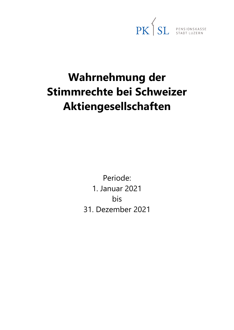PK SL PENSIONSKASSE

# **Wahrnehmung der Stimmrechte bei Schweizer Aktiengesellschaften**

Periode: 1. Januar 2021 bis 31. Dezember 2021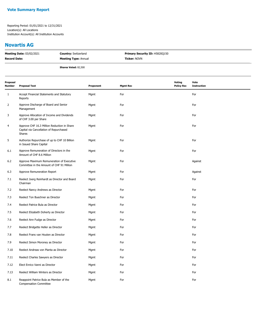#### **Novartis AG**

| <b>Meeting Date: 03/02/2021</b> | <b>Country: Switzerland</b> | <b>Primary Security ID: H5820Q150</b> |
|---------------------------------|-----------------------------|---------------------------------------|
| <b>Record Date:</b>             | <b>Meeting Type: Annual</b> | <b>Ticker: NOVN</b>                   |
|                                 | <b>Shares Voted: 82,500</b> |                                       |

| Proposal<br>Number | <b>Proposal Text</b>                                                                             | Proponent | <b>Mgmt Rec</b> | <b>Voting</b><br><b>Policy Rec</b> | Vote<br><b>Instruction</b> |
|--------------------|--------------------------------------------------------------------------------------------------|-----------|-----------------|------------------------------------|----------------------------|
| 1                  | Accept Financial Statements and Statutory<br>Reports                                             | Mgmt      | For             |                                    | For                        |
| 2                  | Approve Discharge of Board and Senior<br>Management                                              | Mgmt      | For             |                                    | For                        |
| 3                  | Approve Allocation of Income and Dividends<br>of CHF 3.00 per Share                              | Mgmt      | For             |                                    | For                        |
| 4                  | Approve CHF 16.3 Million Reduction in Share<br>Capital via Cancellation of Repurchased<br>Shares | Mgmt      | For             |                                    | For                        |
| 5                  | Authorize Repurchase of up to CHF 10 Billion<br>in Issued Share Capital                          | Mgmt      | For             |                                    | For                        |
| 6.1                | Approve Remuneration of Directors in the<br>Amount of CHF 8.6 Million                            | Mgmt      | For             |                                    | For                        |
| 6.2                | Approve Maximum Remuneration of Executive<br>Committee in the Amount of CHF 91 Million           | Mgmt      | For             |                                    | Against                    |
| 6.3                | Approve Remuneration Report                                                                      | Mgmt      | For             |                                    | Against                    |
| 7.1                | Reelect Joerg Reinhardt as Director and Board<br>Chairman                                        | Mgmt      | For             |                                    | For                        |
| 7.2                | Reelect Nancy Andrews as Director                                                                | Mgmt      | For             |                                    | For                        |
| 7.3                | Reelect Ton Buechner as Director                                                                 | Mgmt      | For             |                                    | For                        |
| 7.4                | Reelect Patrice Bula as Director                                                                 | Mgmt      | For             |                                    | For                        |
| 7.5                | Reelect Elizabeth Doherty as Director                                                            | Mgmt      | For             |                                    | For                        |
| 7.6                | Reelect Ann Fudge as Director                                                                    | Mgmt      | For             |                                    | For                        |
| 7.7                | Reelect Bridgette Heller as Director                                                             | Mgmt      | For             |                                    | For                        |
| 7.8                | Reelect Frans van Houten as Director                                                             | Mgmt      | For             |                                    | For                        |
| 7.9                | Reelect Simon Moroney as Director                                                                | Mgmt      | For             |                                    | For                        |
| 7.10               | Reelect Andreas von Planta as Director                                                           | Mgmt      | For             |                                    | For                        |
| 7.11               | Reelect Charles Sawyers as Director                                                              | Mgmt      | For             |                                    | For                        |
| 7.12               | Elect Enrico Vanni as Director                                                                   | Mgmt      | For             |                                    | For                        |
| 7.13               | Reelect William Winters as Director                                                              | Mgmt      | For             |                                    | For                        |
| 8.1                | Reappoint Patrice Bula as Member of the<br><b>Compensation Committee</b>                         | Mgmt      | For             |                                    | For                        |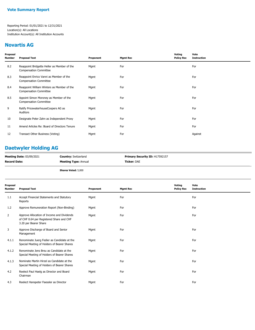## **Novartis AG**

| Proposal<br>Number | <b>Proposal Text</b>                                                         | Proponent | <b>Mgmt Rec</b> | Voting<br><b>Policy Rec</b> | Vote<br><b>Instruction</b> |
|--------------------|------------------------------------------------------------------------------|-----------|-----------------|-----------------------------|----------------------------|
| 8.2                | Reappoint Bridgette Heller as Member of the<br><b>Compensation Committee</b> | Mgmt      | For             |                             | For                        |
| 8.3                | Reappoint Enrico Vanni as Member of the<br><b>Compensation Committee</b>     | Mgmt      | For             |                             | For                        |
| 8.4                | Reappoint William Winters as Member of the<br><b>Compensation Committee</b>  | Mgmt      | For             |                             | For                        |
| 8.5                | Appoint Simon Moroney as Member of the<br><b>Compensation Committee</b>      | Mgmt      | For             |                             | For                        |
| 9                  | Ratify PricewaterhouseCoopers AG as<br>Auditors                              | Mgmt      | For             |                             | For                        |
| 10                 | Designate Peter Zahn as Independent Proxy                                    | Mgmt      | For             |                             | For                        |
| 11                 | Amend Articles Re: Board of Directors Tenure                                 | Mgmt      | For             |                             | For                        |
| 12                 | Transact Other Business (Voting)                                             | Mgmt      | For             |                             | Against                    |

## **Daetwyler Holding AG**

| <b>Meeting Date: 03/09/2021</b> | <b>Country:</b> Switzerland | <b>Primary Security ID: H17592157</b> |
|---------------------------------|-----------------------------|---------------------------------------|
| <b>Record Date:</b>             | <b>Meeting Type: Annual</b> | <b>Ticker:</b> DAE                    |
|                                 |                             |                                       |

**Shares Voted:** 5,000

| Proposal<br>Number | <b>Proposal Text</b>                                                                                            | Proponent | <b>Mgmt Rec</b> | Voting<br><b>Policy Rec</b> | Vote<br><b>Instruction</b> |
|--------------------|-----------------------------------------------------------------------------------------------------------------|-----------|-----------------|-----------------------------|----------------------------|
| 1.1                | Accept Financial Statements and Statutory<br>Reports                                                            | Mgmt      | For             |                             | For                        |
| 1.2                | Approve Remuneration Report (Non-Binding)                                                                       | Mgmt      | For             |                             | For                        |
| $\overline{2}$     | Approve Allocation of Income and Dividends<br>of CHF 0.64 per Registered Share and CHF<br>3.20 per Bearer Share | Mgmt      | For             |                             | For                        |
| 3                  | Approve Discharge of Board and Senior<br>Management                                                             | Mgmt      | For             |                             | For                        |
| 4.1.1              | Renominate Juerg Fedier as Candidate at the<br>Special Meeting of Holders of Bearer Shares                      | Mgmt      | For             |                             | For                        |
| 4.1.2              | Renominate Jens Breu as Candidate at the<br>Special Meeting of Holders of Bearer Shares                         | Mgmt      | For             |                             | For                        |
| 4.1.3              | Nominate Martin Hirzel as Candidate at the<br>Special Meeting of Holders of Bearer Shares                       | Mgmt      | For             |                             | For                        |
| 4.2                | Reelect Paul Haelg as Director and Board<br>Chairman                                                            | Mgmt      | For             |                             | For                        |
| 4.3                | Reelect Hanspeter Faessler as Director                                                                          | Mgmt      | For             |                             | For                        |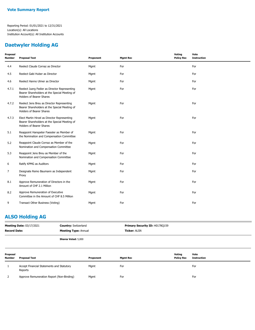## **Daetwyler Holding AG**

| Proposal<br><b>Number</b> | <b>Proposal Text</b>                                                                                                             | Proponent | <b>Mgmt Rec</b> | Voting<br><b>Policy Rec</b> | Vote<br><b>Instruction</b> |
|---------------------------|----------------------------------------------------------------------------------------------------------------------------------|-----------|-----------------|-----------------------------|----------------------------|
| 4.4                       | Reelect Claude Cornaz as Director                                                                                                | Mgmt      | For             |                             | For                        |
| 4.5                       | Reelect Gabi Huber as Director                                                                                                   | Mgmt      | For             |                             | For                        |
| 4.6                       | Reelect Hanno Ulmer as Director                                                                                                  | Mgmt      | For             |                             | For                        |
| 4.7.1                     | Reelect Juerg Fedier as Director Representing<br>Bearer Shareholders at the Special Meeting of<br>Holders of Bearer Shares       | Mgmt      | For             |                             | For                        |
| 4.7.2                     | Reelect Jens Breu as Director Representing<br>Bearer Shareholders at the Special Meeting of<br><b>Holders of Bearer Shares</b>   | Mgmt      | For             |                             | For                        |
| 4.7.3                     | Elect Martin Hirzel as Director Representing<br>Bearer Shareholders at the Special Meeting of<br><b>Holders of Bearer Shares</b> | Mgmt      | For             |                             | For                        |
| 5.1                       | Reappoint Hanspeter Faessler as Member of<br>the Nomination and Compensation Committee                                           | Mgmt      | For             |                             | For                        |
| 5.2                       | Reappoint Claude Cornaz as Member of the<br>Nomination and Compensation Committee                                                | Mgmt      | For             |                             | For                        |
| 5.3                       | Reappoint Jens Breu as Member of the<br>Nomination and Compensation Committee                                                    | Mgmt      | For             |                             | For                        |
| 6                         | Ratify KPMG as Auditors                                                                                                          | Mgmt      | For             |                             | For                        |
| $\overline{7}$            | Designate Remo Baumann as Independent<br>Proxy                                                                                   | Mgmt      | For             |                             | For                        |
| 8.1                       | Approve Remuneration of Directors in the<br>Amount of CHF 2.1 Million                                                            | Mgmt      | For             |                             | For                        |
| 8.2                       | Approve Remuneration of Executive<br>Committee in the Amount of CHF 8.5 Million                                                  | Mgmt      | For             |                             | For                        |
| 9                         | Transact Other Business (Voting)                                                                                                 | Mgmt      | For             |                             | For                        |

## **ALSO Holding AG**

| <b>Meeting Date: 03/17/2021</b><br><b>Record Date:</b> |                                                      | <b>Country: Switzerland</b><br><b>Meeting Type: Annual</b> |           | Primary Security ID: H0178Q159<br><b>Ticker: ALSN</b> |                             |                            |
|--------------------------------------------------------|------------------------------------------------------|------------------------------------------------------------|-----------|-------------------------------------------------------|-----------------------------|----------------------------|
|                                                        |                                                      | <b>Shares Voted: 5,000</b>                                 |           |                                                       |                             |                            |
| Proposal<br><b>Number</b>                              | <b>Proposal Text</b>                                 |                                                            | Proponent | <b>Mgmt Rec</b>                                       | Voting<br><b>Policy Rec</b> | Vote<br><b>Instruction</b> |
|                                                        | Accept Financial Statements and Statutory<br>Reports |                                                            | Mgmt      | For                                                   |                             | For                        |
|                                                        | Approve Remuneration Report (Non-Binding)            |                                                            | Mgmt      | For                                                   |                             | For                        |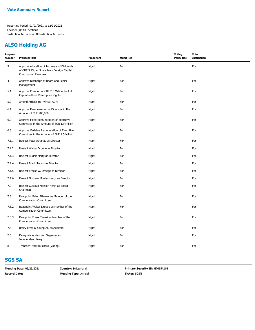## **ALSO Holding AG**

| Proposal<br><b>Number</b> | <b>Proposal Text</b>                                                                                                     | Proponent | <b>Mgmt Rec</b> | Voting<br><b>Policy Rec</b> | Vote<br><b>Instruction</b> |
|---------------------------|--------------------------------------------------------------------------------------------------------------------------|-----------|-----------------|-----------------------------|----------------------------|
| 3                         | Approve Allocation of Income and Dividends<br>of CHF 3.75 per Share from Foreign Capital<br><b>Contribution Reserves</b> | Mgmt      | For             |                             | For                        |
| 4                         | Approve Discharge of Board and Senior<br>Management                                                                      | Mgmt      | For             |                             | For                        |
| 5.1                       | Approve Creation of CHF 2.5 Million Pool of<br>Capital without Preemptive Rights                                         | Mgmt      | For             |                             | For                        |
| 5.2                       | Amend Articles Re: Virtual AGM                                                                                           | Mgmt      | For             |                             | For                        |
| 6.1                       | Approve Remuneration of Directors in the<br>Amount of CHF 900,000                                                        | Mgmt      | For             |                             | For                        |
| 6.2                       | Approve Fixed Remuneration of Executive<br>Committee in the Amount of EUR 1.9 Million                                    | Mgmt      | For             |                             | For                        |
| 6.3                       | Approve Variable Remuneration of Executive<br>Committee in the Amount of EUR 9.5 Million                                 | Mgmt      | For             |                             | For                        |
| 7.1.1                     | Reelect Peter Athanas as Director                                                                                        | Mgmt      | For             |                             | For                        |
| 7.1.2                     | Reelect Walter Droege as Director                                                                                        | Mgmt      | For             |                             | For                        |
| 7.1.3                     | Reelect Rudolf Marty as Director                                                                                         | Mgmt      | For             |                             | For                        |
| 7.1.4                     | Reelect Frank Tanski as Director                                                                                         | Mgmt      | For             |                             | For                        |
| 7.1.5                     | Reelect Ernest-W. Droege as Director                                                                                     | Mgmt      | For             |                             | For                        |
| 7.1.6                     | Reelect Gustavo Moeller-Hergt as Director                                                                                | Mgmt      | For             |                             | For                        |
| 7.2                       | Reelect Gustavo Moeller-Hergt as Board<br>Chairman                                                                       | Mgmt      | For             |                             | For                        |
| 7.3.1                     | Reappoint Peter Athanas as Member of the<br><b>Compensation Committee</b>                                                | Mgmt      | For             |                             | For                        |
| 7.3.2                     | Reappoint Walter Droege as Member of the<br><b>Compensation Committee</b>                                                | Mgmt      | For             |                             | For                        |
| 7.3.3                     | Reappoint Frank Tanski as Member of the<br><b>Compensation Committee</b>                                                 | Mgmt      | For             |                             | For                        |
| 7.4                       | Ratify Ernst & Young AG as Auditors                                                                                      | Mgmt      | For             |                             | For                        |
| 7.5                       | Designate Adrian von Segesser as<br><b>Independent Proxy</b>                                                             | Mgmt      | For             |                             | For                        |
| 8                         | Transact Other Business (Voting)                                                                                         | Mgmt      | For             |                             | For                        |

## **SGS SA**

| <b>Meeting Date: 03/23/2021</b> | <b>Country: Switzerland</b> | Primary Security ID: H7485A108 |
|---------------------------------|-----------------------------|--------------------------------|
| <b>Record Date:</b>             | <b>Meeting Type: Annual</b> | <b>Ticker:</b> SGSN            |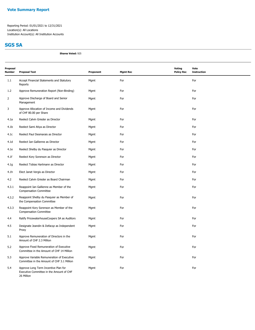## **SGS SA**

**Shares Voted:** 925

| Proposal<br><b>Number</b> | <b>Proposal Text</b>                                                                           | Proponent | <b>Mgmt Rec</b> | Voting<br><b>Policy Rec</b> | Vote<br><b>Instruction</b> |
|---------------------------|------------------------------------------------------------------------------------------------|-----------|-----------------|-----------------------------|----------------------------|
| 1.1                       | Accept Financial Statements and Statutory<br>Reports                                           | Mgmt      | For             |                             | For                        |
| 1.2                       | Approve Remuneration Report (Non-Binding)                                                      | Mgmt      | For             |                             | For                        |
| $\overline{2}$            | Approve Discharge of Board and Senior<br>Management                                            | Mgmt      | For             |                             | For                        |
| 3                         | Approve Allocation of Income and Dividends<br>of CHF 80.00 per Share                           | Mgmt      | For             |                             | For                        |
| 4.1a                      | Reelect Calvin Grieder as Director                                                             | Mgmt      | For             |                             | For                        |
| 4.1 <sub>b</sub>          | Reelect Sami Atiya as Director                                                                 | Mgmt      | For             |                             | For                        |
| 4.1c                      | Reelect Paul Desmarais as Director                                                             | Mgmt      | For             |                             | For                        |
| 4.1 <sub>d</sub>          | Reelect Ian Gallienne as Director                                                              | Mgmt      | For             |                             | For                        |
| 4.1e                      | Reelect Shelby du Pasquier as Director                                                         | Mgmt      | For             |                             | For                        |
| 4.1f                      | Reelect Kory Sorenson as Director                                                              | Mgmt      | For             |                             | For                        |
| 4.1g                      | Reelect Tobias Hartmann as Director                                                            | Mgmt      | For             |                             | For                        |
| 4.1h                      | Elect Janet Vergis as Director                                                                 | Mgmt      | For             |                             | For                        |
| 4.2                       | Reelect Calvin Grieder as Board Chairman                                                       | Mgmt      | For             |                             | For                        |
| 4.3.1                     | Reappoint Ian Gallienne as Member of the<br><b>Compensation Committee</b>                      | Mgmt      | For             |                             | For                        |
| 4.3.2                     | Reappoint Shelby du Pasquier as Member of<br>the Compensation Committee                        | Mgmt      | For             |                             | For                        |
| 4.3.3                     | Reappoint Kory Sorenson as Member of the<br><b>Compensation Committee</b>                      | Mgmt      | For             |                             | For                        |
| 4.4                       | Ratify PricewaterhouseCoopers SA as Auditors                                                   | Mgmt      | For             |                             | For                        |
| 4.5                       | Designate Jeandin & Defacqz as Independent<br>Proxy                                            | Mgmt      | For             |                             | For                        |
| 5.1                       | Approve Remuneration of Directors in the<br>Amount of CHF 2.3 Million                          | Mgmt      | For             |                             | For                        |
| 5.2                       | Approve Fixed Remuneration of Executive<br>Committee in the Amount of CHF 14 Million           | Mgmt      | For             |                             | For                        |
| 5.3                       | Approve Variable Remuneration of Executive<br>Committee in the Amount of CHF 3.1 Million       | Mgmt      | For             |                             | For                        |
| 5.4                       | Approve Long Term Incentive Plan for<br>Executive Committee in the Amount of CHF<br>26 Million | Mgmt      | For             |                             | For                        |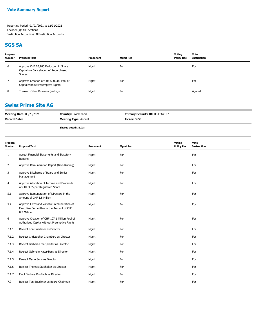#### **SGS SA**

| Proposal<br><b>Number</b> | Proposal Text                                                                              | Proponent | Mgmt Rec | Voting<br><b>Policy Rec</b> | Vote<br>Instruction |
|---------------------------|--------------------------------------------------------------------------------------------|-----------|----------|-----------------------------|---------------------|
| 6                         | Approve CHF 70,700 Reduction in Share<br>Capital via Cancellation of Repurchased<br>Shares | Mgmt      | For      |                             | For                 |
|                           | Approve Creation of CHF 500,000 Pool of<br>Capital without Preemptive Rights               | Mgmt      | For      |                             | For                 |
| 8                         | Transact Other Business (Voting)                                                           | Mgmt      | For      |                             | Against             |

#### **Swiss Prime Site AG**

| <b>Meeting Date: 03/23/2021</b> | <b>Country: Switzerland</b> | <b>Primary Security ID: H8403W107</b> |
|---------------------------------|-----------------------------|---------------------------------------|
| <b>Record Date:</b>             | <b>Meeting Type: Annual</b> | <b>Ticker: SPSN</b>                   |
|                                 | Shares Voted: 36,905        |                                       |

| Proposal<br><b>Number</b> | <b>Proposal Text</b>                                                                                  | Proponent | <b>Mgmt Rec</b> | Voting<br><b>Policy Rec</b> | Vote<br><b>Instruction</b> |
|---------------------------|-------------------------------------------------------------------------------------------------------|-----------|-----------------|-----------------------------|----------------------------|
| 1                         | Accept Financial Statements and Statutory<br>Reports                                                  | Mgmt      | For             |                             | For                        |
| $\overline{2}$            | Approve Remuneration Report (Non-Binding)                                                             | Mgmt      | For             |                             | For                        |
| 3                         | Approve Discharge of Board and Senior<br>Management                                                   | Mgmt      | For             |                             | For                        |
| 4                         | Approve Allocation of Income and Dividends<br>of CHF 3.35 per Registered Share                        | Mgmt      | For             |                             | For                        |
| 5.1                       | Approve Remuneration of Directors in the<br>Amount of CHF 1.8 Million                                 | Mgmt      | For             |                             | For                        |
| 5.2                       | Approve Fixed and Variable Remuneration of<br>Executive Committee in the Amount of CHF<br>8.3 Million | Mgmt      | For             |                             | For                        |
| 6                         | Approve Creation of CHF 107.1 Million Pool of<br>Authorized Capital without Preemptive Rights         | Mgmt      | For             |                             | For                        |
| 7.1.1                     | Reelect Ton Buechner as Director                                                                      | Mgmt      | For             |                             | For                        |
| 7.1.2                     | Reelect Christopher Chambers as Director                                                              | Mgmt      | For             |                             | For                        |
| 7.1.3                     | Reelect Barbara Frei-Spreiter as Director                                                             | Mgmt      | For             |                             | For                        |
| 7.1.4                     | Reelect Gabrielle Nater-Bass as Director                                                              | Mgmt      | For             |                             | For                        |
| 7.1.5                     | Reelect Mario Seris as Director                                                                       | Mgmt      | For             |                             | For                        |
| 7.1.6                     | Reelect Thomas Studhalter as Director                                                                 | Mgmt      | For             |                             | For                        |
| 7.1.7                     | Elect Barbara Knoflach as Director                                                                    | Mgmt      | For             |                             | For                        |
| 7.2                       | Reelect Ton Buechner as Board Chairman                                                                | Mgmt      | For             |                             | For                        |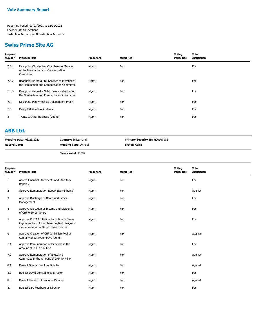#### **Swiss Prime Site AG**

| Proposal<br>Number | <b>Proposal Text</b>                                                                        | Proponent | <b>Mgmt Rec</b> | Voting<br><b>Policy Rec</b> | Vote<br><b>Instruction</b> |
|--------------------|---------------------------------------------------------------------------------------------|-----------|-----------------|-----------------------------|----------------------------|
| 7.3.1              | Reappoint Christopher Chambers as Member<br>of the Nomination and Compensation<br>Committee | Mgmt      | For             |                             | For                        |
| 7.3.2              | Reappoint Barbara Frei-Spreiter as Member of<br>the Nomination and Compensation Committee   | Mgmt      | For             |                             | For                        |
| 7.3.3              | Reappoint Gabrielle Nater-Bass as Member of<br>the Nomination and Compensation Committee    | Mgmt      | For             |                             | For                        |
| 7.4                | Designate Paul Wiesli as Independent Proxy                                                  | Mgmt      | For             |                             | For                        |
| 7.5                | Ratify KPMG AG as Auditors                                                                  | Mgmt      | For             |                             | For                        |
| 8                  | Transact Other Business (Voting)                                                            | Mgmt      | For             |                             | For                        |
|                    |                                                                                             |           |                 |                             |                            |

#### **ABB Ltd.**

| <b>Meeting Date: 03/25/2021</b> | <b>Country: Switzerland</b> | Primary Security ID: H0010V101 |
|---------------------------------|-----------------------------|--------------------------------|
| <b>Record Date:</b>             | <b>Meeting Type: Annual</b> | <b>Ticker:</b> ABBN            |
|                                 |                             |                                |

**Shares Voted:** 30,000

| Proposal<br><b>Number</b> | <b>Proposal Text</b>                                                                                                                  | Proponent | <b>Mgmt Rec</b> | Voting<br><b>Policy Rec</b> | Vote<br><b>Instruction</b> |
|---------------------------|---------------------------------------------------------------------------------------------------------------------------------------|-----------|-----------------|-----------------------------|----------------------------|
| 1                         | Accept Financial Statements and Statutory<br>Reports                                                                                  | Mgmt      | For             |                             | For                        |
| 2                         | Approve Remuneration Report (Non-Binding)                                                                                             | Mgmt      | For             |                             | Against                    |
| 3                         | Approve Discharge of Board and Senior<br>Management                                                                                   | Mgmt      | For             |                             | For                        |
| 4                         | Approve Allocation of Income and Dividends<br>of CHF 0.80 per Share                                                                   | Mgmt      | For             |                             | For                        |
| 5                         | Approve CHF 13.8 Million Reduction in Share<br>Capital as Part of the Share Buyback Program<br>via Cancellation of Repurchased Shares | Mgmt      | For             |                             | For                        |
| 6                         | Approve Creation of CHF 24 Million Pool of<br>Capital without Preemptive Rights                                                       | Mgmt      | For             |                             | Against                    |
| 7.1                       | Approve Remuneration of Directors in the<br>Amount of CHF 4.4 Million                                                                 | Mgmt      | For             |                             | For                        |
| 7.2                       | Approve Remuneration of Executive<br>Committee in the Amount of CHF 40 Million                                                        | Mgmt      | For             |                             | Against                    |
| 8.1                       | Reelect Gunnar Brock as Director                                                                                                      | Mgmt      | For             |                             | Against                    |
| 8.2                       | Reelect David Constable as Director                                                                                                   | Mgmt      | For             |                             | For                        |
| 8.3                       | Reelect Frederico Curado as Director                                                                                                  | Mgmt      | For             |                             | Against                    |
| 8.4                       | Reelect Lars Foerberg as Director                                                                                                     | Mgmt      | For             |                             | For                        |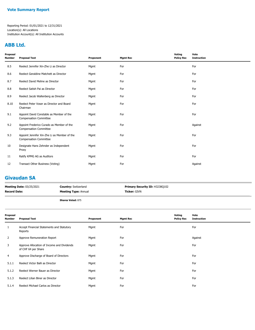#### **ABB Ltd.**

| Proposal<br>Number | <b>Proposal Text</b>                                                          | Proponent | <b>Mgmt Rec</b> | Voting<br><b>Policy Rec</b> | Vote<br><b>Instruction</b> |
|--------------------|-------------------------------------------------------------------------------|-----------|-----------------|-----------------------------|----------------------------|
| 8.5                | Reelect Jennifer Xin-Zhe Li as Director                                       | Mgmt      | For             |                             | For                        |
| 8.6                | Reelect Geraldine Matchett as Director                                        | Mgmt      | For             |                             | For                        |
| 8.7                | Reelect David Meline as Director                                              | Mgmt      | For             |                             | For                        |
| 8.8                | Reelect Satish Pai as Director                                                | Mgmt      | For             |                             | For                        |
| 8.9                | Reelect Jacob Wallenberg as Director                                          | Mgmt      | For             |                             | For                        |
| 8.10               | Reelect Peter Voser as Director and Board<br>Chairman                         | Mgmt      | For             |                             | For                        |
| 9.1                | Appoint David Constable as Member of the<br><b>Compensation Committee</b>     | Mgmt      | For             |                             | For                        |
| 9.2                | Appoint Frederico Curado as Member of the<br><b>Compensation Committee</b>    | Mgmt      | For             |                             | Against                    |
| 9.3                | Appoint Jennifer Xin-Zhe Li as Member of the<br><b>Compensation Committee</b> | Mgmt      | For             |                             | For                        |
| 10                 | Designate Hans Zehnder as Independent<br>Proxy                                | Mgmt      | For             |                             | For                        |
| 11                 | Ratify KPMG AG as Auditors                                                    | Mgmt      | For             |                             | For                        |
| 12                 | Transact Other Business (Voting)                                              | Mgmt      | For             |                             | Against                    |
|                    |                                                                               |           |                 |                             |                            |

## **Givaudan SA**

| <b>Meeting Date: 03/25/2021</b> | <b>Country: Switzerland</b> | <b>Primary Security ID: H3238Q102</b> |
|---------------------------------|-----------------------------|---------------------------------------|
| <b>Record Date:</b>             | <b>Meeting Type: Annual</b> | <b>Ticker: GIVN</b>                   |
|                                 | <b>Shares Voted: 875</b>    |                                       |

| Proposal<br>Number | <b>Proposal Text</b>                                              | Proponent | <b>Mgmt Rec</b> | Voting<br><b>Policy Rec</b> | Vote<br><b>Instruction</b> |
|--------------------|-------------------------------------------------------------------|-----------|-----------------|-----------------------------|----------------------------|
| $\mathbf{1}$       | Accept Financial Statements and Statutory<br>Reports              | Mgmt      | For             |                             | For                        |
| $\overline{2}$     | Approve Remuneration Report                                       | Mgmt      | For             |                             | Against                    |
| 3                  | Approve Allocation of Income and Dividends<br>of CHF 64 per Share | Mgmt      | For             |                             | For                        |
| 4                  | Approve Discharge of Board of Directors                           | Mgmt      | For             |                             | For                        |
| 5.1.1              | Reelect Victor Balli as Director                                  | Mgmt      | For             |                             | For                        |
| 5.1.2              | Reelect Werner Bauer as Director                                  | Mgmt      | For             |                             | For                        |
| 5.1.3              | Reelect Lilian Biner as Director                                  | Mgmt      | For             |                             | For                        |
| 5.1.4              | Reelect Michael Carlos as Director                                | Mgmt      | For             |                             | For                        |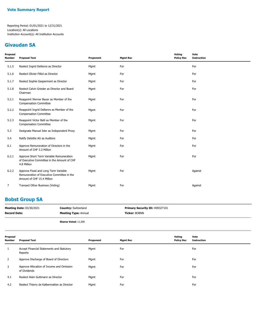## **Givaudan SA**

| Proposal<br>Number | <b>Proposal Text</b>                                                                                             | Proponent | <b>Mgmt Rec</b> | <b>Voting</b><br><b>Policy Rec</b> | Vote<br><b>Instruction</b> |
|--------------------|------------------------------------------------------------------------------------------------------------------|-----------|-----------------|------------------------------------|----------------------------|
| 5.1.5              | Reelect Ingrid Deltenre as Director                                                                              | Mgmt      | For             |                                    | For                        |
| 5.1.6              | Reelect Olivier Filliol as Director                                                                              | Mgmt      | For             |                                    | For                        |
| 5.1.7              | Reelect Sophie Gasperment as Director                                                                            | Mgmt      | For             |                                    | For                        |
| 5.1.8              | Reelect Calvin Grieder as Director and Board<br>Chairman                                                         | Mgmt      | For             |                                    | For                        |
| 5.2.1              | Reappoint Werner Bauer as Member of the<br><b>Compensation Committee</b>                                         | Mgmt      | For             |                                    | For                        |
| 5.2.2              | Reappoint Ingrid Deltenre as Member of the<br><b>Compensation Committee</b>                                      | Mgmt      | For             |                                    | For                        |
| 5.2.3              | Reappoint Victor Balli as Member of the<br><b>Compensation Committee</b>                                         | Mgmt      | For             |                                    | For                        |
| 5.3                | Designate Manuel Isler as Independent Proxy                                                                      | Mgmt      | For             |                                    | For                        |
| 5.4                | Ratify Deloitte AG as Auditors                                                                                   | Mgmt      | For             |                                    | For                        |
| 6.1                | Approve Remuneration of Directors in the<br>Amount of CHF 3.3 Million                                            | Mgmt      | For             |                                    | For                        |
| 6.2.1              | Approve Short Term Variable Remuneration<br>of Executive Committee in the Amount of CHF<br>4.8 Million           | Mgmt      | For             |                                    | For                        |
| 6.2.2              | Approve Fixed and Long Term Variable<br>Remuneration of Executive Committee in the<br>Amount of CHF 15.4 Million | Mgmt      | For             |                                    | Against                    |
| 7                  | Transact Other Business (Voting)                                                                                 | Mgmt      | For             |                                    | Against                    |

## **Bobst Group SA**

| <b>Meeting Date: 03/30/2021</b> | <b>Country: Switzerland</b> | <b>Primary Security ID: H0932T101</b> |
|---------------------------------|-----------------------------|---------------------------------------|
| <b>Record Date:</b>             | <b>Meeting Type: Annual</b> | <b>Ticker: BOBNN</b>                  |
|                                 |                             |                                       |

**Shares Voted:** 11,500

| Proposal<br><b>Number</b> | <b>Proposal Text</b>                                      | Proponent | <b>Mgmt Rec</b> | Voting<br><b>Policy Rec</b> | Vote<br><b>Instruction</b> |
|---------------------------|-----------------------------------------------------------|-----------|-----------------|-----------------------------|----------------------------|
|                           | Accept Financial Statements and Statutory<br>Reports      | Mgmt      | For             |                             | For                        |
|                           | Approve Discharge of Board of Directors                   | Mgmt      | For             |                             | For                        |
| 3                         | Approve Allocation of Income and Omission<br>of Dividends | Mgmt      | For             |                             | For                        |
| 4.1                       | Reelect Alain Guttmann as Director                        | Mgmt      | For             |                             | For                        |
| 4.2                       | Reelect Thierry de Kalbermatten as Director               | Mgmt      | For             |                             | For                        |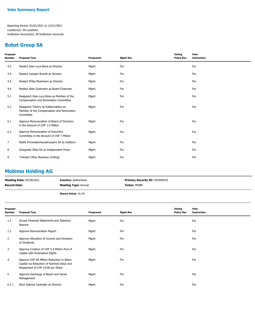#### **Bobst Group SA**

| Proposal<br>Number | <b>Proposal Text</b>                                                                           | Proponent | <b>Mgmt Rec</b> | Voting<br><b>Policy Rec</b> | Vote<br><b>Instruction</b> |
|--------------------|------------------------------------------------------------------------------------------------|-----------|-----------------|-----------------------------|----------------------------|
| 4.3                | Reelect Gian-Luca Bona as Director                                                             | Mgmt      | For             |                             | For                        |
| 4.4                | Reelect Juergen Brandt as Director                                                             | Mgmt      | For             |                             | For                        |
| 4.5                | Reelect Philip Mosimann as Director                                                            | Mgmt      | For             |                             | For                        |
| 4.6                | Reelect Alain Guttmann as Board Chairman                                                       | Mgmt      | For             |                             | For                        |
| 5.1                | Reappoint Gian-Luca Bona as Member of the<br>Compensation and Nomination Committee             | Mgmt      | For             |                             | For                        |
| 5.2                | Reappoint Thierry de Kalbermatten as<br>Member of the Compensation and Nomination<br>Committee | Mgmt      | For             |                             | For                        |
| 6.1                | Approve Remuneration of Board of Directors<br>in the Amount of CHF 1.6 Million                 | Mgmt      | For             |                             | For                        |
| 6.2                | Approve Remuneration of Executive<br>Committee in the Amount of CHF 7 Million                  | Mgmt      | For             |                             | For                        |
| 7                  | Ratify PricewaterhouseCoopers SA as Auditors                                                   | Mgmt      | For             |                             | For                        |
| 8                  | Designate Ofisa SA as Independent Proxy                                                        | Mgmt      | For             |                             | For                        |
| 9                  | Transact Other Business (Voting)                                                               | Mgmt      | For             |                             | For                        |

#### **Mobimo Holding AG**

| <b>Meeting Date: 03/30/2021</b> | <b>Country: Switzerland</b> | <b>Primary Security ID: H55058103</b> |
|---------------------------------|-----------------------------|---------------------------------------|
| <b>Record Date:</b>             | <b>Meeting Type: Annual</b> | <b>Ticker: MOBN</b>                   |
|                                 | <b>Shares Voted: 19,276</b> |                                       |

| Proposal<br>Number | <b>Proposal Text</b>                                                                                                        | Proponent | <b>Mgmt Rec</b> | Voting<br><b>Policy Rec</b> | Vote<br><b>Instruction</b> |
|--------------------|-----------------------------------------------------------------------------------------------------------------------------|-----------|-----------------|-----------------------------|----------------------------|
| 1.1                | Accept Financial Statements and Statutory<br>Reports                                                                        | Mgmt      | For             |                             | For                        |
| 1.2                | Approve Remuneration Report                                                                                                 | Mgmt      | For             |                             | For                        |
| 2                  | Approve Allocation of Income and Omission<br>of Dividends                                                                   | Mgmt      | For             |                             | For                        |
| 3                  | Approve Creation of CHF 5.4 Million Pool of<br>Capital with Preemptive Rights                                               | Mgmt      | For             |                             | For                        |
| 4                  | Approve CHF 66 Million Reduction in Share<br>Capital via Reduction of Nominal Value and<br>Repayment of CHF 10.00 per Share | Mgmt      | For             |                             | For                        |
| 5                  | Approve Discharge of Board and Senior<br>Management                                                                         | Mgmt      | For             |                             | For                        |
| 6.1.1              | Elect Sabrina Contratto as Director                                                                                         | Mgmt      | For             |                             | For                        |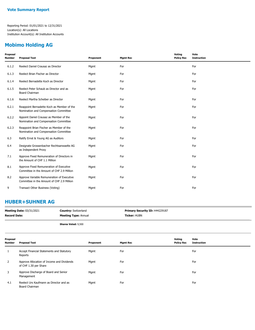## **Mobimo Holding AG**

| Proposal<br>Number | <b>Proposal Text</b>                                                                     | Proponent | <b>Mgmt Rec</b> | Voting<br><b>Policy Rec</b> | Vote<br><b>Instruction</b> |
|--------------------|------------------------------------------------------------------------------------------|-----------|-----------------|-----------------------------|----------------------------|
| 6.1.2              | Reelect Daniel Crausaz as Director                                                       | Mgmt      | For             |                             | For                        |
| 6.1.3              | Reelect Brian Fischer as Director                                                        | Mgmt      | For             |                             | For                        |
| 6.1.4              | Reelect Bernadette Koch as Director                                                      | Mgmt      | For             |                             | For                        |
| 6.1.5              | Reelect Peter Schaub as Director and as<br>Board Chairman                                | Mgmt      | For             |                             | For                        |
| 6.1.6              | Reelect Martha Scheiber as Director                                                      | Mgmt      | For             |                             | For                        |
| 6.2.1              | Reappoint Bernadette Koch as Member of the<br>Nomination and Compensation Committee      | Mgmt      | For             |                             | For                        |
| 6.2.2              | Appoint Daniel Crausaz as Member of the<br>Nomination and Compensation Committee         | Mgmt      | For             |                             | For                        |
| 6.2.3              | Reappoint Brian Fischer as Member of the<br>Nomination and Compensation Committee        | Mgmt      | For             |                             | For                        |
| 6.3                | Ratify Ernst & Young AG as Auditors                                                      | Mgmt      | For             |                             | For                        |
| 6.4                | Designate Grossenbacher Rechtsanwaelte AG<br>as Independent Proxy                        | Mgmt      | For             |                             | For                        |
| 7.1                | Approve Fixed Remuneration of Directors in<br>the Amount of CHF 1.1 Million              | Mgmt      | For             |                             | For                        |
| 8.1                | Approve Fixed Remuneration of Executive<br>Committee in the Amount of CHF 2.9 Million    | Mgmt      | For             |                             | For                        |
| 8.2                | Approve Variable Remuneration of Executive<br>Committee in the Amount of CHF 2.9 Million | Mgmt      | For             |                             | For                        |
| 9                  | Transact Other Business (Voting)                                                         | Mgmt      | For             |                             | For                        |
|                    |                                                                                          |           |                 |                             |                            |

#### **HUBER+SUHNER AG**

| <b>Meeting Date: 03/31/2021</b> | <b>Country: Switzerland</b> | <b>Primary Security ID: H44229187</b> |
|---------------------------------|-----------------------------|---------------------------------------|
| <b>Record Date:</b>             | <b>Meeting Type: Annual</b> | <b>Ticker:</b> HUBN                   |
|                                 | Shares Voted: 0.500         |                                       |

| <b>Shares Voted: 9,500</b> |  |  |
|----------------------------|--|--|
|                            |  |  |

| Proposal<br><b>Number</b> | <b>Proposal Text</b>                                                | Proponent | <b>Mgmt Rec</b> | Voting<br><b>Policy Rec</b> | Vote<br><b>Instruction</b> |
|---------------------------|---------------------------------------------------------------------|-----------|-----------------|-----------------------------|----------------------------|
|                           | Accept Financial Statements and Statutory<br>Reports                | Mgmt      | For             |                             | For                        |
|                           | Approve Allocation of Income and Dividends<br>of CHF 1.30 per Share | Mgmt      | For             |                             | For                        |
|                           | Approve Discharge of Board and Senior<br>Management                 | Mgmt      | For             |                             | For                        |
| 4.1                       | Reelect Urs Kaufmann as Director and as<br>Board Chairman           | Mgmt      | For             |                             | For                        |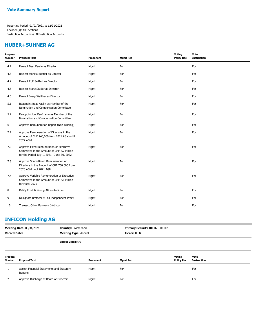#### **HUBER+SUHNER AG**

| Proposal<br><b>Number</b> | <b>Proposal Text</b>                                                                                                                 | Proponent | <b>Mgmt Rec</b> | <b>Voting</b><br><b>Policy Rec</b> | Vote<br><b>Instruction</b> |
|---------------------------|--------------------------------------------------------------------------------------------------------------------------------------|-----------|-----------------|------------------------------------|----------------------------|
| 4.2                       | Reelect Beat Kaelin as Director                                                                                                      | Mgmt      | For             |                                    | For                        |
| 4.3                       | Reelect Monika Buetler as Director                                                                                                   | Mgmt      | For             |                                    | For                        |
| 4.4                       | Reelect Rolf Seiffert as Director                                                                                                    | Mgmt      | For             |                                    | For                        |
| 4.5                       | Reelect Franz Studer as Director                                                                                                     | Mgmt      | For             |                                    | For                        |
| 4.6                       | Reelect Joerg Walther as Director                                                                                                    | Mgmt      | For             |                                    | For                        |
| 5.1                       | Reappoint Beat Kaelin as Member of the<br>Nomination and Compensation Committee                                                      | Mgmt      | For             |                                    | For                        |
| 5.2                       | Reappoint Urs Kaufmann as Member of the<br>Nomination and Compensation Committee                                                     | Mgmt      | For             |                                    | For                        |
| 6                         | Approve Remuneration Report (Non-Binding)                                                                                            | Mgmt      | For             |                                    | For                        |
| 7.1                       | Approve Remuneration of Directors in the<br>Amount of CHF 740,000 from 2021 AGM until<br>2022 AGM                                    | Mgmt      | For             |                                    | For                        |
| 7.2                       | Approve Fixed Remuneration of Executive<br>Committee in the Amount of CHF 2.7 Million<br>for the Period July 1, 2021 - June 30, 2022 | Mgmt      | For             |                                    | For                        |
| 7.3                       | Approve Share-Based Remuneration of<br>Directors in the Amount of CHF 760,000 from<br>2020 AGM until 2021 AGM                        | Mgmt      | For             |                                    | For                        |
| 7.4                       | Approve Variable Remuneration of Executive<br>Committee in the Amount of CHF 2.1 Million<br>for Fiscal 2020                          | Mgmt      | For             |                                    | For                        |
| 8                         | Ratify Ernst & Young AG as Auditors                                                                                                  | Mgmt      | For             |                                    | For                        |
| 9                         | Designate Bratschi AG as Independent Proxy                                                                                           | Mgmt      | For             |                                    | For                        |
| 10                        | Transact Other Business (Voting)                                                                                                     | Mgmt      | For             |                                    | For                        |

## **INFICON Holding AG**

| <b>Meeting Date: 03/31/2021</b><br><b>Record Date:</b> |                                                      | <b>Country: Switzerland</b><br><b>Meeting Type: Annual</b> |           | Primary Security ID: H7190K102<br><b>Ticker: IFCN</b> |                             |                            |
|--------------------------------------------------------|------------------------------------------------------|------------------------------------------------------------|-----------|-------------------------------------------------------|-----------------------------|----------------------------|
|                                                        |                                                      | <b>Shares Voted: 670</b>                                   |           |                                                       |                             |                            |
| Proposal<br><b>Number</b>                              | <b>Proposal Text</b>                                 |                                                            | Proponent | <b>Mgmt Rec</b>                                       | Voting<br><b>Policy Rec</b> | Vote<br><b>Instruction</b> |
|                                                        | Accept Financial Statements and Statutory<br>Reports |                                                            | Mgmt      | For                                                   |                             | For                        |
|                                                        | Approve Discharge of Board of Directors              |                                                            | Mgmt      | For                                                   |                             | For                        |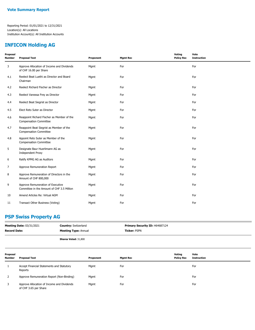#### **INFICON Holding AG**

| Proposal<br>Number | <b>Proposal Text</b>                                                            | Proponent | <b>Mgmt Rec</b> | Voting<br><b>Policy Rec</b> | Vote<br><b>Instruction</b> |
|--------------------|---------------------------------------------------------------------------------|-----------|-----------------|-----------------------------|----------------------------|
| 3                  | Approve Allocation of Income and Dividends<br>of CHF 16.00 per Share            | Mgmt      | For             |                             | For                        |
| 4.1                | Reelect Beat Luethi as Director and Board<br>Chairman                           | Mgmt      | For             |                             | For                        |
| 4.2                | Reelect Richard Fischer as Director                                             | Mgmt      | For             |                             | For                        |
| 4.3                | Reelect Vanessa Frey as Director                                                | Mgmt      | For             |                             | For                        |
| 4.4                | Reelect Beat Siegrist as Director                                               | Mgmt      | For             |                             | For                        |
| 4.5                | Elect Reto Suter as Director                                                    | Mgmt      | For             |                             | For                        |
| 4.6                | Reappoint Richard Fischer as Member of the<br><b>Compensation Committee</b>     | Mgmt      | For             |                             | For                        |
| 4.7                | Reappoint Beat Siegrist as Member of the<br><b>Compensation Committee</b>       | Mgmt      | For             |                             | For                        |
| 4.8                | Appoint Reto Suter as Member of the<br><b>Compensation Committee</b>            | Mgmt      | For             |                             | For                        |
| 5                  | Designate Baur Huerlimann AG as<br><b>Independent Proxy</b>                     | Mgmt      | For             |                             | For                        |
| 6                  | Ratify KPMG AG as Auditors                                                      | Mgmt      | For             |                             | For                        |
| 7                  | Approve Remuneration Report                                                     | Mgmt      | For             |                             | For                        |
| 8                  | Approve Remuneration of Directors in the<br>Amount of CHF 800,000               | Mgmt      | For             |                             | For                        |
| 9                  | Approve Remuneration of Executive<br>Committee in the Amount of CHF 3.5 Million | Mgmt      | For             |                             | For                        |
| 10                 | Amend Articles Re: Virtual AGM                                                  | Mgmt      | For             |                             | For                        |
| 11                 | Transact Other Business (Voting)                                                | Mgmt      | For             |                             | For                        |

## **PSP Swiss Property AG**

| <b>Meeting Date: 03/31/2021</b><br><b>Record Date:</b> |                                                                     | <b>Country: Switzerland</b><br><b>Meeting Type: Annual</b> |           | Primary Security ID: H64687124<br><b>Ticker: PSPN</b> |                             |                            |
|--------------------------------------------------------|---------------------------------------------------------------------|------------------------------------------------------------|-----------|-------------------------------------------------------|-----------------------------|----------------------------|
|                                                        |                                                                     | Shares Voted: 31,800                                       |           |                                                       |                             |                            |
| Proposal<br><b>Number</b>                              | <b>Proposal Text</b>                                                |                                                            | Proponent | <b>Mgmt Rec</b>                                       | Voting<br><b>Policy Rec</b> | Vote<br><b>Instruction</b> |
|                                                        | Accept Financial Statements and Statutory<br>Reports                |                                                            | Mgmt      | For                                                   |                             | For                        |
| 2                                                      | Approve Remuneration Report (Non-Binding)                           |                                                            | Mgmt      | For                                                   |                             | For                        |
| 3                                                      | Approve Allocation of Income and Dividends<br>of CHF 3.65 per Share |                                                            | Mgmt      | For                                                   |                             | For                        |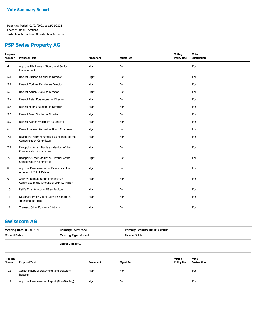#### **PSP Swiss Property AG**

| Proposal<br><b>Number</b> | <b>Proposal Text</b>                                                            | Proponent | <b>Mgmt Rec</b> | Voting<br><b>Policy Rec</b> | Vote<br><b>Instruction</b> |
|---------------------------|---------------------------------------------------------------------------------|-----------|-----------------|-----------------------------|----------------------------|
| 4                         | Approve Discharge of Board and Senior<br>Management                             | Mgmt      | For             |                             | For                        |
| 5.1                       | Reelect Luciano Gabriel as Director                                             | Mgmt      | For             |                             | For                        |
| 5.2                       | Reelect Corinne Denzler as Director                                             | Mgmt      | For             |                             | For                        |
| 5.3                       | Reelect Adrian Dudle as Director                                                | Mgmt      | For             |                             | For                        |
| 5.4                       | Reelect Peter Forstmoser as Director                                            | Mgmt      | For             |                             | For                        |
| 5.5                       | Reelect Henrik Saxborn as Director                                              | Mgmt      | For             |                             | For                        |
| 5.6                       | Reelect Josef Stadler as Director                                               | Mgmt      | For             |                             | For                        |
| 5.7                       | Reelect Aviram Wertheim as Director                                             | Mgmt      | For             |                             | For                        |
| 6                         | Reelect Luciano Gabriel as Board Chairman                                       | Mgmt      | For             |                             | For                        |
| 7.1                       | Reappoint Peter Forstmoser as Member of the<br><b>Compensation Committee</b>    | Mgmt      | For             |                             | For                        |
| 7.2                       | Reappoint Adrian Dudle as Member of the<br><b>Compensation Committee</b>        | Mgmt      | For             |                             | For                        |
| 7.3                       | Reappoint Josef Stadler as Member of the<br><b>Compensation Committee</b>       | Mgmt      | For             |                             | For                        |
| 8                         | Approve Remuneration of Directors in the<br>Amount of CHF 1 Million             | Mgmt      | For             |                             | For                        |
| 9                         | Approve Remuneration of Executive<br>Committee in the Amount of CHF 4.2 Million | Mgmt      | For             |                             | For                        |
| 10                        | Ratify Ernst & Young AG as Auditors                                             | Mgmt      | For             |                             | For                        |
| 11                        | Designate Proxy Voting Services GmbH as<br><b>Independent Proxy</b>             | Mqmt      | For             |                             | For                        |
| 12                        | Transact Other Business (Voting)                                                | Mgmt      | For             |                             | For                        |

## **Swisscom AG**

| <b>Record Date:</b> | <b>Meeting Date: 03/31/2021</b> | Primary Security ID: H8398N104<br><b>Country: Switzerland</b><br><b>Meeting Type: Annual</b><br>Ticker: SCMN |                 |                             |                            |
|---------------------|---------------------------------|--------------------------------------------------------------------------------------------------------------|-----------------|-----------------------------|----------------------------|
|                     |                                 | <b>Shares Voted: 800</b>                                                                                     |                 |                             |                            |
| Proposal<br>Number  | <b>Proposal Text</b>            | Proponent                                                                                                    | <b>Mgmt Rec</b> | Voting<br><b>Policy Rec</b> | Vote<br><b>Instruction</b> |

| .          | Accept Financial Statements and Statutory<br>Reports | Mamt | For | For |
|------------|------------------------------------------------------|------|-----|-----|
| <b>1.4</b> | Approve Remuneration Report (Non-Binding)            | Mamt | For | For |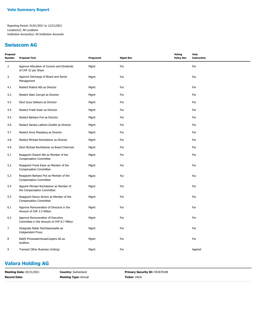## **Swisscom AG**

| Proposal<br><b>Number</b> | <b>Proposal Text</b>                                                            | Proponent | <b>Mgmt Rec</b> | Voting<br><b>Policy Rec</b> | Vote<br><b>Instruction</b> |
|---------------------------|---------------------------------------------------------------------------------|-----------|-----------------|-----------------------------|----------------------------|
| $\overline{2}$            | Approve Allocation of Income and Dividends<br>of CHF 22 per Share               | Mgmt      | For             |                             | For                        |
| 3                         | Approve Discharge of Board and Senior<br>Management                             | Mgmt      | For             |                             | For                        |
| 4.1                       | Reelect Roland Abt as Director                                                  | Mgmt      | For             |                             | For                        |
| 4.2                       | Reelect Alain Carrupt as Director                                               | Mgmt      | For             |                             | For                        |
| 4.3                       | Elect Guus Dekkers as Director                                                  | Mgmt      | For             |                             | For                        |
| 4.4                       | Reelect Frank Esser as Director                                                 | Mgmt      | For             |                             | For                        |
| 4.5                       | Reelect Barbara Frei as Director                                                | Mgmt      | For             |                             | For                        |
| 4.6                       | Reelect Sandra Lathion-Zweifel as Director                                      | Mgmt      | For             |                             | For                        |
| 4.7                       | Reelect Anna Mossberg as Director                                               | Mgmt      | For             |                             | For                        |
| 4.8                       | Reelect Michael Rechsteiner as Director                                         | Mgmt      | For             |                             | For                        |
| 4.9                       | Elect Michael Rechsteiner as Board Chairman                                     | Mgmt      | For             |                             | For                        |
| 5.1                       | Reappoint Roland Abt as Member of the<br><b>Compensation Committee</b>          | Mgmt      | For             |                             | For                        |
| 5.2                       | Reappoint Frank Esser as Member of the<br><b>Compensation Committee</b>         | Mgmt      | For             |                             | For                        |
| 5.3                       | Reappoint Barbara Frei as Member of the<br><b>Compensation Committee</b>        | Mgmt      | For             |                             | For                        |
| 5.4                       | Appoint Michael Rechsteiner as Member of<br>the Compensation Committee          | Mgmt      | For             |                             | For                        |
| 5.5                       | Reappoint Renzo Simoni as Member of the<br><b>Compensation Committee</b>        | Mgmt      | For             |                             | For                        |
| 6.1                       | Approve Remuneration of Directors in the<br>Amount of CHF 2.5 Million           | Mgmt      | For             |                             | For                        |
| 6.2                       | Approve Remuneration of Executive<br>Committee in the Amount of CHF 8.7 Million | Mgmt      | For             |                             | For                        |
| 7                         | Designate Reber Rechtsanwaelte as<br><b>Independent Proxy</b>                   | Mgmt      | For             |                             | For                        |
| 8                         | Ratify PricewaterhouseCoopers AG as<br>Auditors                                 | Mgmt      | For             |                             | For                        |
| 9                         | Transact Other Business (Voting)                                                | Mgmt      | For             |                             | Against                    |

## **Valora Holding AG**

| <b>Meeting Date: 03/31/2021</b> | <b>Country:</b> Switzerland | <b>Primary Security ID: H53670198</b> |
|---------------------------------|-----------------------------|---------------------------------------|
| <b>Record Date:</b>             | <b>Meeting Type: Annual</b> | <b>Ticker: VALN</b>                   |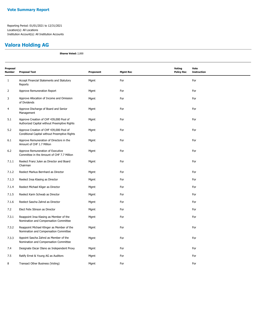## **Valora Holding AG**

**Shares Voted:** 2,000

| Proposal<br><b>Number</b> | <b>Proposal Text</b>                                                                     | Proponent | <b>Mgmt Rec</b> | <b>Voting</b><br><b>Policy Rec</b> | Vote<br><b>Instruction</b> |
|---------------------------|------------------------------------------------------------------------------------------|-----------|-----------------|------------------------------------|----------------------------|
| $\mathbf{1}$              | Accept Financial Statements and Statutory<br>Reports                                     | Mgmt      | For             |                                    | For                        |
| $\overline{2}$            | Approve Remuneration Report                                                              | Mgmt      | For             |                                    | For                        |
| 3                         | Approve Allocation of Income and Omission<br>of Dividends                                | Mgmt      | For             |                                    | For                        |
| $\overline{4}$            | Approve Discharge of Board and Senior<br>Management                                      | Mgmt      | For             |                                    | For                        |
| 5.1                       | Approve Creation of CHF 439,000 Pool of<br>Authorized Capital without Preemptive Rights  | Mgmt      | For             |                                    | For                        |
| 5.2                       | Approve Creation of CHF 439,000 Pool of<br>Conditional Capital without Preemptive Rights | Mgmt      | For             |                                    | For                        |
| 6.1                       | Approve Remuneration of Directors in the<br>Amount of CHF 1.7 Million                    | Mgmt      | For             |                                    | For                        |
| 6.2                       | Approve Remuneration of Executive<br>Committee in the Amount of CHF 7.7 Million          | Mgmt      | For             |                                    | For                        |
| 7.1.1                     | Reelect Franz Julen as Director and Board<br>Chairman                                    | Mgmt      | For             |                                    | For                        |
| 7.1.2                     | Reelect Markus Bernhard as Director                                                      | Mgmt      | For             |                                    | For                        |
| 7.1.3                     | Reelect Insa Klasing as Director                                                         | Mgmt      | For             |                                    | For                        |
| 7.1.4                     | Reelect Michael Kliger as Director                                                       | Mgmt      | For             |                                    | For                        |
| 7.1.5                     | Reelect Karin Schwab as Director                                                         | Mgmt      | For             |                                    | For                        |
| 7.1.6                     | Reelect Sascha Zahnd as Director                                                         | Mgmt      | For             |                                    | For                        |
| 7.2                       | Elect Felix Stinson as Director                                                          | Mgmt      | For             |                                    | For                        |
| 7.3.1                     | Reappoint Insa Klasing as Member of the<br>Nomination and Compensation Committee         | Mgmt      | For             |                                    | For                        |
| 7.3.2                     | Reappoint Michael Klinger as Member of the<br>Nomination and Compensation Committee      | Mgmt      | For             |                                    | For                        |
| 7.3.3                     | Appoint Sascha Zahnd as Member of the<br>Nomination and Compensation Committee           | Mgmt      | For             |                                    | For                        |
| 7.4                       | Designate Oscar Olano as Independent Proxy                                               | Mgmt      | For             |                                    | For                        |
| 7.5                       | Ratify Ernst & Young AG as Auditors                                                      | Mgmt      | For             |                                    | For                        |
| 8                         | Transact Other Business (Voting)                                                         | Mgmt      | For             |                                    | For                        |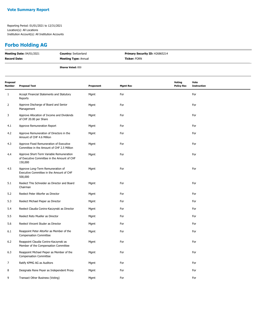## **Forbo Holding AG**

| <b>Meeting Date: 04/01/2021</b> | <b>Country: Switzerland</b> | <b>Primary Security ID: H26865214</b> |
|---------------------------------|-----------------------------|---------------------------------------|
| Record Date:                    | <b>Meeting Type: Annual</b> | <b>Ticker: FORN</b>                   |
|                                 | <b>Shares Voted: 850</b>    |                                       |

| Proposal<br>Number | <b>Proposal Text</b>                                                                               | Proponent | <b>Mgmt Rec</b> | Voting<br><b>Policy Rec</b> | Vote<br><b>Instruction</b> |
|--------------------|----------------------------------------------------------------------------------------------------|-----------|-----------------|-----------------------------|----------------------------|
| $\mathbf{1}$       | Accept Financial Statements and Statutory<br>Reports                                               | Mgmt      | For             |                             | For                        |
| $\overline{2}$     | Approve Discharge of Board and Senior<br>Management                                                | Mgmt      | For             |                             | For                        |
| 3                  | Approve Allocation of Income and Dividends<br>of CHF 20.00 per Share                               | Mgmt      | For             |                             | For                        |
| 4.1                | Approve Remuneration Report                                                                        | Mgmt      | For             |                             | For                        |
| 4.2                | Approve Remuneration of Directors in the<br>Amount of CHF 4.6 Million                              | Mgmt      | For             |                             | For                        |
| 4.3                | Approve Fixed Remuneration of Executive<br>Committee in the Amount of CHF 2.5 Million              | Mgmt      | For             |                             | For                        |
| 4.4                | Approve Short-Term Variable Remuneration<br>of Executive Committee in the Amount of CHF<br>150,000 | Mgmt      | For             |                             | For                        |
| 4.5                | Approve Long-Term Remuneration of<br>Executive Committee in the Amount of CHF<br>500,000           | Mgmt      | For             |                             | For                        |
| 5.1                | Reelect This Schneider as Director and Board<br>Chairman                                           | Mgmt      | For             |                             | For                        |
| 5.2                | Reelect Peter Altorfer as Director                                                                 | Mgmt      | For             |                             | For                        |
| 5.3                | Reelect Michael Pieper as Director                                                                 | Mgmt      | For             |                             | For                        |
| 5.4                | Reelect Claudia Coninx-Kaczynski as Director                                                       | Mgmt      | For             |                             | For                        |
| 5.5                | Reelect Reto Mueller as Director                                                                   | Mgmt      | For             |                             | For                        |
| 5.6                | Reelect Vincent Studer as Director                                                                 | Mgmt      | For             |                             | For                        |
| 6.1                | Reappoint Peter Altorfer as Member of the<br><b>Compensation Committee</b>                         | Mgmt      | For             |                             | For                        |
| 6.2                | Reappoint Claudia Coninx-Kaczynski as<br>Member of the Compensation Committee                      | Mgmt      | For             |                             | For                        |
| 6.3                | Reappoint Michael Pieper as Member of the<br><b>Compensation Committee</b>                         | Mgmt      | For             |                             | For                        |
| 7                  | Ratify KPMG AG as Auditors                                                                         | Mgmt      | For             |                             | For                        |
| 8                  | Designate Rene Peyer as Independent Proxy                                                          | Mgmt      | For             |                             | For                        |
| 9                  | Transact Other Business (Voting)                                                                   | Mgmt      | For             |                             | For                        |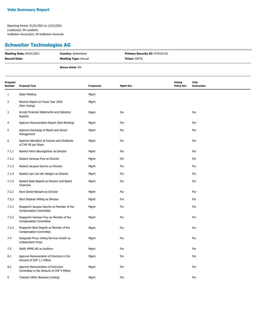# **Schweiter Technologies AG**

| <b>Meeting Date: 04/01/2021</b> | <b>Country: Switzerland</b> | <b>Primary Security ID: H73431142</b> |
|---------------------------------|-----------------------------|---------------------------------------|
| <b>Record Date:</b>             | <b>Meeting Type: Annual</b> | <b>Ticker: SWTQ</b>                   |
|                                 | <b>Shares Voted: 450</b>    |                                       |

| Proposal<br>Number | <b>Proposal Text</b>                                                          | Proponent | <b>Mgmt Rec</b> | <b>Voting</b><br><b>Policy Rec</b> | Vote<br><b>Instruction</b> |
|--------------------|-------------------------------------------------------------------------------|-----------|-----------------|------------------------------------|----------------------------|
| 1                  | Open Meeting                                                                  | Mgmt      |                 |                                    |                            |
| 2                  | Receive Report on Fiscal Year 2020<br>(Non-Voting)                            | Mgmt      |                 |                                    |                            |
| 3                  | Accept Financial Statements and Statutory<br>Reports                          | Mgmt      | For             |                                    | For                        |
| 4                  | Approve Remuneration Report (Non-Binding)                                     | Mgmt      | For             |                                    | For                        |
| 5                  | Approve Discharge of Board and Senior<br>Management                           | Mgmt      | For             |                                    | For                        |
| 6                  | Approve Allocation of Income and Dividends<br>of CHF 40 per Share             | Mgmt      | For             |                                    | For                        |
| 7.1.1              | Reelect Heinz Baumgartner as Director                                         | Mgmt      | For             |                                    | For                        |
| 7.1.2              | Reelect Vanessa Frey as Director                                              | Mgmt      | For             |                                    | For                        |
| 7.1.3              | Reelect Jacques Sanche as Director                                            | Mgmt      | For             |                                    | For                        |
| 7.1.4              | Reelect Lars van der Haegen as Director                                       | Mgmt      | For             |                                    | For                        |
| 7.1.5              | Reelect Beat Siegrist as Director and Board<br>Chairman                       | Mgmt      | For             |                                    | For                        |
| 7.2.1              | Elect Daniel Bossard as Director                                              | Mgmt      | For             |                                    | For                        |
| 7.2.2              | Elect Stephan Widrig as Director                                              | Mgmt      | For             |                                    | For                        |
| 7.3.1              | Reappoint Jacques Sanche as Member of the<br><b>Compensation Committee</b>    | Mgmt      | For             |                                    | For                        |
| 7.3.2              | Reappoint Vanessa Frey as Member of the<br><b>Compensation Committee</b>      | Mgmt      | For             |                                    | For                        |
| 7.3.3              | Reappoint Beat Siegrist as Member of the<br><b>Compensation Committee</b>     | Mgmt      | For             |                                    | For                        |
| 7.4                | Designate Proxy Voting Services GmbH as<br><b>Independent Proxy</b>           | Mgmt      | For             |                                    | For                        |
| 7.5                | Ratify KPMG AG as Auditors                                                    | Mgmt      | For             |                                    | For                        |
| 8.1                | Approve Remuneration of Directors in the<br>Amount of CHF 1.1 Million         | Mgmt      | For             |                                    | For                        |
| 8.2                | Approve Remuneration of Executive<br>Committee in the Amount of CHF 4 Million | Mgmt      | For             |                                    | For                        |
| 9                  | Transact Other Business (Voting)                                              | Mgmt      | For             |                                    | For                        |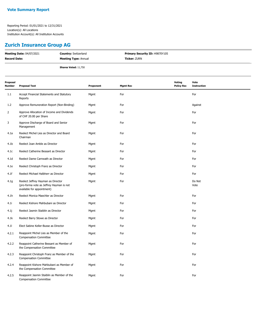## **Zurich Insurance Group AG**

| <b>Meeting Date: 04/07/2021</b> | <b>Country: Switzerland</b> | <b>Primary Security ID: H9870Y105</b> |
|---------------------------------|-----------------------------|---------------------------------------|
| <b>Record Date:</b>             | <b>Meeting Type: Annual</b> | <b>Ticker:</b> ZURN                   |
|                                 | <b>Shares Voted: 11,750</b> |                                       |

| Proposal<br>Number | <b>Proposal Text</b>                                                                                         | Proponent | <b>Mgmt Rec</b> | Voting<br><b>Policy Rec</b> | Vote<br><b>Instruction</b> |
|--------------------|--------------------------------------------------------------------------------------------------------------|-----------|-----------------|-----------------------------|----------------------------|
| 1.1                | Accept Financial Statements and Statutory<br>Reports                                                         | Mgmt      | For             |                             | For                        |
| 1.2                | Approve Remuneration Report (Non-Binding)                                                                    | Mgmt      | For             |                             | Against                    |
| $\overline{2}$     | Approve Allocation of Income and Dividends<br>of CHF 20.00 per Share                                         | Mgmt      | For             |                             | For                        |
| 3                  | Approve Discharge of Board and Senior<br>Management                                                          | Mgmt      | For             |                             | For                        |
| 4.1a               | Reelect Michel Lies as Director and Board<br>Chairman                                                        | Mgmt      | For             |                             | For                        |
| 4.1 <sub>b</sub>   | Reelect Joan Amble as Director                                                                               | Mgmt      | For             |                             | For                        |
| 4.1c               | Reelect Catherine Bessant as Director                                                                        | Mgmt      | For             |                             | For                        |
| 4.1 <sub>d</sub>   | Reelect Dame Carnwath as Director                                                                            | Mgmt      | For             |                             | For                        |
| 4.1e               | Reelect Christoph Franz as Director                                                                          | Mgmt      | For             |                             | For                        |
| 4.1f               | Reelect Michael Halbherr as Director                                                                         | Mgmt      | For             |                             | For                        |
| 4.1g               | Reelect Jeffrey Hayman as Director<br>(pro-forma vote as Jeffrey Hayman is not<br>available for appointment) | Mgmt      | For             |                             | Do Not<br>Vote             |
| 4.1h               | Reelect Monica Maechler as Director                                                                          | Mgmt      | For             |                             | For                        |
| 4.1i               | Reelect Kishore Mahbubani as Director                                                                        | Mgmt      | For             |                             | For                        |
| 4.1j               | Reelect Jasmin Staiblin as Director                                                                          | Mgmt      | For             |                             | For                        |
| 4.1k               | Reelect Barry Stowe as Director                                                                              | Mgmt      | For             |                             | For                        |
| 4.11               | Elect Sabine Keller-Busse as Director                                                                        | Mgmt      | For             |                             | For                        |
| 4.2.1              | Reappoint Michel Lies as Member of the<br><b>Compensation Committee</b>                                      | Mgmt      | For             |                             | For                        |
| 4.2.2              | Reappoint Catherine Bessant as Member of<br>the Compensation Committee                                       | Mgmt      | For             |                             | For                        |
| 4.2.3              | Reappoint Christoph Franz as Member of the<br><b>Compensation Committee</b>                                  | Mgmt      | For             |                             | For                        |
| 4.2.4              | Reappoint Kishore Mahbubani as Member of<br>the Compensation Committee                                       | Mgmt      | For             |                             | For                        |
| 4.2.5              | Reappoint Jasmin Staiblin as Member of the<br><b>Compensation Committee</b>                                  | Mgmt      | For             |                             | For                        |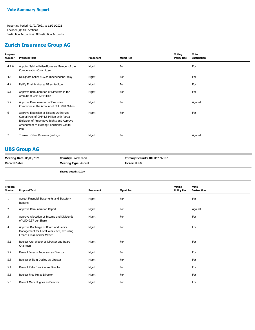#### **Zurich Insurance Group AG**

| For<br>For<br>4.2.6<br>Appoint Sabine Keller-Busse as Member of the<br>Mgmt<br><b>Compensation Committee</b><br>For<br>For<br>4.3<br>Designate Keller KLG as Independent Proxy<br>Mgmt<br>For<br>For<br>4.4<br>Ratify Ernst & Young AG as Auditors<br>Mgmt<br>For<br>Approve Remuneration of Directors in the<br>For<br>5.1<br>Mgmt<br>Amount of CHF 5.9 Million<br>Approve Remuneration of Executive<br>For<br>5.2<br>Mgmt<br>Against<br>Committee in the Amount of CHF 79.8 Million<br>For<br>For<br>6<br>Approve Extension of Existing Authorized<br>Mgmt<br>Capital Pool of CHF 4.5 Million with Partial<br>Exclusion of Preemptive Rights and Approve<br>Amendment to Existing Conditional Capital<br>Pool<br>For<br>7<br>Transact Other Business (Voting)<br>Against<br>Mgmt | Proposal<br>Number | <b>Proposal Text</b> | Proponent | <b>Mgmt Rec</b> | Voting<br><b>Policy Rec</b> | Vote<br><b>Instruction</b> |
|------------------------------------------------------------------------------------------------------------------------------------------------------------------------------------------------------------------------------------------------------------------------------------------------------------------------------------------------------------------------------------------------------------------------------------------------------------------------------------------------------------------------------------------------------------------------------------------------------------------------------------------------------------------------------------------------------------------------------------------------------------------------------------|--------------------|----------------------|-----------|-----------------|-----------------------------|----------------------------|
|                                                                                                                                                                                                                                                                                                                                                                                                                                                                                                                                                                                                                                                                                                                                                                                    |                    |                      |           |                 |                             |                            |
|                                                                                                                                                                                                                                                                                                                                                                                                                                                                                                                                                                                                                                                                                                                                                                                    |                    |                      |           |                 |                             |                            |
|                                                                                                                                                                                                                                                                                                                                                                                                                                                                                                                                                                                                                                                                                                                                                                                    |                    |                      |           |                 |                             |                            |
|                                                                                                                                                                                                                                                                                                                                                                                                                                                                                                                                                                                                                                                                                                                                                                                    |                    |                      |           |                 |                             |                            |
|                                                                                                                                                                                                                                                                                                                                                                                                                                                                                                                                                                                                                                                                                                                                                                                    |                    |                      |           |                 |                             |                            |
|                                                                                                                                                                                                                                                                                                                                                                                                                                                                                                                                                                                                                                                                                                                                                                                    |                    |                      |           |                 |                             |                            |
|                                                                                                                                                                                                                                                                                                                                                                                                                                                                                                                                                                                                                                                                                                                                                                                    |                    |                      |           |                 |                             |                            |

## **UBS Group AG**

| <b>Meeting Date: 04/08/2021</b> | <b>Country: Switzerland</b> | Primary Security ID: H42097107 |
|---------------------------------|-----------------------------|--------------------------------|
| <b>Record Date:</b>             | <b>Meeting Type: Annual</b> | <b>Ticker:</b> UBSG            |
|                                 |                             |                                |

**Shares Voted:** 50,000

| Proposal<br>Number | <b>Proposal Text</b>                                                                                              | Proponent | <b>Mgmt Rec</b> | Voting<br><b>Policy Rec</b> | Vote<br><b>Instruction</b> |
|--------------------|-------------------------------------------------------------------------------------------------------------------|-----------|-----------------|-----------------------------|----------------------------|
| $\mathbf{1}$       | Accept Financial Statements and Statutory<br>Reports                                                              | Mgmt      | For             |                             | For                        |
| 2                  | Approve Remuneration Report                                                                                       | Mgmt      | For             |                             | Against                    |
| 3                  | Approve Allocation of Income and Dividends<br>of USD 0.37 per Share                                               | Mgmt      | For             |                             | For                        |
| 4                  | Approve Discharge of Board and Senior<br>Management for Fiscal Year 2020, excluding<br>French Cross-Border Matter | Mgmt      | For             |                             | For                        |
| 5.1                | Reelect Axel Weber as Director and Board<br>Chairman                                                              | Mgmt      | For             |                             | For                        |
| 5.2                | Reelect Jeremy Anderson as Director                                                                               | Mgmt      | For             |                             | For                        |
| 5.3                | Reelect William Dudley as Director                                                                                | Mgmt      | For             |                             | For                        |
| 5.4                | Reelect Reto Francioni as Director                                                                                | Mgmt      | For             |                             | For                        |
| 5.5                | Reelect Fred Hu as Director                                                                                       | Mgmt      | For             |                             | For                        |
| 5.6                | Reelect Mark Hughes as Director                                                                                   | Mgmt      | For             |                             | For                        |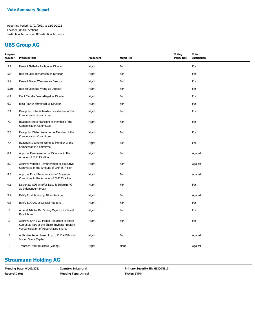## **UBS Group AG**

| Proposal<br>Number | <b>Proposal Text</b>                                                                                                                  | Proponent | <b>Mgmt Rec</b> | Voting<br><b>Policy Rec</b> | Vote<br><b>Instruction</b> |
|--------------------|---------------------------------------------------------------------------------------------------------------------------------------|-----------|-----------------|-----------------------------|----------------------------|
| 5.7                | Reelect Nathalie Rachou as Director                                                                                                   | Mgmt      | For             |                             | For                        |
| 5.8                | Reelect Julie Richardson as Director                                                                                                  | Mgmt      | For             |                             | For                        |
| 5.9                | Reelect Dieter Wemmer as Director                                                                                                     | Mgmt      | For             |                             | For                        |
| 5.10               | Reelect Jeanette Wong as Director                                                                                                     | Mgmt      | For             |                             | For                        |
| 6.1                | Elect Claudia Boeckstiegel as Director                                                                                                | Mgmt      | For             |                             | For                        |
| 6.2                | Elect Patrick Firmenich as Director                                                                                                   | Mgmt      | For             |                             | For                        |
| 7.1                | Reappoint Julie Richardson as Member of the<br><b>Compensation Committee</b>                                                          | Mgmt      | For             |                             | For                        |
| 7.2                | Reappoint Reto Francioni as Member of the<br><b>Compensation Committee</b>                                                            | Mgmt      | For             |                             | For                        |
| 7.3                | Reappoint Dieter Wemmer as Member of the<br><b>Compensation Committee</b>                                                             | Mgmt      | For             |                             | For                        |
| 7.4                | Reappoint Jeanette Wong as Member of the<br><b>Compensation Committee</b>                                                             | Mgmt      | For             |                             | For                        |
| 8.1                | Approve Remuneration of Directors in the<br>Amount of CHF 13 Million                                                                  | Mgmt      | For             |                             | Against                    |
| 8.2                | Approve Variable Remuneration of Executive<br>Committee in the Amount of CHF 85 Million                                               | Mgmt      | For             |                             | Against                    |
| 8.3                | Approve Fixed Remuneration of Executive<br>Committee in the Amount of CHF 33 Million                                                  | Mgmt      | For             |                             | Against                    |
| 9.1                | Designate ADB Altorfer Duss & Beilstein AG<br>as Independent Proxy                                                                    | Mgmt      | For             |                             | For                        |
| 9.2                | Ratify Ernst & Young AG as Auditors                                                                                                   | Mgmt      | For             |                             | Against                    |
| 9.3                | Ratify BDO AG as Special Auditors                                                                                                     | Mgmt      | For             |                             | For                        |
| 10                 | Amend Articles Re: Voting Majority for Board<br><b>Resolutions</b>                                                                    | Mgmt      | For             |                             | For                        |
| 11                 | Approve CHF 15.7 Million Reduction in Share<br>Capital as Part of the Share Buyback Program<br>via Cancellation of Repurchased Shares | Mgmt      | For             |                             | For                        |
| 12                 | Authorize Repurchase of up to CHF 4 Billion in<br><b>Issued Share Capital</b>                                                         | Mgmt      | For             |                             | Against                    |
| 13                 | Transact Other Business (Voting)                                                                                                      | Mgmt      | None            |                             | Against                    |
|                    |                                                                                                                                       |           |                 |                             |                            |

## **Straumann Holding AG**

| <b>Meeting Date: 04/09/2021</b> | <b>Country: Switzerland</b> | <b>Primary Security ID: H8300N119</b> |
|---------------------------------|-----------------------------|---------------------------------------|
| <b>Record Date:</b>             | <b>Meeting Type: Annual</b> | <b>Ticker: STMN</b>                   |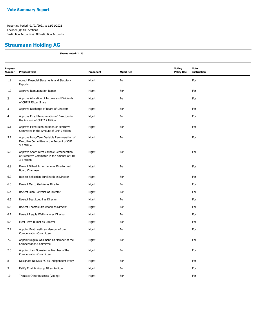## **Straumann Holding AG**

**Shares Voted:** 2,175

| Proposal<br><b>Number</b> | <b>Proposal Text</b>                                                                                   | Proponent | <b>Mgmt Rec</b> | Voting<br><b>Policy Rec</b> | Vote<br><b>Instruction</b> |
|---------------------------|--------------------------------------------------------------------------------------------------------|-----------|-----------------|-----------------------------|----------------------------|
| 1.1                       | Accept Financial Statements and Statutory<br>Reports                                                   | Mgmt      | For             |                             | For                        |
| 1.2                       | Approve Remuneration Report                                                                            | Mgmt      | For             |                             | For                        |
| $\overline{2}$            | Approve Allocation of Income and Dividends<br>of CHF 5.75 per Share                                    | Mgmt      | For             |                             | For                        |
| 3                         | Approve Discharge of Board of Directors                                                                | Mgmt      | For             |                             | For                        |
| $\overline{4}$            | Approve Fixed Remuneration of Directors in<br>the Amount of CHF 2.7 Million                            | Mgmt      | For             |                             | For                        |
| 5.1                       | Approve Fixed Remuneration of Executive<br>Committee in the Amount of CHF 9 Million                    | Mgmt      | For             |                             | For                        |
| 5.2                       | Approve Long-Term Variable Remuneration of<br>Executive Committee in the Amount of CHF<br>3.5 Million  | Mgmt      | For             |                             | For                        |
| 5.3                       | Approve Short-Term Variable Remuneration<br>of Executive Committee in the Amount of CHF<br>3.1 Million | Mgmt      | For             |                             | For                        |
| 6.1                       | Reelect Gilbert Achermann as Director and<br><b>Board Chairman</b>                                     | Mgmt      | For             |                             | For                        |
| 6.2                       | Reelect Sebastian Burckhardt as Director                                                               | Mgmt      | For             |                             | For                        |
| 6.3                       | Reelect Marco Gadola as Director                                                                       | Mgmt      | For             |                             | For                        |
| 6.4                       | Reelect Juan Gonzalez as Director                                                                      | Mgmt      | For             |                             | For                        |
| 6.5                       | Reelect Beat Luethi as Director                                                                        | Mgmt      | For             |                             | For                        |
| 6.6                       | Reelect Thomas Straumann as Director                                                                   | Mgmt      | For             |                             | For                        |
| 6.7                       | Reelect Regula Wallimann as Director                                                                   | Mgmt      | For             |                             | For                        |
| 6.8                       | Elect Petra Rumpf as Director                                                                          | Mgmt      | For             |                             | For                        |
| 7.1                       | Appoint Beat Luethi as Member of the<br><b>Compensation Committee</b>                                  | Mgmt      | For             |                             | For                        |
| 7.2                       | Appoint Regula Wallimann as Member of the<br><b>Compensation Committee</b>                             | Mgmt      | For             |                             | For                        |
| 7.3                       | Appoint Juan Gonzalez as Member of the<br><b>Compensation Committee</b>                                | Mgmt      | For             |                             | For                        |
| 8                         | Designate Neovius AG as Independent Proxy                                                              | Mgmt      | For             |                             | For                        |
| 9                         | Ratify Ernst & Young AG as Auditors                                                                    | Mgmt      | For             |                             | For                        |
| 10                        | Transact Other Business (Voting)                                                                       | Mgmt      | For             |                             | For                        |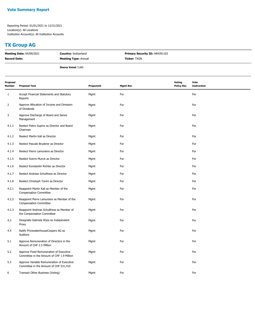## **TX Group AG**

| <b>Meeting Date: 04/09/2021</b> | <b>Country: Switzerland</b> | <b>Primary Security ID: H84391103</b> |
|---------------------------------|-----------------------------|---------------------------------------|
| <b>Record Date:</b>             | <b>Meeting Type: Annual</b> | <b>Ticker:</b> TXGN                   |
|                                 | <b>Shares Voted: 5,000</b>  |                                       |

| Proposal<br>Number | <b>Proposal Text</b>                                                                  | Proponent | <b>Mgmt Rec</b> | Voting<br><b>Policy Rec</b> | Vote<br><b>Instruction</b> |
|--------------------|---------------------------------------------------------------------------------------|-----------|-----------------|-----------------------------|----------------------------|
| $\mathbf{1}$       | Accept Financial Statements and Statutory<br>Reports                                  | Mgmt      | For             |                             | For                        |
| 2                  | Approve Allocation of Income and Omission<br>of Dividends                             | Mgmt      | For             |                             | For                        |
| 3                  | Approve Discharge of Board and Senior<br>Management                                   | Mgmt      | For             |                             | For                        |
| 4.1.1              | Reelect Pietro Supino as Director and Board<br>Chairman                               | Mgmt      | For             |                             | For                        |
| 4.1.2              | Reelect Martin Kall as Director                                                       | Mgmt      | For             |                             | For                        |
| 4.1.3              | Reelect Pascale Bruderer as Director                                                  | Mgmt      | For             |                             | For                        |
| 4.1.4              | Reelect Pierre Lamuniere as Director                                                  | Mgmt      | For             |                             | For                        |
| 4.1.5              | Reelect Sverre Munck as Director                                                      | Mgmt      | For             |                             | For                        |
| 4.1.6              | Reelect Konstantin Richter as Director                                                | Mgmt      | For             |                             | For                        |
| 4.1.7              | Reelect Andreas Schulthess as Director                                                | Mgmt      | For             |                             | For                        |
| 4.1.8              | Reelect Christoph Tonini as Director                                                  | Mgmt      | For             |                             | For                        |
| 4.2.1              | Reappoint Martin Kall as Member of the<br><b>Compensation Committee</b>               | Mgmt      | For             |                             | For                        |
| 4.2.2              | Reappoint Pierre Lamuniere as Member of the<br><b>Compensation Committee</b>          | Mgmt      | For             |                             | For                        |
| 4.2.3              | Reappoint Andreas Schulthess as Member of<br>the Compensation Committee               | Mgmt      | For             |                             | For                        |
| 4.3                | Designate Gabriela Wyss as Independent<br>Proxy                                       | Mgmt      | For             |                             | For                        |
| 4.4                | Ratify PricewaterhouseCoopers AG as<br>Auditors                                       | Mgmt      | For             |                             | For                        |
| 5.1                | Approve Remuneration of Directors in the<br>Amount of CHF 2.5 Million                 | Mgmt      | For             |                             | For                        |
| 5.2                | Approve Fixed Remuneration of Executive<br>Committee in the Amount of CHF 1.9 Million | Mgmt      | For             |                             | For                        |
| 5.3                | Approve Variable Remuneration of Executive<br>Committee in the Amount of CHF 531,410  | Mgmt      | For             |                             | For                        |
| 6                  | Transact Other Business (Voting)                                                      | Mgmt      | For             |                             | For                        |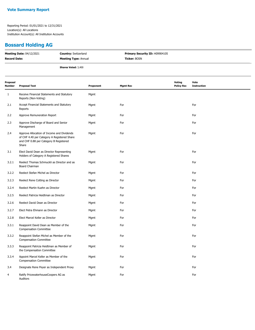#### **Bossard Holding AG**

| <b>Meeting Date: 04/12/2021</b> | <b>Country: Switzerland</b> | <b>Primary Security ID: H09904105</b> |
|---------------------------------|-----------------------------|---------------------------------------|
| <b>Record Date:</b>             | <b>Meeting Type: Annual</b> | <b>Ticker: BOSN</b>                   |
|                                 | <b>Shares Voted: 3,400</b>  |                                       |

| Proposal<br>Number | <b>Proposal Text</b>                                                                                                                         | Proponent | <b>Mgmt Rec</b> | Voting<br><b>Policy Rec</b> | Vote<br><b>Instruction</b> |
|--------------------|----------------------------------------------------------------------------------------------------------------------------------------------|-----------|-----------------|-----------------------------|----------------------------|
| 1                  | Receive Financial Statements and Statutory<br>Reports (Non-Voting)                                                                           | Mgmt      |                 |                             |                            |
| 2.1                | Accept Financial Statements and Statutory<br>Reports                                                                                         | Mgmt      | For             |                             | For                        |
| 2.2                | Approve Remuneration Report                                                                                                                  | Mgmt      | For             |                             | For                        |
| 2.3                | Approve Discharge of Board and Senior<br>Management                                                                                          | Mgmt      | For             |                             | For                        |
| 2.4                | Approve Allocation of Income and Dividends<br>of CHF 4.40 per Category A Registered Share<br>and CHF 0.88 per Category B Registered<br>Share | Mgmt      | For             |                             | For                        |
| 3.1                | Elect David Dean as Director Representing<br>Holders of Category A Registered Shares                                                         | Mgmt      | For             |                             | For                        |
| 3.2.1              | Reelect Thomas Schmuckli as Director and as<br>Board Chairman                                                                                | Mgmt      | For             |                             | For                        |
| 3.2.2              | Reelect Stefan Michel as Director                                                                                                            | Mgmt      | For             |                             | For                        |
| 3.2.3              | Reelect Rene Cotting as Director                                                                                                             | Mgmt      | For             |                             | For                        |
| 3.2.4              | Reelect Martin Kuehn as Director                                                                                                             | Mgmt      | For             |                             | For                        |
| 3.2.5              | Reelect Patricia Heidtman as Director                                                                                                        | Mgmt      | For             |                             | For                        |
| 3.2.6              | Reelect David Dean as Director                                                                                                               | Mgmt      | For             |                             | For                        |
| 3.2.7              | Elect Petra Ehmann as Director                                                                                                               | Mgmt      | For             |                             | For                        |
| 3.2.8              | Elect Marcel Keller as Director                                                                                                              | Mgmt      | For             |                             | For                        |
| 3.3.1              | Reappoint David Dean as Member of the<br><b>Compensation Committee</b>                                                                       | Mgmt      | For             |                             | For                        |
| 3.3.2              | Reappoint Stefan Michel as Member of the<br><b>Compensation Committee</b>                                                                    | Mgmt      | For             |                             | For                        |
| 3.3.3              | Reappoint Patricia Heidtman as Member of<br>the Compensation Committee                                                                       | Mgmt      | For             |                             | For                        |
| 3.3.4              | Appoint Marcel Keller as Member of the<br><b>Compensation Committee</b>                                                                      | Mgmt      | For             |                             | For                        |
| 3.4                | Designate Rene Peyer as Independent Proxy                                                                                                    | Mgmt      | For             |                             | For                        |
| 4                  | Ratify PricewaterhouseCoopers AG as<br>Auditors                                                                                              | Mgmt      | For             |                             | For                        |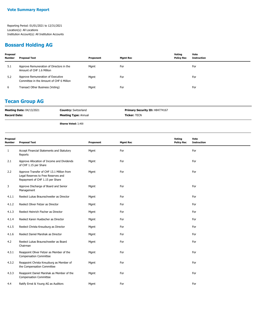## **Bossard Holding AG**

| Proposal<br><b>Number</b> | <b>Proposal Text</b>                                                          | Proponent | Mgmt Rec | Votina<br><b>Policy Rec</b> | Vote<br>Instruction |
|---------------------------|-------------------------------------------------------------------------------|-----------|----------|-----------------------------|---------------------|
| 5.1                       | Approve Remuneration of Directors in the<br>Amount of CHF 1.6 Million         | Mgmt      | For      |                             | For                 |
| 5.2                       | Approve Remuneration of Executive<br>Committee in the Amount of CHF 6 Million | Mgmt      | For      |                             | For                 |
| 6                         | Transact Other Business (Voting)                                              | Mgmt      | For      |                             | For                 |

#### **Tecan Group AG**

| <b>Meeting Date: 04/13/2021</b> | <b>Country: Switzerland</b> | <b>Primary Security ID: H84774167</b> |
|---------------------------------|-----------------------------|---------------------------------------|
| <b>Record Date:</b>             | <b>Meeting Type: Annual</b> | <b>Ticker:</b> TECN                   |

**Shares Voted:** 3,400

| Proposal<br><b>Number</b> | <b>Proposal Text</b>                                                                                                | Proponent | <b>Mgmt Rec</b> | Voting<br><b>Policy Rec</b> | Vote<br><b>Instruction</b> |
|---------------------------|---------------------------------------------------------------------------------------------------------------------|-----------|-----------------|-----------------------------|----------------------------|
| 1                         | Accept Financial Statements and Statutory<br>Reports                                                                | Mgmt      | For             |                             | For                        |
| 2.1                       | Approve Allocation of Income and Dividends<br>of CHF 1.15 per Share                                                 | Mgmt      | For             |                             | For                        |
| 2.2                       | Approve Transfer of CHF 13.1 Million from<br>Legal Reserves to Free Reserves and<br>Repayment of CHF 1.15 per Share | Mgmt      | For             |                             | For                        |
| 3                         | Approve Discharge of Board and Senior<br>Management                                                                 | Mgmt      | For             |                             | For                        |
| 4.1.1                     | Reelect Lukas Braunschweiler as Director                                                                            | Mgmt      | For             |                             | For                        |
| 4.1.2                     | Reelect Oliver Fetzer as Director                                                                                   | Mgmt      | For             |                             | For                        |
| 4.1.3                     | Reelect Heinrich Fischer as Director                                                                                | Mgmt      | For             |                             | For                        |
| 4.1.4                     | Reelect Karen Huebscher as Director                                                                                 | Mgmt      | For             |                             | For                        |
| 4.1.5                     | Reelect Christa Kreuzburg as Director                                                                               | Mgmt      | For             |                             | For                        |
| 4.1.6                     | Reelect Daniel Marshak as Director                                                                                  | Mgmt      | For             |                             | For                        |
| 4.2                       | Reelect Lukas Braunschweiler as Board<br>Chairman                                                                   | Mgmt      | For             |                             | For                        |
| 4.3.1                     | Reappoint Oliver Fetzer as Member of the<br><b>Compensation Committee</b>                                           | Mgmt      | For             |                             | For                        |
| 4.3.2                     | Reappoint Christa Kreuzburg as Member of<br>the Compensation Committee                                              | Mgmt      | For             |                             | For                        |
| 4.3.3                     | Reappoint Daniel Marshak as Member of the<br><b>Compensation Committee</b>                                          | Mgmt      | For             |                             | For                        |
| 4.4                       | Ratify Ernst & Young AG as Auditors                                                                                 | Mgmt      | For             |                             | For                        |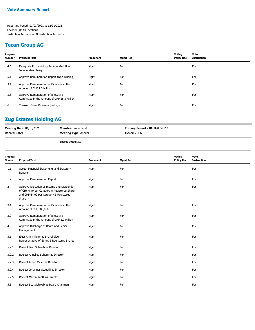## **Tecan Group AG**

| Proposal<br><b>Number</b> | Proposal Text                                                                    | Proponent | <b>Mgmt Rec</b> | Voting<br><b>Policy Rec</b> | Vote<br><b>Instruction</b> |
|---------------------------|----------------------------------------------------------------------------------|-----------|-----------------|-----------------------------|----------------------------|
| 4.5                       | Designate Proxy Voting Services GmbH as<br><b>Independent Proxy</b>              | Mgmt      | For             |                             | For                        |
| 5.1                       | Approve Remuneration Report (Non-Binding)                                        | Mgmt      | For             |                             | For                        |
| 5.2                       | Approve Remuneration of Directors in the<br>Amount of CHF 1.3 Million            | Mgmt      | For             |                             | For                        |
| 5.3                       | Approve Remuneration of Executive<br>Committee in the Amount of CHF 18.5 Million | Mgmt      | For             |                             | For                        |
| 6                         | Transact Other Business (Voting)                                                 | Mgmt      | For             |                             | For                        |

## **Zug Estates Holding AG**

| <b>Meeting Date: 04/13/2021</b> | <b>Country: Switzerland</b> | <b>Primary Security ID: H9855K112</b> |
|---------------------------------|-----------------------------|---------------------------------------|
| <b>Record Date:</b>             | <b>Meeting Type: Annual</b> | <b>Ticker: ZUGN</b>                   |
|                                 |                             |                                       |

**Shares Voted:** 200

| Proposal<br>Number | <b>Proposal Text</b>                                                                                                                          | Proponent | <b>Mgmt Rec</b> | Voting<br><b>Policy Rec</b> | Vote<br><b>Instruction</b> |
|--------------------|-----------------------------------------------------------------------------------------------------------------------------------------------|-----------|-----------------|-----------------------------|----------------------------|
| 1.1                | Accept Financial Statements and Statutory<br>Reports                                                                                          | Mgmt      | For             |                             | For                        |
| 1.2                | Approve Remuneration Report                                                                                                                   | Mgmt      | For             |                             | For                        |
| $\overline{2}$     | Approve Allocation of Income and Dividends<br>of CHF 4.40 per Category A Registered Share<br>and CHF 44.00 per Category B Registered<br>Share | Mgmt      | For             |                             | For                        |
| 3.1                | Approve Remuneration of Directors in the<br>Amount of CHF 800,000                                                                             | Mgmt      | For             |                             | For                        |
| 3.2                | Approve Remuneration of Executive<br>Committee in the Amount of CHF 1.2 Million                                                               | Mgmt      | For             |                             | For                        |
| 4                  | Approve Discharge of Board and Senior<br>Management                                                                                           | Mgmt      | For             |                             | For                        |
| 5.1                | Elect Armin Meier as Shareholder<br>Representative of Series B Registered Shares                                                              | Mgmt      | For             |                             | For                        |
| 5.2.1              | Reelect Beat Schwab as Director                                                                                                               | Mgmt      | For             |                             | For                        |
| 5.2.2              | Reelect Annelies Buhofer as Director                                                                                                          | Mgmt      | For             |                             | For                        |
| 5.2.3              | Reelect Armin Meier as Director                                                                                                               | Mgmt      | For             |                             | For                        |
| 5.2.4              | Reelect Johannes Stoeckli as Director                                                                                                         | Mgmt      | For             |                             | For                        |
| 5.2.5              | Reelect Martin Wipfli as Director                                                                                                             | Mgmt      | For             |                             | For                        |
| 5.3                | Reelect Beat Schwab as Board Chairman                                                                                                         | Mgmt      | For             |                             | For                        |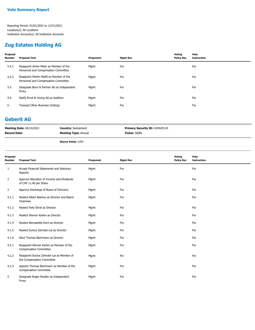#### **Zug Estates Holding AG**

| Proposal<br><b>Number</b> | <b>Proposal Text</b>                                                             | Proponent | <b>Mgmt Rec</b> | Voting<br><b>Policy Rec</b> | Vote<br><b>Instruction</b> |
|---------------------------|----------------------------------------------------------------------------------|-----------|-----------------|-----------------------------|----------------------------|
| 5.4.1                     | Reappoint Armin Meier as Member of the<br>Personnel and Compensation Committee   | Mgmt      | For             |                             | For                        |
| 5.4.2                     | Reappoint Martin Wipfli as Member of the<br>Personnel and Compensation Committee | Mgmt      | For             |                             | For                        |
| 5.5                       | Designate Blum & Partner AG as Independent<br>Proxy                              | Mgmt      | For             |                             | For                        |
| 5.6                       | Ratify Ernst & Young AG as Auditors                                              | Mgmt      | For             |                             | For                        |
| 6                         | Transact Other Business (Voting)                                                 | Mgmt      | For             |                             | For                        |

#### **Geberit AG**

| <b>Meeting Date: 04/14/2021</b> | <b>Country: Switzerland</b> | <b>Primary Security ID: H2942E124</b> |
|---------------------------------|-----------------------------|---------------------------------------|
| <b>Record Date:</b>             | <b>Meeting Type: Annual</b> | <b>Ticker:</b> GEBN                   |
|                                 |                             |                                       |

**Shares Voted:** 3,850

| Proposal<br>Number | <b>Proposal Text</b>                                                      | Proponent | <b>Mgmt Rec</b> | Voting<br><b>Policy Rec</b> | Vote<br><b>Instruction</b> |
|--------------------|---------------------------------------------------------------------------|-----------|-----------------|-----------------------------|----------------------------|
| 1                  | Accept Financial Statements and Statutory<br>Reports                      | Mgmt      | For             |                             | For                        |
| 2                  | Approve Allocation of Income and Dividends<br>of CHF 11.40 per Share      | Mgmt      | For             |                             | For                        |
| 3                  | Approve Discharge of Board of Directors                                   | Mgmt      | For             |                             | For                        |
| 4.1.1              | Reelect Albert Baehny as Director and Board<br>Chairman                   | Mgmt      | For             |                             | For                        |
| 4.1.2              | Reelect Felix Ehrat as Director                                           | Mgmt      | For             |                             | For                        |
| 4.1.3              | Reelect Werner Karlen as Director                                         | Mgmt      | For             |                             | For                        |
| 4.1.4              | Reelect Bernadette Koch as Director                                       | Mgmt      | For             |                             | For                        |
| 4.1.5              | Reelect Eunice Zehnder-Lai as Director                                    | Mgmt      | For             |                             | For                        |
| 4.1.6              | Elect Thomas Bachmann as Director                                         | Mgmt      | For             |                             | For                        |
| 4.2.1              | Reappoint Werner Karlen as Member of the<br><b>Compensation Committee</b> | Mgmt      | For             |                             | For                        |
| 4.2.2              | Reappoint Eunice Zehnder-Lai as Member of<br>the Compensation Committee   | Mgmt      | For             |                             | For                        |
| 4.2.3              | Appoint Thomas Bachmann as Member of the<br><b>Compensation Committee</b> | Mgmt      | For             |                             | For                        |
| 5                  | Designate Roger Mueller as Independent<br>Proxy                           | Mgmt      | For             |                             | For                        |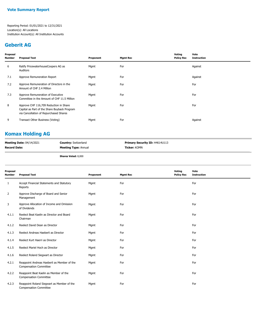#### **Geberit AG**

| Proposal<br><b>Number</b> | <b>Proposal Text</b>                                                                                                             | Proponent | <b>Mgmt Rec</b> | Voting<br><b>Policy Rec</b> | Vote<br>Instruction |
|---------------------------|----------------------------------------------------------------------------------------------------------------------------------|-----------|-----------------|-----------------------------|---------------------|
| 6                         | Ratify PricewaterhouseCoopers AG as<br>Auditors                                                                                  | Mgmt      | For             |                             | Against             |
| 7.1                       | Approve Remuneration Report                                                                                                      | Mgmt      | For             |                             | Against             |
| 7.2                       | Approve Remuneration of Directors in the<br>Amount of CHF 2.4 Million                                                            | Mgmt      | For             |                             | For                 |
| 7.3                       | Approve Remuneration of Executive<br>Committee in the Amount of CHF 11.5 Million                                                 | Mgmt      | For             |                             | For                 |
| 8                         | Approve CHF 116,709 Reduction in Share<br>Capital as Part of the Share Buyback Program<br>via Cancellation of Repurchased Shares | Mgmt      | For             |                             | For                 |
| 9                         | Transact Other Business (Voting)                                                                                                 | Mgmt      | For             |                             | Against             |

## **Komax Holding AG**

| <b>Meeting Date: 04/14/2021</b> | <b>Country: Switzerland</b> | <b>Primary Security ID: H4614U113</b> |
|---------------------------------|-----------------------------|---------------------------------------|
| <b>Record Date:</b>             | <b>Meeting Type: Annual</b> | <b>Ticker: KOMN</b>                   |
|                                 | <b>Shares Voted: 8,000</b>  |                                       |

| Proposal<br><b>Number</b> | <b>Proposal Text</b>                                                         | Proponent | <b>Mgmt Rec</b> | Voting<br><b>Policy Rec</b> | Vote<br><b>Instruction</b> |
|---------------------------|------------------------------------------------------------------------------|-----------|-----------------|-----------------------------|----------------------------|
| 1                         | Accept Financial Statements and Statutory<br>Reports                         | Mgmt      | For             |                             | For                        |
| 2                         | Approve Discharge of Board and Senior<br>Management                          | Mgmt      | For             |                             | For                        |
| 3                         | Approve Allocation of Income and Omission<br>of Dividends                    | Mgmt      | For             |                             | For                        |
| 4.1.1                     | Reelect Beat Kaelin as Director and Board<br>Chairman                        | Mgmt      | For             |                             | For                        |
| 4.1.2                     | Reelect David Dean as Director                                               | Mgmt      | For             |                             | For                        |
| 4.1.3                     | Reelect Andreas Haeberli as Director                                         | Mgmt      | For             |                             | For                        |
| 4.1.4                     | Reelect Kurt Haerri as Director                                              | Mgmt      | For             |                             | For                        |
| 4.1.5                     | Reelect Mariel Hoch as Director                                              | Mgmt      | For             |                             | For                        |
| 4.1.6                     | Reelect Roland Siegwart as Director                                          | Mgmt      | For             |                             | For                        |
| 4.2.1                     | Reappoint Andreas Haeberli as Member of the<br><b>Compensation Committee</b> | Mgmt      | For             |                             | For                        |
| 4.2.2                     | Reappoint Beat Kaelin as Member of the<br><b>Compensation Committee</b>      | Mgmt      | For             |                             | For                        |
| 4.2.3                     | Reappoint Roland Siegwart as Member of the<br><b>Compensation Committee</b>  | Mgmt      | For             |                             | For                        |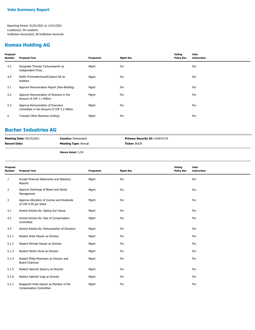## **Komax Holding AG**

| Proposal<br>Number | <b>Proposal Text</b>                                                            | Proponent | <b>Mgmt Rec</b> | Voting<br><b>Policy Rec</b> | Vote<br><b>Instruction</b> |
|--------------------|---------------------------------------------------------------------------------|-----------|-----------------|-----------------------------|----------------------------|
| 4.3                | Designate Thomas Tschuemperlin as<br><b>Independent Proxy</b>                   | Mgmt      | For             |                             | For                        |
| 4.4                | Ratify PricewaterhouseCoopers AG as<br>Auditors                                 | Mgmt      | For             |                             | For                        |
| 5.1                | Approve Remuneration Report (Non-Binding)                                       | Mgmt      | For             |                             | For                        |
| 5.2                | Approve Remuneration of Directors in the<br>Amount of CHF 1.1 Million           | Mgmt      | For             |                             | For                        |
| 5.3                | Approve Remuneration of Executive<br>Committee in the Amount of CHF 5.2 Million | Mgmt      | For             |                             | For                        |
| 6                  | Transact Other Business (Voting)                                                | Mgmt      | For             |                             | For                        |
|                    |                                                                                 |           |                 |                             |                            |

#### **Bucher Industries AG**

| <b>Meeting Date: 04/15/2021</b> | <b>Country: Switzerland</b> | <b>Primary Security ID: H10914176</b> |
|---------------------------------|-----------------------------|---------------------------------------|
| <b>Record Date:</b>             | <b>Meeting Type: Annual</b> | <b>Ticker: BUCN</b>                   |
|                                 |                             |                                       |

**Shares Voted:** 3,250

| Proposal<br><b>Number</b> | <b>Proposal Text</b>                                                     | Proponent | <b>Mgmt Rec</b> | Voting<br><b>Policy Rec</b> | Vote<br><b>Instruction</b> |
|---------------------------|--------------------------------------------------------------------------|-----------|-----------------|-----------------------------|----------------------------|
| 1                         | Accept Financial Statements and Statutory<br>Reports                     | Mgmt      | For             |                             | For                        |
| 2                         | Approve Discharge of Board and Senior<br>Management                      | Mgmt      | For             |                             | For                        |
| 3                         | Approve Allocation of Income and Dividends<br>of CHF 6.50 per Share      | Mgmt      | For             |                             | For                        |
| 4.1                       | Amend Articles Re: Opting Out Clause                                     | Mgmt      | For             |                             | For                        |
| 4.2                       | Amend Articles Re: Size of Compensation<br>Committee                     | Mgmt      | For             |                             | For                        |
| 4.3                       | Amend Articles Re: Remuneration of Directors                             | Mgmt      | For             |                             | For                        |
| 5.1.1                     | Reelect Anita Hauser as Director                                         | Mgmt      | For             |                             | For                        |
| 5.1.2                     | Reelect Michael Hauser as Director                                       | Mgmt      | For             |                             | For                        |
| 5.1.3                     | Reelect Martin Hirzel as Director                                        | Mgmt      | For             |                             | For                        |
| 5.1.4                     | Reelect Philip Mosimann as Director and<br>Board Chairman                | Mgmt      | For             |                             | For                        |
| 5.1.5                     | Reelect Heinrich Spoerry as Director                                     | Mgmt      | For             |                             | For                        |
| 5.1.6                     | Reelect Valentin Vogt as Director                                        | Mgmt      | For             |                             | For                        |
| 5.2.1                     | Reappoint Anita Hauser as Member of the<br><b>Compensation Committee</b> | Mgmt      | For             |                             | For                        |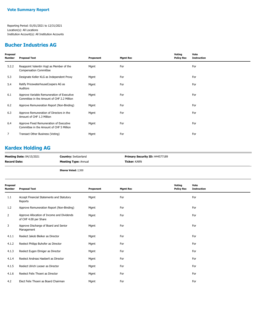## **Bucher Industries AG**

| Proposal<br>Number | <b>Proposal Text</b>                                                                     | Proponent | <b>Mgmt Rec</b> | Voting<br><b>Policy Rec</b> | Vote<br><b>Instruction</b> |
|--------------------|------------------------------------------------------------------------------------------|-----------|-----------------|-----------------------------|----------------------------|
| 5.2.2              | Reappoint Valentin Vogt as Member of the<br><b>Compensation Committee</b>                | Mgmt      | For             |                             | For                        |
| 5.3                | Designate Keller KLG as Independent Proxy                                                | Mgmt      | For             |                             | For                        |
| 5.4                | Ratify PricewaterhouseCoopers AG as<br>Auditors                                          | Mgmt      | For             |                             | For                        |
| 6.1                | Approve Variable Remuneration of Executive<br>Committee in the Amount of CHF 2.2 Million | Mgmt      | For             |                             | For                        |
| 6.2                | Approve Remuneration Report (Non-Binding)                                                | Mgmt      | For             |                             | For                        |
| 6.3                | Approve Remuneration of Directors in the<br>Amount of CHF 1.3 Million                    | Mgmt      | For             |                             | For                        |
| 6.4                | Approve Fixed Remuneration of Executive<br>Committee in the Amount of CHF 5 Million      | Mgmt      | For             |                             | For                        |
| 7                  | Transact Other Business (Voting)                                                         | Mgmt      | For             |                             | For                        |

## **Kardex Holding AG**

| <b>Meeting Date: 04/15/2021</b> | <b>Country:</b> Switzerland | <b>Primary Security ID: H44577189</b> |
|---------------------------------|-----------------------------|---------------------------------------|
| <b>Record Date:</b>             | <b>Meeting Type: Annual</b> | <b>Ticker: KARN</b>                   |
|                                 |                             |                                       |

**Shares Voted:** 2,500

| <b>Proposal Text</b>                                                | Proponent | <b>Mgmt Rec</b> | Voting<br><b>Policy Rec</b> | Vote<br><b>Instruction</b> |
|---------------------------------------------------------------------|-----------|-----------------|-----------------------------|----------------------------|
| Accept Financial Statements and Statutory<br>Reports                | Mgmt      | For             |                             | For                        |
| Approve Remuneration Report (Non-Binding)                           | Mgmt      | For             |                             | For                        |
| Approve Allocation of Income and Dividends<br>of CHF 4.00 per Share | Mgmt      | For             |                             | For                        |
| Approve Discharge of Board and Senior<br>Management                 | Mgmt      | For             |                             | For                        |
| Reelect Jakob Bleiker as Director                                   | Mgmt      | For             |                             | For                        |
| Reelect Philipp Buhofer as Director                                 | Mgmt      | For             |                             | For                        |
| Reelect Eugen Elmiger as Director                                   | Mgmt      | For             |                             | For                        |
| Reelect Andreas Haeberli as Director                                | Mgmt      | For             |                             | For                        |
| Reelect Ulrich Looser as Director                                   | Mgmt      | For             |                             | For                        |
| Reelect Felix Thoeni as Director                                    | Mgmt      | For             |                             | For                        |
| Elect Felix Thoeni as Board Chairman                                | Mgmt      | For             |                             | For                        |
|                                                                     |           |                 |                             |                            |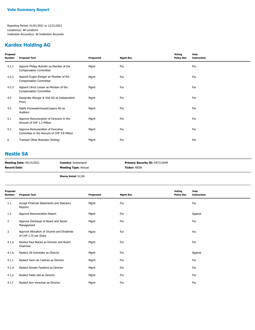## **Kardex Holding AG**

| Proposal<br>Number | <b>Proposal Text</b>                                                            | Proponent | <b>Mgmt Rec</b> | Voting<br><b>Policy Rec</b> | Vote<br><b>Instruction</b> |
|--------------------|---------------------------------------------------------------------------------|-----------|-----------------|-----------------------------|----------------------------|
| 4.3.1              | Appoint Philipp Buhofer as Member of the<br><b>Compensation Committee</b>       | Mgmt      | For             |                             | For                        |
| 4.3.2              | Appoint Eugen Elmiger as Member of the<br><b>Compensation Committee</b>         | Mgmt      | For             |                             | For                        |
| 4.3.3              | Appoint Ulrich Looser as Member of the<br><b>Compensation Committee</b>         | Mgmt      | For             |                             | For                        |
| 4.4                | Designate Wenger & Vieli AG as Independent<br>Proxy                             | Mgmt      | For             |                             | For                        |
| 4.5                | Ratify PricewaterhouseCoopers AG as<br>Auditors                                 | Mgmt      | For             |                             | For                        |
| 5.1                | Approve Remuneration of Directors in the<br>Amount of CHF 1.2 Million           | Mgmt      | For             |                             | For                        |
| 5.2                | Approve Remuneration of Executive<br>Committee in the Amount of CHF 4.8 Million | Mgmt      | For             |                             | For                        |
| 6                  | Transact Other Business (Voting)                                                | Mgmt      | For             |                             | For                        |
|                    |                                                                                 |           |                 |                             |                            |

#### **Nestle SA**

| <b>Meeting Date: 04/15/2021</b> | <b>Country: Switzerland</b> | <b>Primary Security ID: H57312649</b> |
|---------------------------------|-----------------------------|---------------------------------------|
| <b>Record Date:</b>             | <b>Meeting Type: Annual</b> | <b>Ticker: NESN</b>                   |
|                                 | <b>Shares Voted: 92,500</b> |                                       |

| Proposal<br><b>Number</b> | <b>Proposal Text</b>                                                | Proponent | <b>Mgmt Rec</b> | Voting<br><b>Policy Rec</b> | Vote<br><b>Instruction</b> |
|---------------------------|---------------------------------------------------------------------|-----------|-----------------|-----------------------------|----------------------------|
| 1.1                       | Accept Financial Statements and Statutory<br>Reports                | Mgmt      | For             |                             | For                        |
| 1.2                       | Approve Remuneration Report                                         | Mgmt      | For             |                             | Against                    |
| 2                         | Approve Discharge of Board and Senior<br>Management                 | Mgmt      | For             |                             | For                        |
| 3                         | Approve Allocation of Income and Dividends<br>of CHF 2.75 per Share | Mgmt      | For             |                             | For                        |
| 4.1.a                     | Reelect Paul Bulcke as Director and Board<br>Chairman               | Mgmt      | For             |                             | For                        |
| 4.1.b                     | Reelect Ulf Schneider as Director                                   | Mgmt      | For             |                             | Against                    |
| 4.1.c                     | Reelect Henri de Castries as Director                               | Mgmt      | For             |                             | For                        |
| 4.1.d                     | Reelect Renato Fassbind as Director                                 | Mgmt      | For             |                             | For                        |
| 4.1.e                     | Reelect Pablo Isla as Director                                      | Mgmt      | For             |                             | For                        |
| 4.1.f                     | Reelect Ann Veneman as Director                                     | Mgmt      | For             |                             | For                        |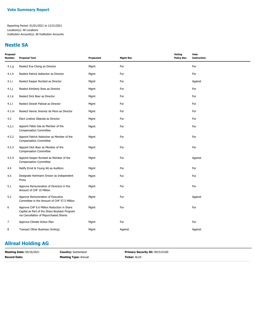#### **Nestle SA**

| Proposal<br><b>Number</b> | <b>Proposal Text</b>                                                                                                                 | Proponent | <b>Mgmt Rec</b> | Voting<br><b>Policy Rec</b> | Vote<br><b>Instruction</b> |
|---------------------------|--------------------------------------------------------------------------------------------------------------------------------------|-----------|-----------------|-----------------------------|----------------------------|
| 4.1.g                     | Reelect Eva Cheng as Director                                                                                                        | Mgmt      | For             |                             | For                        |
| 4.1.h                     | Reelect Patrick Aebischer as Director                                                                                                | Mgmt      | For             |                             | For                        |
| 4.1.i                     | Reelect Kasper Rorsted as Director                                                                                                   | Mgmt      | For             |                             | Against                    |
| 4.1.j                     | Reelect Kimberly Ross as Director                                                                                                    | Mgmt      | For             |                             | For                        |
| 4.1.k                     | Reelect Dick Boer as Director                                                                                                        | Mgmt      | For             |                             | For                        |
| 4.1.1                     | Reelect Dinesh Paliwal as Director                                                                                                   | Mgmt      | For             |                             | For                        |
| 4.1.m                     | Reelect Hanne Jimenez de Mora as Director                                                                                            | Mgmt      | For             |                             | For                        |
| 4.2                       | Elect Lindiwe Sibanda as Director                                                                                                    | Mgmt      | For             |                             | For                        |
| 4.3.1                     | Appoint Pablo Isla as Member of the<br><b>Compensation Committee</b>                                                                 | Mgmt      | For             |                             | For                        |
| 4.3.2                     | Appoint Patrick Aebischer as Member of the<br><b>Compensation Committee</b>                                                          | Mgmt      | For             |                             | For                        |
| 4.3.3                     | Appoint Dick Boer as Member of the<br><b>Compensation Committee</b>                                                                  | Mgmt      | For             |                             | For                        |
| 4.3.4                     | Appoint Kasper Rorsted as Member of the<br><b>Compensation Committee</b>                                                             | Mgmt      | For             |                             | Against                    |
| 4.4                       | Ratify Ernst & Young AG as Auditors                                                                                                  | Mgmt      | For             |                             | For                        |
| 4.5                       | Designate Hartmann Dreyer as Independent<br>Proxy                                                                                    | Mgmt      | For             |                             | For                        |
| 5.1                       | Approve Remuneration of Directors in the<br>Amount of CHF 10 Million                                                                 | Mgmt      | For             |                             | For                        |
| 5.2                       | Approve Remuneration of Executive<br>Committee in the Amount of CHF 57.5 Million                                                     | Mgmt      | For             |                             | Against                    |
| 6                         | Approve CHF 6.6 Million Reduction in Share<br>Capital as Part of the Share Buyback Program<br>via Cancellation of Repurchased Shares | Mgmt      | For             |                             | For                        |
| $\overline{7}$            | Approve Climate Action Plan                                                                                                          | Mgmt      | For             |                             | For                        |
| 8                         | Transact Other Business (Voting)                                                                                                     | Mgmt      | Against         |                             | Against                    |

## **Allreal Holding AG**

| <b>Meeting Date: 04/16/2021</b> | <b>Country: Switzerland</b> | <b>Primary Security ID: H0151D100</b> |
|---------------------------------|-----------------------------|---------------------------------------|
| <b>Record Date:</b>             | <b>Meeting Type: Annual</b> | <b>Ticker: ALLN</b>                   |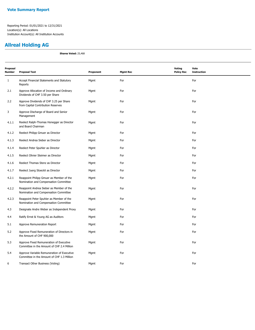## **Allreal Holding AG**

**Shares Voted:** 25,468

| Proposal<br><b>Number</b> | <b>Proposal Text</b>                                                                     | Proponent | <b>Mgmt Rec</b> | <b>Voting</b><br><b>Policy Rec</b> | Vote<br><b>Instruction</b> |
|---------------------------|------------------------------------------------------------------------------------------|-----------|-----------------|------------------------------------|----------------------------|
| $\mathbf{1}$              | Accept Financial Statements and Statutory<br>Reports                                     | Mgmt      | For             |                                    | For                        |
| 2.1                       | Approve Allocation of Income and Ordinary<br>Dividends of CHF 3.50 per Share             | Mgmt      | For             |                                    | For                        |
| 2.2                       | Approve Dividends of CHF 3.25 per Share<br>from Capital Contribution Reserves            | Mgmt      | For             |                                    | For                        |
| 3                         | Approve Discharge of Board and Senior<br>Management                                      | Mgmt      | For             |                                    | For                        |
| 4.1.1                     | Reelect Ralph-Thomas Honegger as Director<br>and Board Chairman                          | Mgmt      | For             |                                    | For                        |
| 4.1.2                     | Reelect Philipp Gmuer as Director                                                        | Mgmt      | For             |                                    | For                        |
| 4.1.3                     | Reelect Andrea Sieber as Director                                                        | Mgmt      | For             |                                    | For                        |
| 4.1.4                     | Reelect Peter Spuhler as Director                                                        | Mgmt      | For             |                                    | For                        |
| 4.1.5                     | Reelect Olivier Steimer as Director                                                      | Mgmt      | For             |                                    | For                        |
| 4.1.6                     | Reelect Thomas Stenz as Director                                                         | Mgmt      | For             |                                    | For                        |
| 4.1.7                     | Reelect Juerg Stoeckli as Director                                                       | Mgmt      | For             |                                    | For                        |
| 4.2.1                     | Reappoint Philipp Gmuer as Member of the<br>Nomination and Compensation Committee        | Mgmt      | For             |                                    | For                        |
| 4.2.2                     | Reappoint Andrea Sieber as Member of the<br>Nomination and Compensation Committee        | Mgmt      | For             |                                    | For                        |
| 4.2.3                     | Reappoint Peter Spuhler as Member of the<br>Nomination and Compensation Committee        | Mgmt      | For             |                                    | For                        |
| 4.3                       | Designate Andre Weber as Independent Proxy                                               | Mgmt      | For             |                                    | For                        |
| 4.4                       | Ratify Ernst & Young AG as Auditors                                                      | Mgmt      | For             |                                    | For                        |
| 5.1                       | Approve Remuneration Report                                                              | Mgmt      | For             |                                    | For                        |
| 5.2                       | Approve Fixed Remuneration of Directors in<br>the Amount of CHF 900,000                  | Mgmt      | For             |                                    | For                        |
| 5.3                       | Approve Fixed Remuneration of Executive<br>Committee in the Amount of CHF 2.4 Million    | Mgmt      | For             |                                    | For                        |
| 5.4                       | Approve Variable Remuneration of Executive<br>Committee in the Amount of CHF 1.3 Million | Mgmt      | For             |                                    | For                        |
| 6                         | Transact Other Business (Voting)                                                         | Mgmt      | For             |                                    | For                        |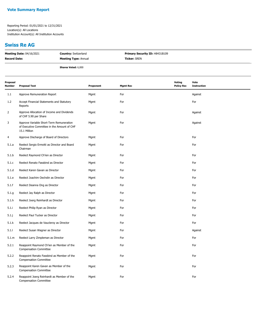#### **Swiss Re AG**

| <b>Meeting Date: 04/16/2021</b> | <b>Country: Switzerland</b> | Primary Security ID: H8431B109 |
|---------------------------------|-----------------------------|--------------------------------|
| Record Date:                    | <b>Meeting Type: Annual</b> | <b>Ticker: SREN</b>            |
|                                 | <b>Shares Voted: 6,000</b>  |                                |

| Proposal<br>Number | <b>Proposal Text</b>                                                                                    | Proponent | <b>Mgmt Rec</b> | <b>Voting</b><br><b>Policy Rec</b> | Vote<br><b>Instruction</b> |
|--------------------|---------------------------------------------------------------------------------------------------------|-----------|-----------------|------------------------------------|----------------------------|
| $1.1\,$            | Approve Remuneration Report                                                                             | Mgmt      | For             |                                    | Against                    |
| 1.2                | Accept Financial Statements and Statutory<br>Reports                                                    | Mgmt      | For             |                                    | For                        |
| 2                  | Approve Allocation of Income and Dividends<br>of CHF 5.90 per Share                                     | Mgmt      | For             |                                    | Against                    |
| 3                  | Approve Variable Short-Term Remuneration<br>of Executive Committee in the Amount of CHF<br>15.1 Million | Mgmt      | For             |                                    | Against                    |
| 4                  | Approve Discharge of Board of Directors                                                                 | Mgmt      | For             |                                    | For                        |
| 5.1.a              | Reelect Sergio Ermotti as Director and Board<br>Chairman                                                | Mgmt      | For             |                                    | For                        |
| 5.1.b              | Reelect Raymond Ch'ien as Director                                                                      | Mgmt      | For             |                                    | For                        |
| 5.1.c              | Reelect Renato Fassbind as Director                                                                     | Mgmt      | For             |                                    | For                        |
| 5.1.d              | Reelect Karen Gavan as Director                                                                         | Mgmt      | For             |                                    | For                        |
| 5.1.e              | Reelect Joachim Oechslin as Director                                                                    | Mgmt      | For             |                                    | For                        |
| 5.1.f              | Reelect Deanna Ong as Director                                                                          | Mgmt      | For             |                                    | For                        |
| 5.1.g              | Reelect Jay Ralph as Director                                                                           | Mgmt      | For             |                                    | For                        |
| 5.1.h              | Reelect Joerg Reinhardt as Director                                                                     | Mgmt      | For             |                                    | For                        |
| 5.1.i              | Reelect Philip Ryan as Director                                                                         | Mgmt      | For             |                                    | For                        |
| 5.1.j              | Reelect Paul Tucker as Director                                                                         | Mgmt      | For             |                                    | For                        |
| 5.1.k              | Reelect Jacques de Vaucleroy as Director                                                                | Mgmt      | For             |                                    | For                        |
| 5.1.1              | Reelect Susan Wagner as Director                                                                        | Mgmt      | For             |                                    | Against                    |
| 5.1.m              | Reelect Larry Zimpleman as Director                                                                     | Mgmt      | For             |                                    | For                        |
| 5.2.1              | Reappoint Raymond Ch'ien as Member of the<br><b>Compensation Committee</b>                              | Mgmt      | For             |                                    | For                        |
| 5.2.2              | Reappoint Renato Fassbind as Member of the<br><b>Compensation Committee</b>                             | Mgmt      | For             |                                    | For                        |
| 5.2.3              | Reappoint Karen Gavan as Member of the<br><b>Compensation Committee</b>                                 | Mgmt      | For             |                                    | For                        |
| 5.2.4              | Reappoint Joerg Reinhardt as Member of the<br><b>Compensation Committee</b>                             | Mgmt      | For             |                                    | For                        |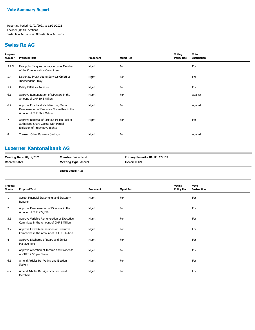#### **Swiss Re AG**

| Proposal<br>Number | <b>Proposal Text</b>                                                                                                  | Proponent | <b>Mgmt Rec</b> | Voting<br><b>Policy Rec</b> | Vote<br><b>Instruction</b> |
|--------------------|-----------------------------------------------------------------------------------------------------------------------|-----------|-----------------|-----------------------------|----------------------------|
| 5.2.5              | Reappoint Jacques de Vaucleroy as Member<br>of the Compensation Committee                                             | Mgmt      | For             |                             | For                        |
| 5.3                | Designate Proxy Voting Services GmbH as<br><b>Independent Proxy</b>                                                   | Mgmt      | For             |                             | For                        |
| 5.4                | Ratify KPMG as Auditors                                                                                               | Mgmt      | For             |                             | For                        |
| 6.1                | Approve Remuneration of Directors in the<br>Amount of CHF 10.3 Million                                                | Mgmt      | For             |                             | Against                    |
| 6.2                | Approve Fixed and Variable Long-Term<br>Remuneration of Executive Committee in the<br>Amount of CHF 36.5 Million      | Mgmt      | For             |                             | Against                    |
| $\overline{7}$     | Approve Renewal of CHF 8.5 Million Pool of<br>Authorized Share Capital with Partial<br>Exclusion of Preemptive Rights | Mgmt      | For             |                             | For                        |
| 8                  | Transact Other Business (Voting)                                                                                      | Mgmt      | For             |                             | Against                    |
|                    |                                                                                                                       |           |                 |                             |                            |

## **Luzerner Kantonalbank AG**

| <b>Meeting Date: 04/19/2021</b> | <b>Country: Switzerland</b> | <b>Primary Security ID: H51129163</b> |
|---------------------------------|-----------------------------|---------------------------------------|
| <b>Record Date:</b>             | <b>Meeting Type: Annual</b> | <b>Ticker: LUKN</b>                   |
|                                 |                             |                                       |

**Shares Voted:** 7,135

| Proposal<br>Number | <b>Proposal Text</b>                                                                   | Proponent | <b>Mgmt Rec</b> | Voting<br><b>Policy Rec</b> | Vote<br><b>Instruction</b> |
|--------------------|----------------------------------------------------------------------------------------|-----------|-----------------|-----------------------------|----------------------------|
| 1                  | Accept Financial Statements and Statutory<br>Reports                                   | Mgmt      | For             |                             | For                        |
| $\overline{2}$     | Approve Remuneration of Directors in the<br>Amount of CHF 772,729                      | Mgmt      | For             |                             | For                        |
| 3.1                | Approve Variable Remuneration of Executive<br>Committee in the Amount of CHF 2 Million | Mgmt      | For             |                             | For                        |
| 3.2                | Approve Fixed Remuneration of Executive<br>Committee in the Amount of CHF 3.3 Million  | Mgmt      | For             |                             | For                        |
| 4                  | Approve Discharge of Board and Senior<br>Management                                    | Mgmt      | For             |                             | For                        |
| 5                  | Approve Allocation of Income and Dividends<br>of CHF 12.50 per Share                   | Mgmt      | For             |                             | For                        |
| 6.1                | Amend Articles Re: Voting and Election<br>System                                       | Mgmt      | For             |                             | For                        |
| 6.2                | Amend Articles Re: Age Limit for Board<br>Members                                      | Mgmt      | For             |                             | For                        |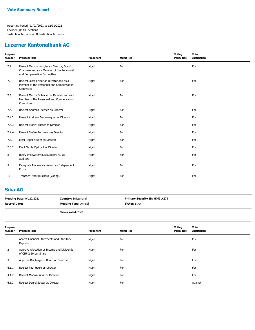#### **Luzerner Kantonalbank AG**

| Proposal<br><b>Number</b> | <b>Proposal Text</b>                                                                                                 | Proponent | <b>Mgmt Rec</b> | Voting<br><b>Policy Rec</b> | Vote<br><b>Instruction</b> |
|---------------------------|----------------------------------------------------------------------------------------------------------------------|-----------|-----------------|-----------------------------|----------------------------|
| 7.1                       | Reelect Markus Hongler as Director, Board<br>Chairman and as a Member of the Personnel<br>and Compensation Committee | Mgmt      | For             |                             | For                        |
| 7.2                       | Reelect Josef Felder as Director and as a<br>Member of the Personnel and Compensation<br>Committee                   | Mgmt      | For             |                             | For                        |
| 7.3                       | Reelect Martha Scheiber as Director and as a<br>Member of the Personnel and Compensation<br>Committee                | Mgmt      | For             |                             | For                        |
| 7.4.1                     | Reelect Andreas Dietrich as Director                                                                                 | Mgmt      | For             |                             | For                        |
| 7.4.2                     | Reelect Andreas Emmenegger as Director                                                                               | Mgmt      | For             |                             | For                        |
| 7.4.3                     | Reelect Franz Grueter as Director                                                                                    | Mgmt      | For             |                             | For                        |
| 7.4.4                     | Reelect Stefan Portmann as Director                                                                                  | Mgmt      | For             |                             | For                        |
| 7.5.1                     | Elect Roger Studer as Director                                                                                       | Mgmt      | For             |                             | For                        |
| 7.5.2                     | Elect Nicole Vyskocil as Director                                                                                    | Mgmt      | For             |                             | For                        |
| 8                         | Ratify PricewaterhouseCoopers AG as<br>Auditors                                                                      | Mgmt      | For             |                             | For                        |
| 9                         | Designate Markus Kaufmann as Independent<br>Proxy                                                                    | Mgmt      | For             |                             | For                        |
| 10                        | Transact Other Business (Voting)                                                                                     | Mgmt      | For             |                             | For                        |

#### **Sika AG**

| <b>Meeting Date: 04/20/2021</b> | <b>Country: Switzerland</b> | <b>Primary Security ID: H7631K273</b> |
|---------------------------------|-----------------------------|---------------------------------------|
| <b>Record Date:</b>             | <b>Meeting Type: Annual</b> | <b>Ticker:</b> SIKA                   |
|                                 |                             |                                       |

**Shares Voted:** 2,500

| Proposal<br><b>Number</b> | <b>Proposal Text</b>                                                | Proponent | <b>Mgmt Rec</b> | Voting<br><b>Policy Rec</b> | Vote<br><b>Instruction</b> |
|---------------------------|---------------------------------------------------------------------|-----------|-----------------|-----------------------------|----------------------------|
| 1                         | Accept Financial Statements and Statutory<br>Reports                | Mgmt      | For             |                             | For                        |
| $\overline{2}$            | Approve Allocation of Income and Dividends<br>of CHF 2.50 per Share | Mgmt      | For             |                             | For                        |
| 3                         | Approve Discharge of Board of Directors                             | Mgmt      | For             |                             | For                        |
| 4.1.1                     | Reelect Paul Haelg as Director                                      | Mgmt      | For             |                             | For                        |
| 4.1.2                     | Reelect Monika Ribar as Director                                    | Mgmt      | For             |                             | For                        |
| 4.1.3                     | Reelect Daniel Sauter as Director                                   | Mgmt      | For             |                             | Against                    |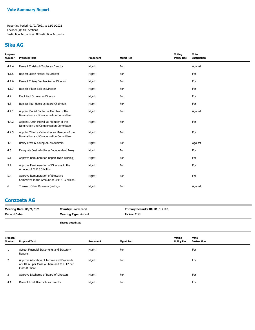#### **Sika AG**

| Proposal<br>Number | <b>Proposal Text</b>                                                                 | Proponent | <b>Mgmt Rec</b> | Voting<br><b>Policy Rec</b> | Vote<br><b>Instruction</b> |
|--------------------|--------------------------------------------------------------------------------------|-----------|-----------------|-----------------------------|----------------------------|
| 4.1.4              | Reelect Christoph Tobler as Director                                                 | Mgmt      | For             |                             | Against                    |
| 4.1.5              | Reelect Justin Howell as Director                                                    | Mgmt      | For             |                             | For                        |
| 4.1.6              | Reelect Thierry Vanlancker as Director                                               | Mgmt      | For             |                             | For                        |
| 4.1.7              | Reelect Viktor Balli as Director                                                     | Mgmt      | For             |                             | For                        |
| 4.2                | Elect Paul Schuler as Director                                                       | Mgmt      | For             |                             | For                        |
| 4.3                | Reelect Paul Haelg as Board Chairman                                                 | Mgmt      | For             |                             | For                        |
| 4.4.1              | Appoint Daniel Sauter as Member of the<br>Nomination and Compensation Committee      | Mgmt      | For             |                             | Against                    |
| 4.4.2              | Appoint Justin Howell as Member of the<br>Nomination and Compensation Committee      | Mgmt      | For             |                             | For                        |
| 4.4.3              | Appoint Thierry Vanlancker as Member of the<br>Nomination and Compensation Committee | Mgmt      | For             |                             | For                        |
| 4.5                | Ratify Ernst & Young AG as Auditors                                                  | Mgmt      | For             |                             | Against                    |
| 4.6                | Designate Jost Windlin as Independent Proxy                                          | Mgmt      | For             |                             | For                        |
| 5.1                | Approve Remuneration Report (Non-Binding)                                            | Mgmt      | For             |                             | For                        |
| 5.2                | Approve Remuneration of Directors in the<br>Amount of CHF 3.3 Million                | Mgmt      | For             |                             | For                        |
| 5.3                | Approve Remuneration of Executive<br>Committee in the Amount of CHF 21.5 Million     | Mgmt      | For             |                             | For                        |
| 6                  | Transact Other Business (Voting)                                                     | Mgmt      | For             |                             | Against                    |
|                    |                                                                                      |           |                 |                             |                            |

## **Conzzeta AG**

| <b>Meeting Date: 04/21/2021</b> | <b>Country: Switzerland</b> | <b>Primary Security ID: H1161X102</b> |
|---------------------------------|-----------------------------|---------------------------------------|
| <b>Record Date:</b>             | <b>Meeting Type: Annual</b> | <b>Ticker: CON</b>                    |
|                                 | <b>Shares Voted: 250</b>    |                                       |

| Proposal<br><b>Number</b> | Proposal Text                                                                                             | Proponent | <b>Mgmt Rec</b> | Voting<br><b>Policy Rec</b> | Vote<br><b>Instruction</b> |
|---------------------------|-----------------------------------------------------------------------------------------------------------|-----------|-----------------|-----------------------------|----------------------------|
|                           | Accept Financial Statements and Statutory<br>Reports                                                      | Mgmt      | For             |                             | For                        |
| 2                         | Approve Allocation of Income and Dividends<br>of CHF 60 per Class A Share and CHF 12 per<br>Class B Share | Mgmt      | For             |                             | For                        |
| 3                         | Approve Discharge of Board of Directors                                                                   | Mgmt      | For             |                             | For                        |
| 4.1                       | Reelect Ernst Baertschi as Director                                                                       | Mgmt      | For             |                             | For                        |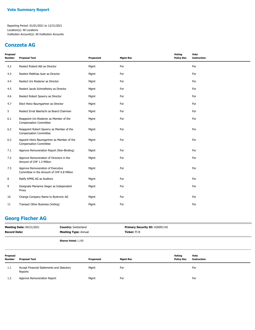#### **Conzzeta AG**

| Proposal<br><b>Number</b> | <b>Proposal Text</b>                                                            | Proponent | <b>Mgmt Rec</b> | Voting<br><b>Policy Rec</b> | Vote<br><b>Instruction</b> |
|---------------------------|---------------------------------------------------------------------------------|-----------|-----------------|-----------------------------|----------------------------|
| 4.2                       | Reelect Roland Abt as Director                                                  | Mgmt      | For             |                             | For                        |
| 4.3                       | Reelect Matthias Auer as Director                                               | Mgmt      | For             |                             | For                        |
| 4.4                       | Reelect Urs Riedener as Director                                                | Mgmt      | For             |                             | For                        |
| 4.5                       | Reelect Jacob Schmidheiny as Director                                           | Mgmt      | For             |                             | For                        |
| 4.6                       | Reelect Robert Spoerry as Director                                              | Mgmt      | For             |                             | For                        |
| 4.7                       | Elect Heinz Baumgartner as Director                                             | Mgmt      | For             |                             | For                        |
| 5                         | Reelect Ernst Baertschi as Board Chairman                                       | Mgmt      | For             |                             | For                        |
| 6.1                       | Reappoint Urs Riedener as Member of the<br><b>Compensation Committee</b>        | Mgmt      | For             |                             | For                        |
| 6.2                       | Reappoint Robert Spoerry as Member of the<br><b>Compensation Committee</b>      | Mgmt      | For             |                             | For                        |
| 6.3                       | Appoint Heinz Baumgartner as Member of the<br><b>Compensation Committee</b>     | Mgmt      | For             |                             | For                        |
| 7.1                       | Approve Remuneration Report (Non-Binding)                                       | Mgmt      | For             |                             | For                        |
| 7.2                       | Approve Remuneration of Directors in the<br>Amount of CHF 1.3 Million           | Mgmt      | For             |                             | For                        |
| 7.3                       | Approve Remuneration of Executive<br>Committee in the Amount of CHF 6.8 Million | Mgmt      | For             |                             | For                        |
| 8                         | Ratify KPMG AG as Auditors                                                      | Mgmt      | For             |                             | For                        |
| 9                         | Designate Marianne Sieger as Independent<br>Proxy                               | Mgmt      | For             |                             | For                        |
| 10                        | Change Company Name to Bystronic AG                                             | Mgmt      | For             |                             | For                        |
| 11                        | Transact Other Business (Voting)                                                | Mgmt      | For             |                             | For                        |

## **Georg Fischer AG**

| <b>Meeting Date: 04/21/2021</b><br><b>Country: Switzerland</b><br><b>Record Date:</b><br><b>Meeting Type: Annual</b> |                                                      |                            | Primary Security ID: H26091142<br>Ticker: FI.N |                 |                             |                            |
|----------------------------------------------------------------------------------------------------------------------|------------------------------------------------------|----------------------------|------------------------------------------------|-----------------|-----------------------------|----------------------------|
|                                                                                                                      |                                                      | <b>Shares Voted: 1,150</b> |                                                |                 |                             |                            |
| Proposal<br><b>Number</b>                                                                                            | <b>Proposal Text</b>                                 |                            | Proponent                                      | <b>Mgmt Rec</b> | Voting<br><b>Policy Rec</b> | Vote<br><b>Instruction</b> |
| 1.1                                                                                                                  | Accept Financial Statements and Statutory<br>Reports |                            | Mgmt                                           | For             |                             | For                        |
| 1.2                                                                                                                  | Approve Remuneration Report                          |                            | Mgmt                                           | For             |                             | For                        |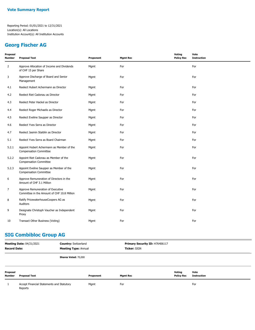#### **Georg Fischer AG**

| <b>Proposal Text</b>                                                             | Proponent | <b>Mgmt Rec</b> | <b>Voting</b><br><b>Policy Rec</b> | Vote<br><b>Instruction</b> |
|----------------------------------------------------------------------------------|-----------|-----------------|------------------------------------|----------------------------|
| Approve Allocation of Income and Dividends<br>of CHF 15 per Share                | Mgmt      | For             |                                    | For                        |
| Approve Discharge of Board and Senior<br>Management                              | Mgmt      | For             |                                    | For                        |
| Reelect Hubert Achermann as Director                                             | Mgmt      | For             |                                    | For                        |
| Reelect Riet Cadonau as Director                                                 | Mgmt      | For             |                                    | For                        |
| Reelect Peter Hackel as Director                                                 | Mgmt      | For             |                                    | For                        |
| Reelect Roger Michaelis as Director                                              | Mgmt      | For             |                                    | For                        |
| Reelect Eveline Saupper as Director                                              | Mgmt      | For             |                                    | For                        |
| Reelect Yves Serra as Director                                                   | Mgmt      | For             |                                    | For                        |
| Reelect Jasmin Staiblin as Director                                              | Mgmt      | For             |                                    | For                        |
| Reelect Yves Serra as Board Chairman                                             | Mgmt      | For             |                                    | For                        |
| Appoint Hubert Achermann as Member of the<br><b>Compensation Committee</b>       | Mgmt      | For             |                                    | For                        |
| Appoint Riet Cadonau as Member of the<br><b>Compensation Committee</b>           | Mgmt      | For             |                                    | For                        |
| Appoint Eveline Saupper as Member of the<br><b>Compensation Committee</b>        | Mgmt      | For             |                                    | For                        |
| Approve Remuneration of Directors in the<br>Amount of CHF 3.1 Million            | Mgmt      | For             |                                    | For                        |
| Approve Remuneration of Executive<br>Committee in the Amount of CHF 10.8 Million | Mgmt      | For             |                                    | For                        |
| Ratify PricewaterhouseCoopers AG as<br>Auditors                                  | Mgmt      | For             |                                    | For                        |
| Designate Christoph Vaucher as Independent<br>Proxy                              | Mgmt      | For             |                                    | For                        |
| Transact Other Business (Voting)                                                 | Mgmt      | For             |                                    | For                        |
|                                                                                  |           |                 |                                    |                            |

# **SIG Combibloc Group AG**

| <b>Record Date:</b> | <b>Meeting Date: 04/21/2021</b>                      | <b>Country: Switzerland</b><br><b>Meeting Type: Annual</b> |           | Primary Security ID: H76406117<br>Ticker: SIGN |                   |                    |
|---------------------|------------------------------------------------------|------------------------------------------------------------|-----------|------------------------------------------------|-------------------|--------------------|
|                     |                                                      | Shares Voted: 70,000                                       |           |                                                |                   |                    |
| Proposal            |                                                      |                                                            |           |                                                | Votina            | Vote               |
| <b>Number</b>       | <b>Proposal Text</b>                                 |                                                            | Proponent | <b>Mgmt Rec</b>                                | <b>Policy Rec</b> | <b>Instruction</b> |
|                     | Accept Financial Statements and Statutory<br>Reports |                                                            | Mgmt      | For                                            |                   | For                |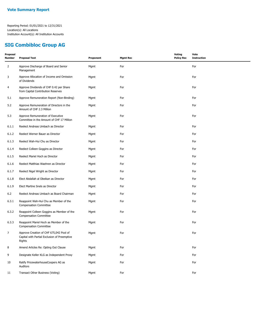## **SIG Combibloc Group AG**

| Proposal<br><b>Number</b> | <b>Proposal Text</b>                                                                              | Proponent | <b>Mgmt Rec</b> | <b>Voting</b><br><b>Policy Rec</b> | Vote<br><b>Instruction</b> |
|---------------------------|---------------------------------------------------------------------------------------------------|-----------|-----------------|------------------------------------|----------------------------|
| $\overline{2}$            | Approve Discharge of Board and Senior<br>Management                                               | Mgmt      | For             |                                    | For                        |
| 3                         | Approve Allocation of Income and Omission<br>of Dividends                                         | Mgmt      | For             |                                    | For                        |
| $\overline{4}$            | Approve Dividends of CHF 0.42 per Share<br>from Capital Contribution Reserves                     | Mgmt      | For             |                                    | For                        |
| 5.1                       | Approve Remuneration Report (Non-Binding)                                                         | Mgmt      | For             |                                    | For                        |
| 5.2                       | Approve Remuneration of Directors in the<br>Amount of CHF 2.3 Million                             | Mgmt      | For             |                                    | For                        |
| 5.3                       | Approve Remuneration of Executive<br>Committee in the Amount of CHF 17 Million                    | Mgmt      | For             |                                    | For                        |
| 6.1.1                     | Reelect Andreas Umbach as Director                                                                | Mgmt      | For             |                                    | For                        |
| 6.1.2                     | Reelect Werner Bauer as Director                                                                  | Mgmt      | For             |                                    | For                        |
| 6.1.3                     | Reelect Wah-Hui Chu as Director                                                                   | Mgmt      | For             |                                    | For                        |
| 6.1.4                     | Reelect Colleen Goggins as Director                                                               | Mgmt      | For             |                                    | For                        |
| 6.1.5                     | Reelect Mariel Hoch as Director                                                                   | Mgmt      | For             |                                    | For                        |
| 6.1.6                     | Reelect Matthias Waehren as Director                                                              | Mgmt      | For             |                                    | For                        |
| 6.1.7                     | Reelect Nigel Wright as Director                                                                  | Mgmt      | For             |                                    | For                        |
| 6.1.8                     | Elect Abdallah al Obeikan as Director                                                             | Mgmt      | For             |                                    | For                        |
| 6.1.9                     | Elect Martine Snels as Director                                                                   | Mgmt      | For             |                                    | For                        |
| 6.2                       | Reelect Andreas Umbach as Board Chairman                                                          | Mgmt      | For             |                                    | For                        |
| 6.3.1                     | Reappoint Wah-Hui Chu as Member of the<br><b>Compensation Committee</b>                           | Mgmt      | For             |                                    | For                        |
| 6.3.2                     | Reappoint Colleen Goggins as Member of the<br><b>Compensation Committee</b>                       | Mgmt      | For             |                                    | For                        |
| 6.3.3                     | Reappoint Mariel Hoch as Member of the<br><b>Compensation Committee</b>                           | Mgmt      | For             |                                    | For                        |
| $\overline{7}$            | Approve Creation of CHF 675,042 Pool of<br>Capital with Partial Exclusion of Preemptive<br>Rights | Mgmt      | For             |                                    | For                        |
| 8                         | Amend Articles Re: Opting Out Clause                                                              | Mgmt      | For             |                                    | For                        |
| 9                         | Designate Keller KLG as Independent Proxy                                                         | Mgmt      | For             |                                    | For                        |
| 10                        | Ratify PricewaterhouseCoopers AG as<br>Auditors                                                   | Mgmt      | For             |                                    | For                        |
| 11                        | Transact Other Business (Voting)                                                                  | Mgmt      | For             |                                    | For                        |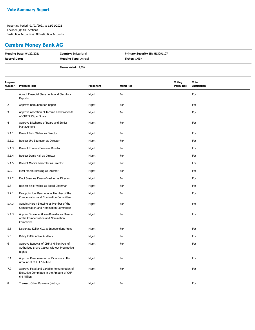#### **Cembra Money Bank AG**

| <b>Meeting Date: 04/22/2021</b> | <b>Country: Switzerland</b> | Primary Security ID: H1329L107 |
|---------------------------------|-----------------------------|--------------------------------|
| <b>Record Date:</b>             | <b>Meeting Type: Annual</b> | <b>Ticker:</b> CMBN            |
|                                 | Shares Voted: 19,500        |                                |

| Proposal<br>Number | <b>Proposal Text</b>                                                                                  | Proponent | <b>Mgmt Rec</b> | <b>Voting</b><br><b>Policy Rec</b> | Vote<br><b>Instruction</b> |
|--------------------|-------------------------------------------------------------------------------------------------------|-----------|-----------------|------------------------------------|----------------------------|
| 1                  | Accept Financial Statements and Statutory<br>Reports                                                  | Mgmt      | For             |                                    | For                        |
| 2                  | Approve Remuneration Report                                                                           | Mgmt      | For             |                                    | For                        |
| 3                  | Approve Allocation of Income and Dividends<br>of CHF 3.75 per Share                                   | Mgmt      | For             |                                    | For                        |
| 4                  | Approve Discharge of Board and Senior<br>Management                                                   | Mgmt      | For             |                                    | For                        |
| 5.1.1              | Reelect Felix Weber as Director                                                                       | Mgmt      | For             |                                    | For                        |
| 5.1.2              | Reelect Urs Baumann as Director                                                                       | Mgmt      | For             |                                    | For                        |
| 5.1.3              | Reelect Thomas Buess as Director                                                                      | Mgmt      | For             |                                    | For                        |
| 5.1.4              | Reelect Denis Hall as Director                                                                        | Mgmt      | For             |                                    | For                        |
| 5.1.5              | Reelect Monica Maechler as Director                                                                   | Mgmt      | For             |                                    | For                        |
| 5.2.1              | Elect Martin Blessing as Director                                                                     | Mgmt      | For             |                                    | For                        |
| 5.2.2              | Elect Susanne Kloess-Braekler as Director                                                             | Mgmt      | For             |                                    | For                        |
| 5.3                | Reelect Felix Weber as Board Chairman                                                                 | Mgmt      | For             |                                    | For                        |
| 5.4.1              | Reappoint Urs Baumann as Member of the<br>Compensation and Nomination Committee                       | Mgmt      | For             |                                    | For                        |
| 5.4.2              | Appoint Martin Blessing as Member of the<br>Compensation and Nomination Committee                     | Mgmt      | For             |                                    | For                        |
| 5.4.3              | Appoint Susanne Kloess-Braekler as Member<br>of the Compensation and Nomination<br>Committee          | Mgmt      | For             |                                    | For                        |
| 5.5                | Designate Keller KLG as Independent Proxy                                                             | Mgmt      | For             |                                    | For                        |
| 5.6                | Ratify KPMG AG as Auditors                                                                            | Mgmt      | For             |                                    | For                        |
| 6                  | Approve Renewal of CHF 3 Million Pool of<br>Authorized Share Capital without Preemptive<br>Rights     | Mgmt      | For             |                                    | For                        |
| 7.1                | Approve Remuneration of Directors in the<br>Amount of CHF 1.5 Million                                 | Mgmt      | For             |                                    | For                        |
| 7.2                | Approve Fixed and Variable Remuneration of<br>Executive Committee in the Amount of CHF<br>6.4 Million | Mgmt      | For             |                                    | For                        |
| 8                  | Transact Other Business (Voting)                                                                      | Mgmt      | For             |                                    | For                        |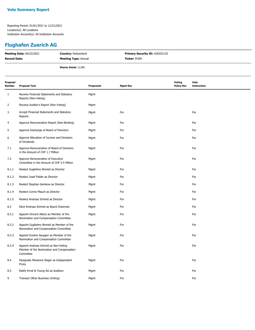#### **Flughafen Zuerich AG**

| <b>Meeting Date: 04/22/2021</b> | <b>Country:</b> Switzerland | Primary Security ID: H26552135 |  |
|---------------------------------|-----------------------------|--------------------------------|--|
| <b>Record Date:</b>             | <b>Meeting Type: Annual</b> | <b>Ticker: FHZN</b>            |  |
|                                 | <b>Shares Voted: 12,000</b> |                                |  |
|                                 |                             |                                |  |
|                                 |                             |                                |  |

| Proposal<br><b>Number</b> | <b>Proposal Text</b>                                                                           | Proponent | <b>Mgmt Rec</b> | Voting<br><b>Policy Rec</b> | Vote<br><b>Instruction</b> |
|---------------------------|------------------------------------------------------------------------------------------------|-----------|-----------------|-----------------------------|----------------------------|
| $\mathbf{1}$              | Receive Financial Statements and Statutory<br>Reports (Non-Voting)                             | Mgmt      |                 |                             |                            |
| 2                         | Receive Auditor's Report (Non-Voting)                                                          | Mgmt      |                 |                             |                            |
| 3                         | Accept Financial Statements and Statutory<br>Reports                                           | Mgmt      | For             |                             | For                        |
| 4                         | Approve Remuneration Report (Non-Binding)                                                      | Mgmt      | For             |                             | For                        |
| 5                         | Approve Discharge of Board of Directors                                                        | Mgmt      | For             |                             | For                        |
| 6                         | Approve Allocation of Income and Omission<br>of Dividends                                      | Mgmt      | For             |                             | For                        |
| 7.1                       | Approve Remuneration of Board of Directors<br>in the Amount of CHF 1.7 Million                 | Mgmt      | For             |                             | For                        |
| 7.2                       | Approve Remuneration of Executive<br>Committee in the Amount of CHF 5.5 Million                | Mgmt      | For             |                             | For                        |
| 8.1.1                     | Reelect Guglielmo Brentel as Director                                                          | Mgmt      | For             |                             | For                        |
| 8.1.2                     | Reelect Josef Felder as Director                                                               | Mgmt      | For             |                             | For                        |
| 8.1.3                     | Reelect Stephan Gemkow as Director                                                             | Mgmt      | For             |                             | For                        |
| 8.1.4                     | Reelect Corine Mauch as Director                                                               | Mgmt      | For             |                             | For                        |
| 8.1.5                     | Reelect Andreas Schmid as Director                                                             | Mgmt      | For             |                             | For                        |
| 8.2                       | Elect Andreas Schmid as Board Chairman                                                         | Mgmt      | For             |                             | For                        |
| 8.3.1                     | Appoint Vincent Albers as Member of the<br>Nomination and Compensation Committee               | Mgmt      | For             |                             | For                        |
| 8.3.2                     | Appoint Guglielmo Brentel as Member of the<br>Nomination and Compensation Committee            | Mgmt      | For             |                             | For                        |
| 8.3.3                     | Appoint Eveline Saupper as Member of the<br>Nomination and Compensation Committee              | Mgmt      | For             |                             | For                        |
| 8.3.4                     | Appoint Andreas Schmid as Non-Voting<br>Member of the Nomination and Compensation<br>Committee | Mgmt      | For             |                             | For                        |
| 8.4                       | Designate Marianne Sieger as Independent<br>Proxy                                              | Mgmt      | For             |                             | For                        |
| 8.5                       | Ratify Ernst & Young AG as Auditors                                                            | Mgmt      | For             |                             | For                        |
| 9                         | Transact Other Business (Voting)                                                               | Mgmt      | For             |                             | For                        |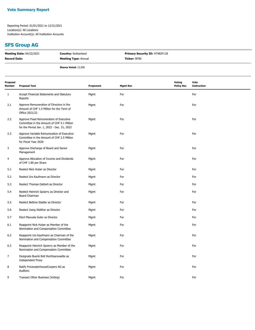#### **SFS Group AG**

| <b>Meeting Date: 04/22/2021</b> | <b>Country: Switzerland</b> | <b>Primary Security ID: H7482F118</b> |  |
|---------------------------------|-----------------------------|---------------------------------------|--|
| <b>Record Date:</b>             | <b>Meeting Type: Annual</b> | <b>Ticker: SFSN</b>                   |  |
|                                 | <b>Shares Voted: 12,500</b> |                                       |  |

| Proposal<br><b>Number</b> | <b>Proposal Text</b>                                                                                                                 | Proponent | <b>Mgmt Rec</b> | <b>Voting</b><br><b>Policy Rec</b> | Vote<br><b>Instruction</b> |
|---------------------------|--------------------------------------------------------------------------------------------------------------------------------------|-----------|-----------------|------------------------------------|----------------------------|
| $\mathbf{1}$              | Accept Financial Statements and Statutory<br>Reports                                                                                 | Mgmt      | For             |                                    | For                        |
| 2.1                       | Approve Remuneration of Directors in the<br>Amount of CHF 1.5 Million for the Term of<br>Office 2021/22                              | Mgmt      | For             |                                    | For                        |
| 2.2                       | Approve Fixed Remuneration of Executive<br>Committee in the Amount of CHF 4.1 Million<br>for the Period Jan. 1, 2022 - Dec. 31, 2022 | Mgmt      | For             |                                    | For                        |
| 2.3                       | Approve Variable Remuneration of Executive<br>Committee in the Amount of CHF 2.5 Million<br>for Fiscal Year 2020                     | Mgmt      | For             |                                    | For                        |
| 3                         | Approve Discharge of Board and Senior<br>Management                                                                                  | Mgmt      | For             |                                    | For                        |
| 4                         | Approve Allocation of Income and Dividends<br>of CHF 1.80 per Share                                                                  | Mgmt      | For             |                                    | For                        |
| 5.1                       | Reelect Nick Huber as Director                                                                                                       | Mgmt      | For             |                                    | For                        |
| 5.2                       | Reelect Urs Kaufmann as Director                                                                                                     | Mgmt      | For             |                                    | For                        |
| 5.3                       | Reelect Thomas Oetterli as Director                                                                                                  | Mgmt      | For             |                                    | For                        |
| 5.4                       | Reelect Heinrich Spoerry as Director and<br>Board Chairman                                                                           | Mgmt      | For             |                                    | For                        |
| 5.5                       | Reelect Bettina Stadler as Director                                                                                                  | Mgmt      | For             |                                    | For                        |
| 5.6                       | Reelect Joerg Walther as Director                                                                                                    | Mgmt      | For             |                                    | For                        |
| 5.7                       | Elect Manuela Suter as Director                                                                                                      | Mgmt      | For             |                                    | For                        |
| 6.1                       | Reappoint Nick Huber as Member of the<br>Nomination and Compensation Committee                                                       | Mgmt      | For             |                                    | For                        |
| 6.2                       | Reappoint Urs Kaufmann as Chairman of the<br>Nomination and Compensation Committee                                                   | Mgmt      | For             |                                    | For                        |
| 6.3                       | Reappoint Heinrich Spoerry as Member of the<br>Nomination and Compensation Committee                                                 | Mgmt      | For             |                                    | For                        |
| 7                         | Designate Buerki Bolt Rechtsanwaelte as<br><b>Independent Proxy</b>                                                                  | Mgmt      | For             |                                    | For                        |
| 8                         | Ratify PricewaterhouseCoopers AG as<br>Auditors                                                                                      | Mgmt      | For             |                                    | For                        |
| 9                         | Transact Other Business (Voting)                                                                                                     | Mgmt      | For             |                                    | For                        |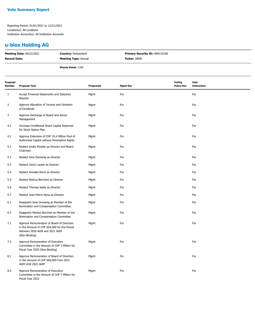## **u-blox Holding AG**

| <b>Meeting Date: 04/22/2021</b> | <b>Country: Switzerland</b> | <b>Primary Security ID: H89210100</b> |
|---------------------------------|-----------------------------|---------------------------------------|
| <b>Record Date:</b>             | <b>Meeting Type: Annual</b> | <b>Ticker:</b> UBXN                   |
|                                 | <b>Shares Voted: 3,500</b>  |                                       |

| Proposal<br>Number | <b>Proposal Text</b>                                                                                                                        | Proponent | <b>Mgmt Rec</b> | <b>Voting</b><br><b>Policy Rec</b> | Vote<br><b>Instruction</b> |
|--------------------|---------------------------------------------------------------------------------------------------------------------------------------------|-----------|-----------------|------------------------------------|----------------------------|
| 1                  | Accept Financial Statements and Statutory<br>Reports                                                                                        | Mgmt      | For             |                                    | For                        |
| 2                  | Approve Allocation of Income and Omission<br>of Dividends                                                                                   | Mgmt      | For             |                                    | For                        |
| 3                  | Approve Discharge of Board and Senior<br>Management                                                                                         | Mgmt      | For             |                                    | For                        |
| 4.1                | Increase Conditional Share Capital Reserved<br>for Stock Option Plan                                                                        | Mgmt      | For             |                                    | For                        |
| 4.2                | Approve Extension of CHF 10.4 Million Pool of<br>Authorized Capital without Preemptive Rights                                               | Mgmt      | For             |                                    | For                        |
| 5.1                | Reelect Andre Mueller as Director and Board<br>Chairman                                                                                     | Mgmt      | For             |                                    | For                        |
| 5.2                | Reelect Gina Domanig as Director                                                                                                            | Mgmt      | For             |                                    | For                        |
| 5.3                | Reelect Ulrich Looser as Director                                                                                                           | Mgmt      | For             |                                    | For                        |
| 5.4                | Reelect Annette Rinck as Director                                                                                                           | Mgmt      | For             |                                    | For                        |
| 5.5                | Reelect Markus Borchert as Director                                                                                                         | Mgmt      | For             |                                    | For                        |
| 5.6                | Reelect Thomas Seiler as Director                                                                                                           | Mgmt      | For             |                                    | For                        |
| 5.7                | Reelect Jean-Pierre Wyss as Director                                                                                                        | Mgmt      | For             |                                    | For                        |
| 6.1                | Reappoint Gina Domanig as Member of the<br>Nomination and Compensation Committee                                                            | Mgmt      | For             |                                    | For                        |
| 6.2                | Reappoint Markus Borchert as Member of the<br>Nomination and Compensation Committee                                                         | Mgmt      | For             |                                    | For                        |
| 7.1                | Approve Remuneration of Board of Directors<br>in the Amount of CHF 654,000 for the Period<br>between 2020 AGM and 2021 AGM<br>(Non-Binding) | Mgmt      | For             |                                    | For                        |
| 7.2                | Approve Remuneration of Executive<br>Committee in the Amount of CHF 3 Million for<br>Fiscal Year 2020 (Non-Binding)                         | Mgmt      | For             |                                    | For                        |
| 8.1                | Approve Remuneration of Board of Directors<br>in the Amount of CHF 660,000 from 2021<br>AGM Until 2022 AGM                                  | Mgmt      | For             |                                    | For                        |
| 8.2                | Approve Remuneration of Executive<br>Committee in the Amount of CHF 7 Million for<br>Fiscal Year 2022                                       | Mgmt      | For             |                                    | For                        |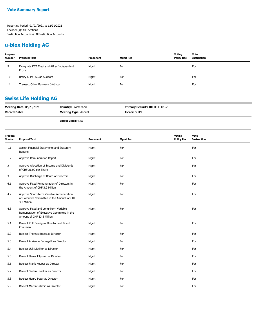## **u-blox Holding AG**

| Proposal<br><b>Number</b> | Proposal Text                                     | Proponent | Mgmt Rec | Voting<br><b>Policy Rec</b> | Vote<br><b>Instruction</b> |
|---------------------------|---------------------------------------------------|-----------|----------|-----------------------------|----------------------------|
| 9                         | Designate KBT Treuhand AG as Independent<br>Proxy | Mgmt      | For      |                             | For                        |
| 10                        | Ratify KPMG AG as Auditors                        | Mgmt      | For      |                             | For                        |
| -11                       | Transact Other Business (Voting)                  | Mgmt      | For      |                             | For                        |

## **Swiss Life Holding AG**

| <b>Meeting Date: 04/23/2021</b> | <b>Country: Switzerland</b> | <b>Primary Security ID: H8404J162</b> |
|---------------------------------|-----------------------------|---------------------------------------|
| <b>Record Date:</b>             | <b>Meeting Type: Annual</b> | <b>Ticker: SLHN</b>                   |
|                                 | <b>Shares Voted: 4,350</b>  |                                       |

| Proposal<br><b>Number</b> | <b>Proposal Text</b>                                                                                             | Proponent | <b>Mgmt Rec</b> | Voting<br><b>Policy Rec</b> | Vote<br><b>Instruction</b> |
|---------------------------|------------------------------------------------------------------------------------------------------------------|-----------|-----------------|-----------------------------|----------------------------|
| 1.1                       | Accept Financial Statements and Statutory<br>Reports                                                             | Mgmt      | For             |                             | For                        |
| 1.2                       | Approve Remuneration Report                                                                                      | Mgmt      | For             |                             | For                        |
| 2                         | Approve Allocation of Income and Dividends<br>of CHF 21.00 per Share                                             | Mgmt      | For             |                             | For                        |
| 3                         | Approve Discharge of Board of Directors                                                                          | Mgmt      | For             |                             | For                        |
| 4.1                       | Approve Fixed Remuneration of Directors in<br>the Amount of CHF 3.2 Million                                      | Mgmt      | For             |                             | For                        |
| 4.2                       | Approve Short-Term Variable Remuneration<br>of Executive Committee in the Amount of CHF<br>3.7 Million           | Mgmt      | For             |                             | For                        |
| 4.3                       | Approve Fixed and Long-Term Variable<br>Remuneration of Executive Committee in the<br>Amount of CHF 13.8 Million | Mgmt      | For             |                             | For                        |
| 5.1                       | Reelect Rolf Doerig as Director and Board<br>Chairman                                                            | Mgmt      | For             |                             | For                        |
| 5.2                       | Reelect Thomas Buess as Director                                                                                 | Mgmt      | For             |                             | For                        |
| 5.3                       | Reelect Adrienne Fumagalli as Director                                                                           | Mgmt      | For             |                             | For                        |
| 5.4                       | Reelect Ueli Dietiker as Director                                                                                | Mgmt      | For             |                             | For                        |
| 5.5                       | Reelect Damir Filipovic as Director                                                                              | Mgmt      | For             |                             | For                        |
| 5.6                       | Reelect Frank Keuper as Director                                                                                 | Mgmt      | For             |                             | For                        |
| 5.7                       | Reelect Stefan Loacker as Director                                                                               | Mgmt      | For             |                             | For                        |
| 5.8                       | Reelect Henry Peter as Director                                                                                  | Mgmt      | For             |                             | For                        |
| 5.9                       | Reelect Martin Schmid as Director                                                                                | Mgmt      | For             |                             | For                        |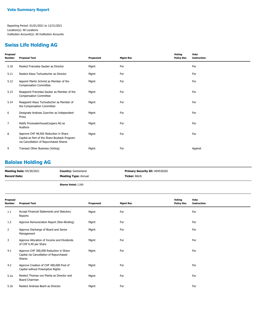#### **Swiss Life Holding AG**

| Proposal<br><b>Number</b> | <b>Proposal Text</b>                                                                                                            | Proponent | <b>Mgmt Rec</b> | Voting<br><b>Policy Rec</b> | Vote<br><b>Instruction</b> |
|---------------------------|---------------------------------------------------------------------------------------------------------------------------------|-----------|-----------------|-----------------------------|----------------------------|
| 5.10                      | Reelect Franziska Sauber as Director                                                                                            | Mgmt      | For             |                             | For                        |
| 5.11                      | Reelect Klaus Tschuetscher as Director                                                                                          | Mgmt      | For             |                             | For                        |
| 5.12                      | Appoint Martin Schmid as Member of the<br><b>Compensation Committee</b>                                                         | Mgmt      | For             |                             | For                        |
| 5.13                      | Reappoint Franziska Sauber as Member of the<br><b>Compensation Committee</b>                                                    | Mgmt      | For             |                             | For                        |
| 5.14                      | Reappoint Klaus Tschuetscher as Member of<br>the Compensation Committee                                                         | Mgmt      | For             |                             | For                        |
| 6                         | Designate Andreas Zuercher as Independent<br>Proxy                                                                              | Mgmt      | For             |                             | For                        |
| $\overline{7}$            | Ratify PricewaterhouseCoopers AG as<br>Auditors                                                                                 | Mgmt      | For             |                             | For                        |
| 8                         | Approve CHF 48,582 Reduction in Share<br>Capital as Part of the Share Buyback Program<br>via Cancellation of Repurchased Shares | Mgmt      | For             |                             | For                        |
| 9                         | Transact Other Business (Voting)                                                                                                | Mgmt      | For             |                             | Against                    |

#### **Baloise Holding AG**

| <b>Meeting Date: 04/30/2021</b> | <b>Country: Switzerland</b> | <b>Primary Security ID: H04530202</b> |
|---------------------------------|-----------------------------|---------------------------------------|
| <b>Record Date:</b>             | <b>Meeting Type: Annual</b> | <b>Ticker:</b> BALN                   |
|                                 | Charge Vetad: 3 FOO         |                                       |

**Shares Voted:** 2,500

| Proposal<br>Number | <b>Proposal Text</b>                                                                        | Proponent | <b>Mgmt Rec</b> | Voting<br><b>Policy Rec</b> | Vote<br><b>Instruction</b> |
|--------------------|---------------------------------------------------------------------------------------------|-----------|-----------------|-----------------------------|----------------------------|
| 1.1                | Accept Financial Statements and Statutory<br>Reports                                        | Mgmt      | For             |                             | For                        |
| 1.2                | Approve Remuneration Report (Non-Binding)                                                   | Mgmt      | For             |                             | For                        |
| $\overline{2}$     | Approve Discharge of Board and Senior<br>Management                                         | Mgmt      | For             |                             | For                        |
| 3                  | Approve Allocation of Income and Dividends<br>of CHF 6.40 per Share                         | Mgmt      | For             |                             | For                        |
| 4.1                | Approve CHF 300,000 Reduction in Share<br>Capital via Cancellation of Repurchased<br>Shares | Mgmt      | For             |                             | For                        |
| 4.2                | Approve Creation of CHF 400,000 Pool of<br>Capital without Preemptive Rights                | Mgmt      | For             |                             | For                        |
| 5.1a               | Reelect Thomas von Planta as Director and<br>Board Chairman                                 | Mgmt      | For             |                             | For                        |
| 5.1 <sub>b</sub>   | Reelect Andreas Beerli as Director                                                          | Mgmt      | For             |                             | For                        |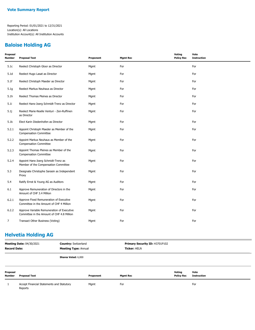#### **Baloise Holding AG**

| Proposal<br><b>Number</b> | <b>Proposal Text</b>                                                                     | Proponent | <b>Mgmt Rec</b> | Voting<br><b>Policy Rec</b> | Vote<br><b>Instruction</b> |
|---------------------------|------------------------------------------------------------------------------------------|-----------|-----------------|-----------------------------|----------------------------|
| 5.1c                      | Reelect Christoph Gloor as Director                                                      | Mgmt      | For             |                             | For                        |
| 5.1 <sub>d</sub>          | Reelect Hugo Lasat as Director                                                           | Mgmt      | For             |                             | For                        |
| 5.1f                      | Reelect Christoph Maeder as Director                                                     | Mgmt      | For             |                             | For                        |
| 5.1 <sub>g</sub>          | Reelect Markus Neuhaus as Director                                                       | Mgmt      | For             |                             | For                        |
| 5.1h                      | Reelect Thomas Pleines as Director                                                       | Mgmt      | For             |                             | For                        |
| 5.1i                      | Reelect Hans-Joerg Schmidt-Trenz as Director                                             | Mgmt      | For             |                             | For                        |
| 5.1j                      | Reelect Marie-Noelle Venturi - Zen-Ruffinen<br>as Director                               | Mgmt      | For             |                             | For                        |
| 5.1k                      | Elect Karin Diedenhofen as Director                                                      | Mgmt      | For             |                             | For                        |
| 5.2.1                     | Appoint Christoph Maeder as Member of the<br><b>Compensation Committee</b>               | Mgmt      | For             |                             | For                        |
| 5.2.2                     | Appoint Markus Neuhaus as Member of the<br><b>Compensation Committee</b>                 | Mgmt      | For             |                             | For                        |
| 5.2.3                     | Appoint Thomas Pleines as Member of the<br><b>Compensation Committee</b>                 | Mgmt      | For             |                             | For                        |
| 5.2.4                     | Appoint Hans-Joerg Schmidt-Trenz as<br>Member of the Compensation Committee              | Mgmt      | For             |                             | For                        |
| 5.3                       | Designate Christophe Sarasin as Independent<br>Proxy                                     | Mgmt      | For             |                             | For                        |
| 5.4                       | Ratify Ernst & Young AG as Auditors                                                      | Mgmt      | For             |                             | For                        |
| 6.1                       | Approve Remuneration of Directors in the<br>Amount of CHF 3.4 Million                    | Mgmt      | For             |                             | For                        |
| 6.2.1                     | Approve Fixed Remuneration of Executive<br>Committee in the Amount of CHF 4 Million      | Mgmt      | For             |                             | For                        |
| 6.2.2                     | Approve Variable Remuneration of Executive<br>Committee in the Amount of CHF 4.8 Million | Mgmt      | For             |                             | For                        |
| $\overline{7}$            | Transact Other Business (Voting)                                                         | Mgmt      | For             |                             | For                        |

# **Helvetia Holding AG**

| <b>Meeting Date: 04/30/2021</b><br><b>Record Date:</b> |                                                      | <b>Country: Switzerland</b><br><b>Meeting Type: Annual</b> |           | Primary Security ID: H3701P102<br><b>Ticker: HELN</b> |                   |                    |  |
|--------------------------------------------------------|------------------------------------------------------|------------------------------------------------------------|-----------|-------------------------------------------------------|-------------------|--------------------|--|
|                                                        |                                                      | Shares Voted: 6,000                                        |           |                                                       |                   |                    |  |
| Proposal                                               |                                                      |                                                            |           |                                                       | Voting            | Vote               |  |
| <b>Number</b>                                          | <b>Proposal Text</b>                                 |                                                            | Proponent | <b>Mgmt Rec</b>                                       | <b>Policy Rec</b> | <b>Instruction</b> |  |
|                                                        | Accept Financial Statements and Statutory<br>Reports |                                                            | Mgmt      | For                                                   |                   | For                |  |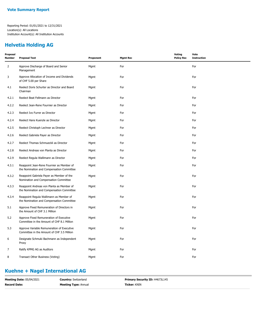#### **Helvetia Holding AG**

| Proposal<br><b>Number</b> | <b>Proposal Text</b>                                                                     | Proponent | <b>Mgmt Rec</b> | <b>Voting</b><br><b>Policy Rec</b> | Vote<br><b>Instruction</b> |
|---------------------------|------------------------------------------------------------------------------------------|-----------|-----------------|------------------------------------|----------------------------|
| $\overline{2}$            | Approve Discharge of Board and Senior<br>Management                                      | Mgmt      | For             |                                    | For                        |
| 3                         | Approve Allocation of Income and Dividends<br>of CHF 5.00 per Share                      | Mgmt      | For             |                                    | For                        |
| 4.1                       | Reelect Doris Schurter as Director and Board<br>Chairman                                 | Mgmt      | For             |                                    | For                        |
| 4.2.1                     | Reelect Beat Fellmann as Director                                                        | Mgmt      | For             |                                    | For                        |
| 4.2.2                     | Reelect Jean-Rene Fournier as Director                                                   | Mgmt      | For             |                                    | For                        |
| 4.2.3                     | Reelect Ivo Furrer as Director                                                           | Mgmt      | For             |                                    | For                        |
| 4.2.4                     | Reelect Hans Kuenzle as Director                                                         | Mgmt      | For             |                                    | For                        |
| 4.2.5                     | Reelect Christoph Lechner as Director                                                    | Mgmt      | For             |                                    | For                        |
| 4.2.6                     | Reelect Gabriela Payer as Director                                                       | Mgmt      | For             |                                    | For                        |
| 4.2.7                     | Reelect Thomas Schmueckli as Director                                                    | Mgmt      | For             |                                    | For                        |
| 4.2.8                     | Reelect Andreas von Planta as Director                                                   | Mgmt      | For             |                                    | For                        |
| 4.2.9                     | Reelect Regula Wallimann as Director                                                     | Mgmt      | For             |                                    | For                        |
| 4.3.1                     | Reappoint Jean-Rene Fournier as Member of<br>the Nomination and Compensation Committee   | Mgmt      | For             |                                    | For                        |
| 4.3.2                     | Reappoint Gabriela Payer as Member of the<br>Nomination and Compensation Committee       | Mgmt      | For             |                                    | For                        |
| 4.3.3                     | Reappoint Andreas von Planta as Member of<br>the Nomination and Compensation Committee   | Mgmt      | For             |                                    | For                        |
| 4.3.4                     | Reappoint Regula Wallimann as Member of<br>the Nomination and Compensation Committee     | Mgmt      | For             |                                    | For                        |
| 5.1                       | Approve Fixed Remuneration of Directors in<br>the Amount of CHF 3.1 Million              | Mgmt      | For             |                                    | For                        |
| 5.2                       | Approve Fixed Remuneration of Executive<br>Committee in the Amount of CHF 8.1 Million    | Mgmt      | For             |                                    | For                        |
| 5.3                       | Approve Variable Remuneration of Executive<br>Committee in the Amount of CHF 3.5 Million | Mgmt      | For             |                                    | For                        |
| 6                         | Designate Schmuki Bachmann as Independent<br>Proxy                                       | Mgmt      | For             |                                    | For                        |
| $\overline{7}$            | Ratify KPMG AG as Auditors                                                               | Mgmt      | For             |                                    | For                        |
| 8                         | Transact Other Business (Voting)                                                         | Mgmt      | For             |                                    | For                        |

## **Kuehne + Nagel International AG**

| <b>Meeting Date: 05/04/2021</b> | <b>Country: Switzerland</b> | <b>Primary Security ID: H4673L145</b> |
|---------------------------------|-----------------------------|---------------------------------------|
| <b>Record Date:</b>             | <b>Meeting Type: Annual</b> | <b>Ticker: KNIN</b>                   |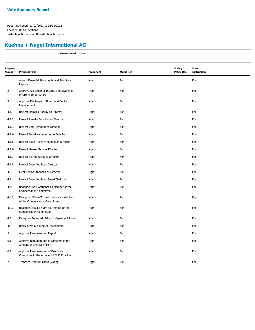## **Kuehne + Nagel International AG**

**Shares Voted:** 10,500

| Proposal<br><b>Number</b> | <b>Proposal Text</b>                                                           | Proponent | <b>Mgmt Rec</b> | <b>Voting</b><br><b>Policy Rec</b> | Vote<br><b>Instruction</b> |
|---------------------------|--------------------------------------------------------------------------------|-----------|-----------------|------------------------------------|----------------------------|
| $\mathbf{1}$              | Accept Financial Statements and Statutory<br>Reports                           | Mgmt      | For             |                                    | For                        |
| $\overline{2}$            | Approve Allocation of Income and Dividends<br>of CHF 4.50 per Share            | Mgmt      | For             |                                    | For                        |
| 3                         | Approve Discharge of Board and Senior<br>Management                            | Mgmt      | For             |                                    | For                        |
| 4.1.1                     | Reelect Dominik Buergy as Director                                             | Mgmt      | For             |                                    | For                        |
| 4.1.2                     | Reelect Renato Fassbind as Director                                            | Mgmt      | For             |                                    | For                        |
| 4.1.3                     | Reelect Karl Gernandt as Director                                              | Mgmt      | For             |                                    | For                        |
| 4.1.4                     | Reelect David Kamenetzky as Director                                           | Mgmt      | For             |                                    | For                        |
| 4.1.5                     | Reelect Klaus-Michael Kuehne as Director                                       | Mgmt      | For             |                                    | For                        |
| 4.1.6                     | Reelect Hauke Stars as Director                                                | Mgmt      | For             |                                    | For                        |
| 4.1.7                     | Reelect Martin Wittig as Director                                              | Mgmt      | For             |                                    | For                        |
| 4.1.8                     | Reelect Joerg Wolle as Director                                                | Mgmt      | For             |                                    | For                        |
| 4.2                       | Elect Tobias Staehelin as Director                                             | Mgmt      | For             |                                    | For                        |
| 4.3                       | Reelect Joerg Wolle as Board Chairman                                          | Mgmt      | For             |                                    | For                        |
| 4.4.1                     | Reappoint Karl Gernandt as Member of the<br><b>Compensation Committee</b>      | Mgmt      | For             |                                    | For                        |
| 4.4.2                     | Reappoint Klaus-Michael Kuehne as Member<br>of the Compensation Committee      | Mgmt      | For             |                                    | For                        |
| 4.4.3                     | Reappoint Hauke Stars as Member of the<br><b>Compensation Committee</b>        | Mgmt      | For             |                                    | For                        |
| 4.5                       | Designate Investarit AG as Independent Proxy                                   | Mgmt      | For             |                                    | For                        |
| 4.6                       | Ratify Ernst & Young AG as Auditors                                            | Mgmt      | For             |                                    | For                        |
| 5                         | Approve Remuneration Report                                                    | Mgmt      | For             |                                    | For                        |
| 6.1                       | Approve Remuneration of Directors in the<br>Amount of CHF 5.5 Million          | Mgmt      | For             |                                    | For                        |
| 6.2                       | Approve Remuneration of Executive<br>Committee in the Amount of CHF 22 Million | Mgmt      | For             |                                    | For                        |
| $\overline{7}$            | Transact Other Business (Voting)                                               | Mgmt      | For             |                                    | For                        |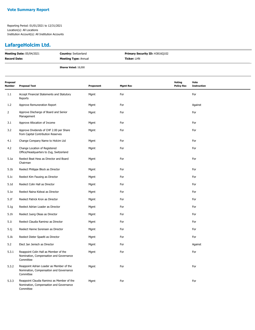## **LafargeHolcim Ltd.**

| <b>Meeting Date: 05/04/2021</b> | <b>Country:</b> Switzerland | <b>Primary Security ID: H3816Q102</b> |
|---------------------------------|-----------------------------|---------------------------------------|
| <b>Record Date:</b>             | <b>Meeting Type: Annual</b> | <b>Ticker: LHN</b>                    |
|                                 | <b>Shares Voted: 18,000</b> |                                       |

| Proposal<br>Number | <b>Proposal Text</b>                                                                               | Proponent | <b>Mgmt Rec</b> | <b>Voting</b><br><b>Policy Rec</b> | Vote<br><b>Instruction</b> |
|--------------------|----------------------------------------------------------------------------------------------------|-----------|-----------------|------------------------------------|----------------------------|
| 1.1                | Accept Financial Statements and Statutory<br>Reports                                               | Mgmt      | For             |                                    | For                        |
| 1.2                | Approve Remuneration Report                                                                        | Mgmt      | For             |                                    | Against                    |
| $\overline{2}$     | Approve Discharge of Board and Senior<br>Management                                                | Mgmt      | For             |                                    | For                        |
| 3.1                | Approve Allocation of Income                                                                       | Mgmt      | For             |                                    | For                        |
| 3.2                | Approve Dividends of CHF 2.00 per Share<br>from Capital Contribution Reserves                      | Mgmt      | For             |                                    | For                        |
| 4.1                | Change Company Name to Holcim Ltd                                                                  | Mgmt      | For             |                                    | For                        |
| 4.2                | Change Location of Registered<br>Office/Headquarters to Zug, Switzerland                           | Mgmt      | For             |                                    | For                        |
| 5.1a               | Reelect Beat Hess as Director and Board<br>Chairman                                                | Mgmt      | For             |                                    | For                        |
| 5.1 <sub>b</sub>   | Reelect Philippe Block as Director                                                                 | Mgmt      | For             |                                    | For                        |
| 5.1c               | Reelect Kim Fausing as Director                                                                    | Mgmt      | For             |                                    | For                        |
| 5.1 <sub>d</sub>   | Reelect Colin Hall as Director                                                                     | Mgmt      | For             |                                    | For                        |
| 5.1e               | Reelect Naina Kidwai as Director                                                                   | Mgmt      | For             |                                    | For                        |
| 5.1f               | Reelect Patrick Kron as Director                                                                   | Mgmt      | For             |                                    | For                        |
| 5.1g               | Reelect Adrian Loader as Director                                                                  | Mgmt      | For             |                                    | For                        |
| 5.1h               | Reelect Juerg Oleas as Director                                                                    | Mgmt      | For             |                                    | For                        |
| 5.1i               | Reelect Claudia Ramirez as Director                                                                | Mgmt      | For             |                                    | For                        |
| 5.1j               | Reelect Hanne Sorensen as Director                                                                 | Mgmt      | For             |                                    | For                        |
| 5.1k               | Reelect Dieter Spaelti as Director                                                                 | Mgmt      | For             |                                    | For                        |
| 5.2                | Elect Jan Jenisch as Director                                                                      | Mgmt      | For             |                                    | Against                    |
| 5.3.1              | Reappoint Colin Hall as Member of the<br>Nomination, Compensation and Governance<br>Committee      | Mgmt      | For             |                                    | For                        |
| 5.3.2              | Reappoint Adrian Loader as Member of the<br>Nomination, Compensation and Governance<br>Committee   | Mgmt      | For             |                                    | For                        |
| 5.3.3              | Reappoint Claudia Ramirez as Member of the<br>Nomination, Compensation and Governance<br>Committee | Mgmt      | For             |                                    | For                        |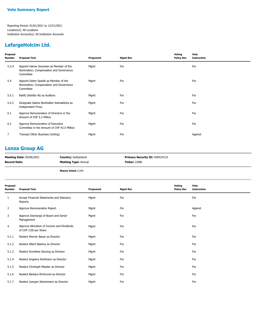## **LafargeHolcim Ltd.**

| Proposal<br>Number | <b>Proposal Text</b>                                                                            | Proponent | <b>Mgmt Rec</b> | Voting<br><b>Policy Rec</b> | Vote<br><b>Instruction</b> |
|--------------------|-------------------------------------------------------------------------------------------------|-----------|-----------------|-----------------------------|----------------------------|
| 5.3.4              | Appoint Hanne Sorensen as Member of the<br>Nomination, Compensation and Governance<br>Committee | Mgmt      | For             |                             | For                        |
| 5.4                | Appoint Dieter Spaelti as Member of the<br>Nomination, Compensation and Governance<br>Committee | Mgmt      | For             |                             | For                        |
| 5.5.1              | Ratify Deloitte AG as Auditors                                                                  | Mgmt      | For             |                             | For                        |
| 5.5.2              | Designate Sabine Burkhalter Kaimakliotis as<br><b>Independent Proxy</b>                         | Mgmt      | For             |                             | For                        |
| 6.1                | Approve Remuneration of Directors in the<br>Amount of CHF 5.2 Million                           | Mgmt      | For             |                             | For                        |
| 6.2                | Approve Remuneration of Executive<br>Committee in the Amount of CHF 42.5 Million                | Mgmt      | For             |                             | For                        |
| 7                  | Transact Other Business (Voting)                                                                | Mgmt      | For             |                             | Against                    |
|                    |                                                                                                 |           |                 |                             |                            |

## **Lonza Group AG**

| <b>Meeting Date: 05/06/2021</b> | <b>Country: Switzerland</b> | <b>Primary Security ID: H50524133</b> |
|---------------------------------|-----------------------------|---------------------------------------|
| <b>Record Date:</b>             | <b>Meeting Type: Annual</b> | <b>Ticker: LONN</b>                   |
|                                 |                             |                                       |

**Shares Voted:** 6,550

| <b>Proposal Text</b>                                                | Proponent | <b>Mgmt Rec</b> | Voting<br><b>Policy Rec</b> | Vote<br><b>Instruction</b> |
|---------------------------------------------------------------------|-----------|-----------------|-----------------------------|----------------------------|
| Accept Financial Statements and Statutory<br>Reports                | Mgmt      | For             |                             | For                        |
| Approve Remuneration Report                                         | Mgmt      | For             |                             | Against                    |
| Approve Discharge of Board and Senior<br>Management                 | Mgmt      | For             |                             | For                        |
| Approve Allocation of Income and Dividends<br>of CHF 3.00 per Share | Mgmt      | For             |                             | For                        |
| Reelect Werner Bauer as Director                                    | Mgmt      | For             |                             | For                        |
| Reelect Albert Baehny as Director                                   | Mgmt      | For             |                             | For                        |
| Reelect Dorothee Deuring as Director                                | Mgmt      | For             |                             | For                        |
| Reelect Angelica Kohlmann as Director                               | Mgmt      | For             |                             | For                        |
| Reelect Christoph Maeder as Director                                | Mgmt      | For             |                             | For                        |
| Reelect Barbara Richmond as Director                                | Mgmt      | For             |                             | For                        |
| Reelect Juergen Steinemann as Director                              | Mgmt      | For             |                             | For                        |
|                                                                     |           |                 |                             |                            |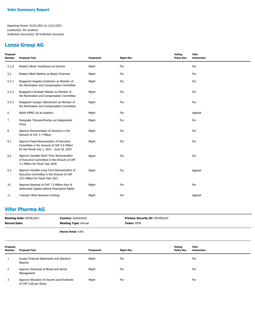## **Lonza Group AG**

| Proposal<br>Number | <b>Proposal Text</b>                                                                                                                 | Proponent | <b>Mgmt Rec</b> | Voting<br><b>Policy Rec</b> | Vote<br><b>Instruction</b> |
|--------------------|--------------------------------------------------------------------------------------------------------------------------------------|-----------|-----------------|-----------------------------|----------------------------|
| 5.1.8              | Reelect Olivier Verscheure as Director                                                                                               | Mgmt      | For             |                             | For                        |
| 5.2                | Reelect Albert Baehny as Board Chairman                                                                                              | Mgmt      | For             |                             | For                        |
| 5.3.1              | Reappoint Angelica Kohlmann as Member of<br>the Nomination and Compensation Committee                                                | Mgmt      | For             |                             | For                        |
| 5.3.2              | Reappoint Christoph Maeder as Member of<br>the Nomination and Compensation Committee                                                 | Mgmt      | For             |                             | For                        |
| 5.3.3              | Reappoint Juergen Steinemann as Member of<br>the Nomination and Compensation Committee                                               | Mgmt      | For             |                             | For                        |
| 6                  | Ratify KPMG Ltd as Auditors                                                                                                          | Mgmt      | For             |                             | Against                    |
| 7                  | Designate ThomannFischer as Independent<br>Proxy                                                                                     | Mgmt      | For             |                             | For                        |
| 8                  | Approve Remuneration of Directors in the<br>Amount of CHF 2.7 Million                                                                | Mgmt      | For             |                             | For                        |
| 9.1                | Approve Fixed Remuneration of Executive<br>Committee in the Amount of CHF 5.6 Million<br>for the Period July 1, 2021 - June 30, 2022 | Mgmt      | For             |                             | For                        |
| 9.2                | Approve Variable Short-Term Remuneration<br>of Executive Committee in the Amount of CHF<br>3.3 Million for Fiscal Year 2020          | Mgmt      | For             |                             | For                        |
| 9.3                | Approve Variable Long-Term Remuneration of<br>Executive Committee in the Amount of CHF<br>10.5 Million for Fiscal Year 2021          | Mgmt      | For             |                             | Against                    |
| 10                 | Approve Renewal of CHF 7.5 Million Pool of<br>Authorized Capital without Preemptive Rights                                           | Mgmt      | For             |                             | For                        |
| 11                 | Transact Other Business (Voting)                                                                                                     | Mgmt      | For             |                             | Against                    |

## **Vifor Pharma AG**

| <b>Meeting Date: 05/06/2021</b> | <b>Country: Switzerland</b> | <b>Primary Security ID: H9150Q103</b> |
|---------------------------------|-----------------------------|---------------------------------------|
| <b>Record Date:</b>             | <b>Meeting Type: Annual</b> | <b>Ticker:</b> VIFN                   |
|                                 | <b>Shares Voted: 4,000</b>  |                                       |

| Proposal<br><b>Number</b> | <b>Proposal Text</b>                                                | Proponent | Mgmt Rec | Votina<br><b>Policy Rec</b> | Vote<br>Instruction |
|---------------------------|---------------------------------------------------------------------|-----------|----------|-----------------------------|---------------------|
|                           | Accept Financial Statements and Statutory<br>Reports                | Mgmt      | For      |                             | For                 |
| 2                         | Approve Discharge of Board and Senior<br>Management                 | Mgmt      | For      |                             | For                 |
| 3                         | Approve Allocation of Income and Dividends<br>of CHF 2.00 per Share | Mgmt      | For      |                             | For                 |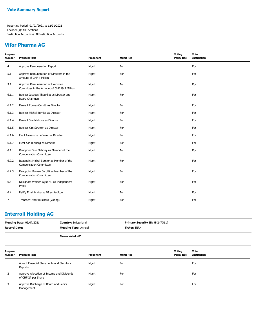## **Vifor Pharma AG**

| Proposal<br><b>Number</b> | <b>Proposal Text</b>                                                             | Proponent | <b>Mgmt Rec</b> | Voting<br><b>Policy Rec</b> | Vote<br><b>Instruction</b> |
|---------------------------|----------------------------------------------------------------------------------|-----------|-----------------|-----------------------------|----------------------------|
| 4                         | Approve Remuneration Report                                                      | Mgmt      | For             |                             | For                        |
| 5.1                       | Approve Remuneration of Directors in the<br>Amount of CHF 4 Million              | Mgmt      | For             |                             | For                        |
| 5.2                       | Approve Remuneration of Executive<br>Committee in the Amount of CHF 19.5 Million | Mgmt      | For             |                             | For                        |
| 6.1.1                     | Reelect Jacques Theurillat as Director and<br>Board Chairman                     | Mgmt      | For             |                             | For                        |
| 6.1.2                     | Reelect Romeo Cerutti as Director                                                | Mgmt      | For             |                             | For                        |
| 6.1.3                     | Reelect Michel Burnier as Director                                               | Mgmt      | For             |                             | For                        |
| 6.1.4                     | Reelect Sue Mahony as Director                                                   | Mgmt      | For             |                             | For                        |
| 6.1.5                     | Reelect Kim Stratton as Director                                                 | Mgmt      | For             |                             | For                        |
| 6.1.6                     | Elect Alexandre LeBeaut as Director                                              | Mgmt      | For             |                             | For                        |
| 6.1.7                     | Elect Asa Riisberg as Director                                                   | Mgmt      | For             |                             | For                        |
| 6.2.1                     | Reappoint Sue Mahony as Member of the<br><b>Compensation Committee</b>           | Mgmt      | For             |                             | For                        |
| 6.2.2                     | Reappoint Michel Burnier as Member of the<br><b>Compensation Committee</b>       | Mgmt      | For             |                             | For                        |
| 6.2.3                     | Reappoint Romeo Cerutti as Member of the<br><b>Compensation Committee</b>        | Mgmt      | For             |                             | For                        |
| 6.3                       | Designate Walder Wyss AG as Independent<br>Proxy                                 | Mgmt      | For             |                             | For                        |
| 6.4                       | Ratify Ernst & Young AG as Auditors                                              | Mgmt      | For             |                             | For                        |
| $\overline{7}$            | Transact Other Business (Voting)                                                 | Mgmt      | For             |                             | For                        |

## **Interroll Holding AG**

|                           | <b>Meeting Date: 05/07/2021</b><br><b>Country: Switzerland</b><br><b>Record Date:</b><br><b>Meeting Type: Annual</b> |                          |           | Primary Security ID: H4247Q117<br><b>Ticker: INRN</b> |                             |                            |
|---------------------------|----------------------------------------------------------------------------------------------------------------------|--------------------------|-----------|-------------------------------------------------------|-----------------------------|----------------------------|
|                           |                                                                                                                      | <b>Shares Voted: 425</b> |           |                                                       |                             |                            |
| Proposal<br><b>Number</b> | <b>Proposal Text</b>                                                                                                 |                          | Proponent | <b>Mgmt Rec</b>                                       | Voting<br><b>Policy Rec</b> | Vote<br><b>Instruction</b> |
|                           | Accept Financial Statements and Statutory<br>Reports                                                                 |                          | Mgmt      | For                                                   |                             | For                        |
| 2                         | Approve Allocation of Income and Dividends<br>of CHF 27 per Share                                                    |                          | Mgmt      | For                                                   |                             | For                        |
| 3                         | Approve Discharge of Board and Senior<br>Management                                                                  |                          | Mgmt      | For                                                   |                             | For                        |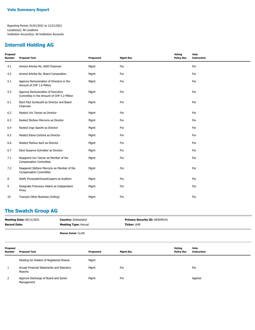#### **Interroll Holding AG**

| Proposal<br>Number | <b>Proposal Text</b>                                                            | Proponent | <b>Mgmt Rec</b> | Voting<br><b>Policy Rec</b> | Vote<br><b>Instruction</b> |
|--------------------|---------------------------------------------------------------------------------|-----------|-----------------|-----------------------------|----------------------------|
| 4.1                | Amend Articles Re: AGM Chairman                                                 | Mgmt      | For             |                             | For                        |
| 4.2                | Amend Articles Re: Board Composition                                            | Mgmt      | For             |                             | For                        |
| 5.1                | Approve Remuneration of Directors in the<br>Amount of CHF 1.6 Million           | Mgmt      | For             |                             | For                        |
| 5.2                | Approve Remuneration of Executive<br>Committee in the Amount of CHF 5.2 Million | Mgmt      | For             |                             | For                        |
| 6.1                | Elect Paul Zumbuehl as Director and Board<br>Chairman                           | Mgmt      | For             |                             | For                        |
| 6.2                | Reelect Urs Tanner as Director                                                  | Mgmt      | For             |                             | For                        |
| 6.3                | Reelect Stefano Mercorio as Director                                            | Mgmt      | For             |                             | For                        |
| 6.4                | Reelect Ingo Specht as Director                                                 | Mgmt      | For             |                             | For                        |
| 6.5                | Reelect Elena Cortona as Director                                               | Mgmt      | For             |                             | For                        |
| 6.6                | Reelect Markus Asch as Director                                                 | Mgmt      | For             |                             | For                        |
| 6.7                | Elect Susanne Schreiber as Director                                             | Mgmt      | For             |                             | For                        |
| 7.1                | Reappoint Urs Tanner as Member of the<br><b>Compensation Committee</b>          | Mgmt      | For             |                             | For                        |
| 7.2                | Reappoint Stefano Mercorio as Member of the<br><b>Compensation Committee</b>    | Mgmt      | For             |                             | For                        |
| 8                  | Ratify PricewaterhouseCoopers as Auditors                                       | Mgmt      | For             |                             | For                        |
| 9                  | Designate Francesco Adami as Independent<br>Proxy                               | Mgmt      | For             |                             | For                        |
| 10                 | Transact Other Business (Voting)                                                | Mgmt      | For             |                             | For                        |

#### **The Swatch Group AG**

| <b>Meeting Date: 05/11/2021</b> | <b>Country: Switzerland</b> | Primary Security ID: H83949141 |
|---------------------------------|-----------------------------|--------------------------------|
| Record Date:                    | <b>Meeting Type: Annual</b> | <b>Ticker: UHR</b>             |
|                                 | <b>Shares Voted: 22,000</b> |                                |

| Proposal<br><b>Number</b> | <b>Proposal Text</b>                                 | Proponent | <b>Mgmt Rec</b> | Votina<br><b>Policy Rec</b> | Vote<br>Instruction |
|---------------------------|------------------------------------------------------|-----------|-----------------|-----------------------------|---------------------|
|                           | Meeting for Holders of Registered Shares             | Mgmt      |                 |                             |                     |
|                           | Accept Financial Statements and Statutory<br>Reports | Mgmt      | For             |                             | For                 |
| 2                         | Approve Discharge of Board and Senior<br>Management  | Mgmt      | For             |                             | Against             |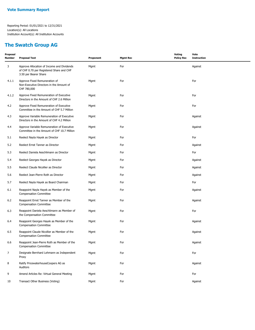#### **The Swatch Group AG**

| Proposal<br><b>Number</b> | <b>Proposal Text</b>                                                                                            | Proponent | <b>Mgmt Rec</b> | <b>Voting</b><br><b>Policy Rec</b> | Vote<br><b>Instruction</b> |
|---------------------------|-----------------------------------------------------------------------------------------------------------------|-----------|-----------------|------------------------------------|----------------------------|
| 3                         | Approve Allocation of Income and Dividends<br>of CHF 0.70 per Registered Share and CHF<br>3.50 per Bearer Share | Mgmt      | For             |                                    | Against                    |
| 4.1.1                     | Approve Fixed Remuneration of<br>Non-Executive Directors in the Amount of<br>CHF 780,000                        | Mgmt      | For             |                                    | For                        |
| 4.1.2                     | Approve Fixed Remuneration of Executive<br>Directors in the Amount of CHF 2.6 Million                           | Mgmt      | For             |                                    | For                        |
| 4.2                       | Approve Fixed Remuneration of Executive<br>Committee in the Amount of CHF 5.7 Million                           | Mgmt      | For             |                                    | For                        |
| 4.3                       | Approve Variable Remuneration of Executive<br>Directors in the Amount of CHF 4.2 Million                        | Mgmt      | For             |                                    | Against                    |
| 4.4                       | Approve Variable Remuneration of Executive<br>Committee in the Amount of CHF 10.7 Million                       | Mgmt      | For             |                                    | Against                    |
| 5.1                       | Reelect Nayla Hayek as Director                                                                                 | Mgmt      | For             |                                    | For                        |
| 5.2                       | Reelect Ernst Tanner as Director                                                                                | Mgmt      | For             |                                    | Against                    |
| 5.3                       | Reelect Daniela Aeschlimann as Director                                                                         | Mgmt      | For             |                                    | For                        |
| 5.4                       | Reelect Georges Hayek as Director                                                                               | Mgmt      | For             |                                    | Against                    |
| 5.5                       | Reelect Claude Nicollier as Director                                                                            | Mgmt      | For             |                                    | Against                    |
| 5.6                       | Reelect Jean-Pierre Roth as Director                                                                            | Mgmt      | For             |                                    | Against                    |
| 5.7                       | Reelect Nayla Hayek as Board Chairman                                                                           | Mgmt      | For             |                                    | For                        |
| 6.1                       | Reappoint Nayla Hayek as Member of the<br><b>Compensation Committee</b>                                         | Mgmt      | For             |                                    | Against                    |
| 6.2                       | Reappoint Ernst Tanner as Member of the<br><b>Compensation Committee</b>                                        | Mgmt      | For             |                                    | Against                    |
| 6.3                       | Reappoint Daniela Aeschlimann as Member of<br>the Compensation Committee                                        | Mgmt      | For             |                                    | For                        |
| 6.4                       | Reappoint Georges Hayek as Member of the<br><b>Compensation Committee</b>                                       | Mgmt      | For             |                                    | Against                    |
| 6.5                       | Reappoint Claude Nicollier as Member of the<br><b>Compensation Committee</b>                                    | Mgmt      | For             |                                    | Against                    |
| 6.6                       | Reappoint Jean-Pierre Roth as Member of the<br><b>Compensation Committee</b>                                    | Mgmt      | For             |                                    | Against                    |
| $\overline{7}$            | Designate Bernhard Lehmann as Independent<br>Proxy                                                              | Mgmt      | For             |                                    | For                        |
| 8                         | Ratify PricewaterhouseCoopers AG as<br>Auditors                                                                 | Mgmt      | For             |                                    | Against                    |
| 9                         | Amend Articles Re: Virtual General Meeting                                                                      | Mgmt      | For             |                                    | For                        |
| 10                        | Transact Other Business (Voting)                                                                                | Mgmt      | For             |                                    | Against                    |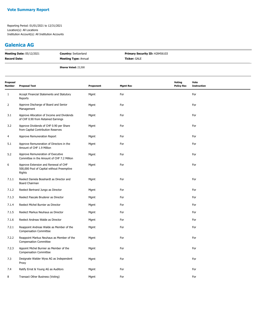#### **Galenica AG**

| <b>Meeting Date: 05/12/2021</b> | <b>Country: Switzerland</b> | <b>Primary Security ID: H28456103</b> |
|---------------------------------|-----------------------------|---------------------------------------|
| <b>Record Date:</b>             | <b>Meeting Type: Annual</b> | <b>Ticker:</b> GALE                   |
|                                 | <b>Shares Voted: 23,500</b> |                                       |

| Proposal<br>Number | <b>Proposal Text</b>                                                                         | Proponent | <b>Mgmt Rec</b> | Voting<br><b>Policy Rec</b> | Vote<br><b>Instruction</b> |
|--------------------|----------------------------------------------------------------------------------------------|-----------|-----------------|-----------------------------|----------------------------|
| 1                  | Accept Financial Statements and Statutory<br>Reports                                         | Mgmt      | For             |                             | For                        |
| $\overline{2}$     | Approve Discharge of Board and Senior<br>Management                                          | Mgmt      | For             |                             | For                        |
| 3.1                | Approve Allocation of Income and Dividends<br>of CHF 0.90 from Retained Earnings             | Mgmt      | For             |                             | For                        |
| 3.2                | Approve Dividends of CHF 0.90 per Share<br>from Capital Contribution Reserves                | Mgmt      | For             |                             | For                        |
| $\overline{4}$     | Approve Remuneration Report                                                                  | Mgmt      | For             |                             | For                        |
| 5.1                | Approve Remuneration of Directors in the<br>Amount of CHF 1.9 Million                        | Mgmt      | For             |                             | For                        |
| 5.2                | Approve Remuneration of Executive<br>Committee in the Amount of CHF 7.2 Million              | Mgmt      | For             |                             | For                        |
| 6                  | Approve Extension and Renewal of CHF<br>500,000 Pool of Capital without Preemptive<br>Rights | Mgmt      | For             |                             | For                        |
| 7.1.1              | Reelect Daniela Bosshardt as Director and<br>Board Chairman                                  | Mgmt      | For             |                             | For                        |
| 7.1.2              | Reelect Bertrand Jungo as Director                                                           | Mgmt      | For             |                             | For                        |
| 7.1.3              | Reelect Pascale Bruderer as Director                                                         | Mgmt      | For             |                             | For                        |
| 7.1.4              | Reelect Michel Burnier as Director                                                           | Mgmt      | For             |                             | For                        |
| 7.1.5              | Reelect Markus Neuhaus as Director                                                           | Mgmt      | For             |                             | For                        |
| 7.1.6              | Reelect Andreas Walde as Director                                                            | Mgmt      | For             |                             | For                        |
| 7.2.1              | Reappoint Andreas Walde as Member of the<br><b>Compensation Committee</b>                    | Mgmt      | For             |                             | For                        |
| 7.2.2              | Reappoint Markus Neuhaus as Member of the<br><b>Compensation Committee</b>                   | Mgmt      | For             |                             | For                        |
| 7.2.3              | Appoint Michel Burnier as Member of the<br><b>Compensation Committee</b>                     | Mgmt      | For             |                             | For                        |
| 7.3                | Designate Walder Wyss AG as Independent<br>Proxy                                             | Mgmt      | For             |                             | For                        |
| 7.4                | Ratify Ernst & Young AG as Auditors                                                          | Mgmt      | For             |                             | For                        |
| 8                  | Transact Other Business (Voting)                                                             | Mgmt      | For             |                             | For                        |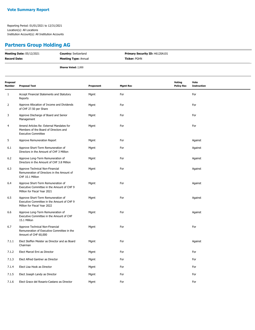## **Partners Group Holding AG**

| <b>Meeting Date: 05/12/2021</b> | <b>Country: Switzerland</b> | <b>Primary Security ID: H6120A101</b> |
|---------------------------------|-----------------------------|---------------------------------------|
| <b>Record Date:</b>             | <b>Meeting Type: Annual</b> | <b>Ticker:</b> PGHN                   |
|                                 | <b>Shares Voted: 2,000</b>  |                                       |

| Proposal<br>Number | <b>Proposal Text</b>                                                                                             | Proponent | <b>Mgmt Rec</b> | Voting<br><b>Policy Rec</b> | Vote<br><b>Instruction</b> |
|--------------------|------------------------------------------------------------------------------------------------------------------|-----------|-----------------|-----------------------------|----------------------------|
| 1                  | Accept Financial Statements and Statutory<br>Reports                                                             | Mgmt      | For             |                             | For                        |
| 2                  | Approve Allocation of Income and Dividends<br>of CHF 27.50 per Share                                             | Mgmt      | For             |                             | For                        |
| 3                  | Approve Discharge of Board and Senior<br>Management                                                              | Mgmt      | For             |                             | For                        |
| 4                  | Amend Articles Re: External Mandates for<br>Members of the Board of Directors and<br><b>Executive Committee</b>  | Mgmt      | For             |                             | For                        |
| 5                  | Approve Remuneration Report                                                                                      | Mgmt      | For             |                             | Against                    |
| 6.1                | Approve Short-Term Remuneration of<br>Directors in the Amount of CHF 3 Million                                   | Mgmt      | For             |                             | Against                    |
| 6.2                | Approve Long-Term Remuneration of<br>Directors in the Amount of CHF 3.8 Million                                  | Mgmt      | For             |                             | Against                    |
| 6.3                | Approve Technical Non-Financial<br>Remuneration of Directors in the Amount of<br>CHF 10.1 Million                | Mgmt      | For             |                             | Against                    |
| 6.4                | Approve Short-Term Remuneration of<br>Executive Committee in the Amount of CHF 9<br>Million for Fiscal Year 2021 | Mgmt      | For             |                             | Against                    |
| 6.5                | Approve Short-Term Remuneration of<br>Executive Committee in the Amount of CHF 9<br>Million for Fiscal Year 2022 | Mgmt      | For             |                             | Against                    |
| 6.6                | Approve Long-Term Remuneration of<br>Executive Committee in the Amount of CHF<br>15.1 Million                    | Mgmt      | For             |                             | Against                    |
| 6.7                | Approve Technical Non-Financial<br>Remuneration of Executive Committee in the<br>Amount of CHF 60,000            | Mgmt      | For             |                             | For                        |
| 7.1.1              | Elect Steffen Meister as Director and as Board<br>Chairman                                                       | Mgmt      | For             |                             | Against                    |
| 7.1.2              | Elect Marcel Erni as Director                                                                                    | Mgmt      | For             |                             | For                        |
| 7.1.3              | Elect Alfred Gantner as Director                                                                                 | Mgmt      | For             |                             | For                        |
| 7.1.4              | Elect Lisa Hook as Director                                                                                      | Mgmt      | For             |                             | For                        |
| 7.1.5              | Elect Joseph Landy as Director                                                                                   | Mgmt      | For             |                             | For                        |
| 7.1.6              | Elect Grace del Rosario-Castano as Director                                                                      | Mgmt      | For             |                             | For                        |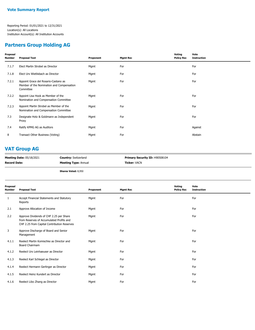#### **Partners Group Holding AG**

| Proposal<br>Number | <b>Proposal Text</b>                                                                           | Proponent | <b>Mgmt Rec</b> | Voting<br><b>Policy Rec</b> | Vote<br><b>Instruction</b> |
|--------------------|------------------------------------------------------------------------------------------------|-----------|-----------------|-----------------------------|----------------------------|
| 7.1.7              | Elect Martin Strobel as Director                                                               | Mgmt      | For             |                             | For                        |
| 7.1.8              | Elect Urs Wietlisbach as Director                                                              | Mgmt      | For             |                             | For                        |
| 7.2.1              | Appoint Grace del Rosario-Castano as<br>Member of the Nomination and Compensation<br>Committee | Mgmt      | For             |                             | For                        |
| 7.2.2              | Appoint Lisa Hook as Member of the<br>Nomination and Compensation Committee                    | Mgmt      | For             |                             | For                        |
| 7.2.3              | Appoint Martin Strobel as Member of the<br>Nomination and Compensation Committee               | Mgmt      | For             |                             | For                        |
| 7.3                | Designate Hotz & Goldmann as Independent<br>Proxy                                              | Mgmt      | For             |                             | For                        |
| 7.4                | Ratify KPMG AG as Auditors                                                                     | Mgmt      | For             |                             | Against                    |
| 8                  | Transact Other Business (Voting)                                                               | Mgmt      | For             |                             | Abstain                    |
|                    |                                                                                                |           |                 |                             |                            |

## **VAT Group AG**

| <b>Meeting Date: 05/18/2021</b> | <b>Country: Switzerland</b> | <b>Primary Security ID: H90508104</b> |
|---------------------------------|-----------------------------|---------------------------------------|
| <b>Record Date:</b>             | <b>Meeting Type: Annual</b> | <b>Ticker:</b> VACN                   |
|                                 |                             |                                       |

**Shares Voted:** 8,950

| Proposal<br>Number | <b>Proposal Text</b>                                                                                                               | Proponent | <b>Mgmt Rec</b> | Voting<br><b>Policy Rec</b> | Vote<br><b>Instruction</b> |
|--------------------|------------------------------------------------------------------------------------------------------------------------------------|-----------|-----------------|-----------------------------|----------------------------|
| $\mathbf{1}$       | Accept Financial Statements and Statutory<br>Reports                                                                               | Mgmt      | For             |                             | For                        |
| 2.1                | Approve Allocation of Income                                                                                                       | Mgmt      | For             |                             | For                        |
| 2.2                | Approve Dividends of CHF 2.25 per Share<br>from Reserves of Accumulated Profits and<br>CHF 2.25 from Capital Contribution Reserves | Mgmt      | For             |                             | For                        |
| 3                  | Approve Discharge of Board and Senior<br>Management                                                                                | Mgmt      | For             |                             | For                        |
| 4.1.1              | Reelect Martin Komischke as Director and<br>Board Chairmam                                                                         | Mgmt      | For             |                             | For                        |
| 4.1.2              | Reelect Urs Leinhaeuser as Director                                                                                                | Mgmt      | For             |                             | For                        |
| 4.1.3              | Reelect Karl Schlegel as Director                                                                                                  | Mgmt      | For             |                             | For                        |
| 4.1.4              | Reelect Hermann Gerlinger as Director                                                                                              | Mgmt      | For             |                             | For                        |
| 4.1.5              | Reelect Heinz Kundert as Director                                                                                                  | Mgmt      | For             |                             | For                        |
| 4.1.6              | Reelect Libo Zhang as Director                                                                                                     | Mgmt      | For             |                             | For                        |
|                    |                                                                                                                                    |           |                 |                             |                            |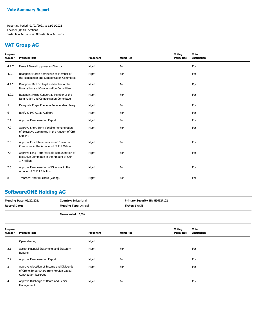#### **VAT Group AG**

| Proposal<br>Number | <b>Proposal Text</b>                                                                                  | Proponent | <b>Mgmt Rec</b> | Voting<br><b>Policy Rec</b> | Vote<br><b>Instruction</b> |
|--------------------|-------------------------------------------------------------------------------------------------------|-----------|-----------------|-----------------------------|----------------------------|
| 4.1.7              | Reelect Daniel Lippuner as Director                                                                   | Mgmt      | For             |                             | For                        |
| 4.2.1              | Reappoint Martin Komischke as Member of<br>the Nomination and Compensation Committee                  | Mgmt      | For             |                             | For                        |
| 4.2.2              | Reappoint Karl Schlegel as Member of the<br>Nomination and Compensation Committee                     | Mgmt      | For             |                             | For                        |
| 4.2.3              | Reappoint Heinz Kundert as Member of the<br>Nomination and Compensation Committee                     | Mgmt      | For             |                             | For                        |
| 5                  | Designate Roger Foehn as Independent Proxy                                                            | Mgmt      | For             |                             | For                        |
| 6                  | Ratify KPMG AG as Auditors                                                                            | Mgmt      | For             |                             | For                        |
| 7.1                | Approve Remuneration Report                                                                           | Mgmt      | For             |                             | For                        |
| 7.2                | Approve Short-Term Variable Remuneration<br>of Executive Committee in the Amount of CHF<br>650,140    | Mgmt      | For             |                             | For                        |
| 7.3                | Approve Fixed Remuneration of Executive<br>Committee in the Amount of CHF 2 Million                   | Mgmt      | For             |                             | For                        |
| 7.4                | Approve Long-Term Variable Remuneration of<br>Executive Committee in the Amount of CHF<br>1.7 Million | Mgmt      | For             |                             | For                        |
| 7.5                | Approve Remuneration of Directors in the<br>Amount of CHF 1.1 Million                                 | Mqmt      | For             |                             | For                        |
| 8                  | Transact Other Business (Voting)                                                                      | Mgmt      | For             |                             | For                        |

#### **SoftwareONE Holding AG**

| <b>Meeting Date: 05/20/2021</b> | <b>Country:</b> Switzerland | <b>Primary Security ID: H5682F102</b> |
|---------------------------------|-----------------------------|---------------------------------------|
| Record Date:                    | <b>Meeting Type: Annual</b> | <b>Ticker:</b> SWON                   |
|                                 |                             |                                       |

**Shares Voted:** 15,000

| Proposal<br>Number | <b>Proposal Text</b>                                                                                                     | Proponent | <b>Mgmt Rec</b> | Voting<br><b>Policy Rec</b> | Vote<br><b>Instruction</b> |
|--------------------|--------------------------------------------------------------------------------------------------------------------------|-----------|-----------------|-----------------------------|----------------------------|
| 1                  | Open Meeting                                                                                                             | Mgmt      |                 |                             |                            |
| 2.1                | Accept Financial Statements and Statutory<br>Reports                                                                     | Mgmt      | For             |                             | For                        |
| 2.2                | Approve Remuneration Report                                                                                              | Mgmt      | For             |                             | For                        |
| 3                  | Approve Allocation of Income and Dividends<br>of CHF 0.30 per Share from Foreign Capital<br><b>Contribution Reserves</b> | Mgmt      | For             |                             | For                        |
| 4                  | Approve Discharge of Board and Senior<br>Management                                                                      | Mgmt      | For             |                             | For                        |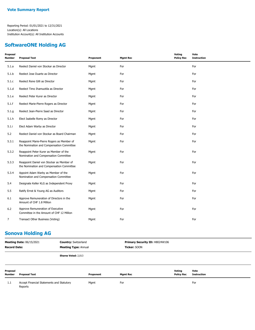#### **SoftwareONE Holding AG**

| Proposal<br><b>Number</b> | <b>Proposal Text</b>                                                                    | Proponent | <b>Mgmt Rec</b> | Voting<br><b>Policy Rec</b> | Vote<br><b>Instruction</b> |
|---------------------------|-----------------------------------------------------------------------------------------|-----------|-----------------|-----------------------------|----------------------------|
| 5.1.a                     | Reelect Daniel von Stockar as Director                                                  | Mgmt      | For             |                             | For                        |
| 5.1.b                     | Reelect Jose Duarte as Director                                                         | Mgmt      | For             |                             | For                        |
| 5.1.c                     | Reelect Rene Gilli as Director                                                          | Mgmt      | For             |                             | For                        |
| 5.1.d                     | Reelect Timo Ihamuotila as Director                                                     | Mgmt      | For             |                             | For                        |
| 5.1.e                     | Reelect Peter Kurer as Director                                                         | Mgmt      | For             |                             | For                        |
| 5.1.f                     | Reelect Marie-Pierre Rogers as Director                                                 | Mgmt      | For             |                             | For                        |
| 5.1.g                     | Reelect Jean-Pierre Saad as Director                                                    | Mgmt      | For             |                             | For                        |
| 5.1.h                     | Elect Isabelle Romy as Director                                                         | Mgmt      | For             |                             | For                        |
| 5.1.i                     | Elect Adam Warby as Director                                                            | Mgmt      | For             |                             | For                        |
| 5.2                       | Reelect Daniel von Stockar as Board Chairman                                            | Mgmt      | For             |                             | For                        |
| 5.3.1                     | Reappoint Marie-Pierre Rogers as Member of<br>the Nomination and Compensation Committee | Mgmt      | For             |                             | For                        |
| 5.3.2                     | Reappoint Peter Kurer as Member of the<br>Nomination and Compensation Committee         | Mgmt      | For             |                             | For                        |
| 5.3.3                     | Reappoint Daniel von Stockar as Member of<br>the Nomination and Compensation Committee  | Mgmt      | For             |                             | For                        |
| 5.3.4                     | Appoint Adam Warby as Member of the<br>Nomination and Compensation Committee            | Mgmt      | For             |                             | For                        |
| 5.4                       | Designate Keller KLG as Independent Proxy                                               | Mgmt      | For             |                             | For                        |
| 5.5                       | Ratify Ernst & Young AG as Auditors                                                     | Mgmt      | For             |                             | For                        |
| 6.1                       | Approve Remuneration of Directors in the<br>Amount of CHF 1.8 Million                   | Mgmt      | For             |                             | For                        |
| 6.2                       | Approve Remuneration of Executive<br>Committee in the Amount of CHF 12 Million          | Mgmt      | For             |                             | For                        |
| $\overline{7}$            | Transact Other Business (Voting)                                                        | Mgmt      | For             |                             | For                        |

## **Sonova Holding AG**

| <b>Meeting Date: 06/15/2021</b><br><b>Record Date:</b> |                                                      | <b>Country: Switzerland</b><br><b>Meeting Type: Annual</b> |           | Primary Security ID: H8024W106<br>Ticker: SOON |                             |                            |  |
|--------------------------------------------------------|------------------------------------------------------|------------------------------------------------------------|-----------|------------------------------------------------|-----------------------------|----------------------------|--|
|                                                        |                                                      | <b>Shares Voted: 2,013</b>                                 |           |                                                |                             |                            |  |
| Proposal<br>Number                                     | <b>Proposal Text</b>                                 |                                                            | Proponent | <b>Mgmt Rec</b>                                | Voting<br><b>Policy Rec</b> | Vote<br><b>Instruction</b> |  |
| 1.1                                                    | Accept Financial Statements and Statutory<br>Reports |                                                            | Mgmt      | For                                            |                             | For                        |  |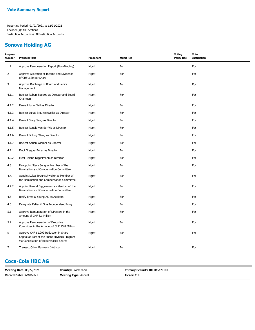#### **Sonova Holding AG**

| Proposal<br>Number | <b>Proposal Text</b>                                                                                                            | Proponent | <b>Mgmt Rec</b> | <b>Voting</b><br><b>Policy Rec</b> | Vote<br><b>Instruction</b> |
|--------------------|---------------------------------------------------------------------------------------------------------------------------------|-----------|-----------------|------------------------------------|----------------------------|
| 1.2                | Approve Remuneration Report (Non-Binding)                                                                                       | Mgmt      | For             |                                    | For                        |
| $\overline{2}$     | Approve Allocation of Income and Dividends<br>of CHF 3.20 per Share                                                             | Mgmt      | For             |                                    | For                        |
| 3                  | Approve Discharge of Board and Senior<br>Management                                                                             | Mgmt      | For             |                                    | For                        |
| 4.1.1              | Reelect Robert Spoerry as Director and Board<br>Chairman                                                                        | Mgmt      | For             |                                    | For                        |
| 4.1.2              | Reelect Lynn Bleil as Director                                                                                                  | Mgmt      | For             |                                    | For                        |
| 4.1.3              | Reelect Lukas Braunschweiler as Director                                                                                        | Mgmt      | For             |                                    | For                        |
| 4.1.4              | Reelect Stacy Seng as Director                                                                                                  | Mgmt      | For             |                                    | For                        |
| 4.1.5              | Reelect Ronald van der Vis as Director                                                                                          | Mgmt      | For             |                                    | For                        |
| 4.1.6              | Reelect Jinlong Wang as Director                                                                                                | Mgmt      | For             |                                    | For                        |
| 4.1.7              | Reelect Adrian Widmer as Director                                                                                               | Mgmt      | For             |                                    | For                        |
| 4.2.1              | Elect Gregory Behar as Director                                                                                                 | Mgmt      | For             |                                    | For                        |
| 4.2.2              | Elect Roland Diggelmann as Director                                                                                             | Mgmt      | For             |                                    | For                        |
| 4.3                | Reappoint Stacy Seng as Member of the<br>Nomination and Compensation Committee                                                  | Mgmt      | For             |                                    | For                        |
| 4.4.1              | Appoint Lukas Braunschweiler as Member of<br>the Nomination and Compensation Committee                                          | Mgmt      | For             |                                    | For                        |
| 4.4.2              | Appoint Roland Diggelmann as Member of the<br>Nomination and Compensation Committee                                             | Mgmt      | For             |                                    | For                        |
| 4.5                | Ratify Ernst & Young AG as Auditors                                                                                             | Mgmt      | For             |                                    | For                        |
| 4.6                | Designate Keller KLG as Independent Proxy                                                                                       | Mgmt      | For             |                                    | For                        |
| 5.1                | Approve Remuneration of Directors in the<br>Amount of CHF 3.1 Million                                                           | Mgmt      | For             |                                    | For                        |
| 5.2                | Approve Remuneration of Executive<br>Committee in the Amount of CHF 15.8 Million                                                | Mgmt      | For             |                                    | For                        |
| 6                  | Approve CHF 61,299 Reduction in Share<br>Capital as Part of the Share Buyback Program<br>via Cancellation of Repurchased Shares | Mgmt      | For             |                                    | For                        |
| 7                  | Transact Other Business (Voting)                                                                                                | Mgmt      | For             |                                    | For                        |

## **Coca-Cola HBC AG**

| <b>Meeting Date: 06/22/2021</b> | <b>Country:</b> Switzerland | <b>Primary Security ID: H1512E100</b> |
|---------------------------------|-----------------------------|---------------------------------------|
| <b>Record Date: 06/18/2021</b>  | <b>Meeting Type: Annual</b> | Ticker: CCH                           |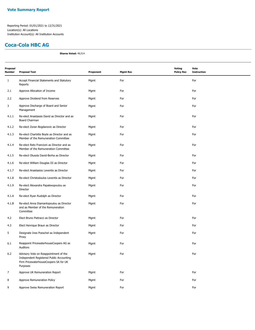#### **Coca-Cola HBC AG**

**Shares Voted:** 49,514

| Proposal<br><b>Number</b> | <b>Proposal Text</b>                                                                                                                   | Proponent | <b>Mgmt Rec</b> | <b>Voting</b><br><b>Policy Rec</b> | Vote<br><b>Instruction</b> |
|---------------------------|----------------------------------------------------------------------------------------------------------------------------------------|-----------|-----------------|------------------------------------|----------------------------|
| $\mathbf{1}$              | Accept Financial Statements and Statutory<br>Reports                                                                                   | Mgmt      | For             |                                    | For                        |
| 2.1                       | Approve Allocation of Income                                                                                                           | Mgmt      | For             |                                    | For                        |
| 2.2                       | Approve Dividend from Reserves                                                                                                         | Mgmt      | For             |                                    | For                        |
| 3                         | Approve Discharge of Board and Senior<br>Management                                                                                    | Mgmt      | For             |                                    | For                        |
| 4.1.1                     | Re-elect Anastassis David as Director and as<br>Board Chairman                                                                         | Mgmt      | For             |                                    | For                        |
| 4.1.2                     | Re-elect Zoran Bogdanovic as Director                                                                                                  | Mgmt      | For             |                                    | For                        |
| 4.1.3                     | Re-elect Charlotte Boyle as Director and as<br>Member of the Remuneration Committee                                                    | Mgmt      | For             |                                    | For                        |
| 4.1.4                     | Re-elect Reto Francioni as Director and as<br>Member of the Remuneration Committee                                                     | Mgmt      | For             |                                    | For                        |
| 4.1.5                     | Re-elect Olusola David-Borha as Director                                                                                               | Mgmt      | For             |                                    | For                        |
| 4.1.6                     | Re-elect William Douglas III as Director                                                                                               | Mgmt      | For             |                                    | For                        |
| 4.1.7                     | Re-elect Anastasios Leventis as Director                                                                                               | Mgmt      | For             |                                    | For                        |
| 4.1.8                     | Re-elect Christodoulos Leventis as Director                                                                                            | Mgmt      | For             |                                    | For                        |
| 4.1.9                     | Re-elect Alexandra Papalexopoulou as<br>Director                                                                                       | Mgmt      | For             |                                    | For                        |
| 4.1.A                     | Re-elect Ryan Rudolph as Director                                                                                                      | Mgmt      | For             |                                    | For                        |
| 4.1.B                     | Re-elect Anna Diamantopoulou as Director<br>and as Member of the Remuneration<br>Committee                                             | Mgmt      | For             |                                    | For                        |
| 4.2                       | Elect Bruno Pietracci as Director                                                                                                      | Mgmt      | For             |                                    | For                        |
| 4.3                       | Elect Henrique Braun as Director                                                                                                       | Mgmt      | For             |                                    | For                        |
| 5                         | Designate Ines Poeschel as Independent<br>Proxy                                                                                        | Mgmt      | For             |                                    | For                        |
| 6.1                       | Reappoint PricewaterhouseCoopers AG as<br><b>Auditors</b>                                                                              | Mgmt      | For             |                                    | For                        |
| 6.2                       | Advisory Vote on Reappointment of the<br>Independent Registered Public Accounting<br>Firm PricewaterhouseCoopers SA for UK<br>Purposes | Mgmt      | For             |                                    | For                        |
| $\overline{7}$            | Approve UK Remuneration Report                                                                                                         | Mgmt      | For             |                                    | For                        |
| 8                         | Approve Remuneration Policy                                                                                                            | Mgmt      | For             |                                    | For                        |
| 9                         | Approve Swiss Remuneration Report                                                                                                      | Mgmt      | For             |                                    | For                        |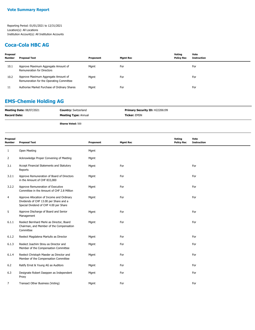#### **Coca-Cola HBC AG**

| Proposal<br><b>Number</b> | <b>Proposal Text</b>                                                            | Proponent | Mamt Rec | Voting<br><b>Policy Rec</b> | Vote<br>Instruction |
|---------------------------|---------------------------------------------------------------------------------|-----------|----------|-----------------------------|---------------------|
| 10.1                      | Approve Maximum Aggregate Amount of<br>Remuneration for Directors               | Mgmt      | For      |                             | For                 |
| 10.2                      | Approve Maximum Aggregate Amount of<br>Remuneration for the Operating Committee | Mgmt      | For      |                             | For                 |
| 11                        | Authorise Market Purchase of Ordinary Shares                                    | Mgmt      | For      |                             | For                 |

## **EMS-Chemie Holding AG**

| <b>Ticker:</b> EMSN<br><b>Meeting Type: Annual</b> | <b>Meeting Date: 08/07/2021</b> | <b>Country: Switzerland</b> | <b>Primary Security ID: H22206199</b> |
|----------------------------------------------------|---------------------------------|-----------------------------|---------------------------------------|
|                                                    | <b>Record Date:</b>             |                             |                                       |

**Shares Voted:** 500

| Proposal<br><b>Number</b> | <b>Proposal Text</b>                                                                                                          | Proponent | <b>Mgmt Rec</b> | Voting<br><b>Policy Rec</b> | Vote<br><b>Instruction</b> |
|---------------------------|-------------------------------------------------------------------------------------------------------------------------------|-----------|-----------------|-----------------------------|----------------------------|
| $\mathbf{1}$              | Open Meeting                                                                                                                  | Mgmt      |                 |                             |                            |
| $\overline{2}$            | Acknowledge Proper Convening of Meeting                                                                                       | Mgmt      |                 |                             |                            |
| 3.1                       | Accept Financial Statements and Statutory<br>Reports                                                                          | Mgmt      | For             |                             | For                        |
| 3.2.1                     | Approve Remuneration of Board of Directors<br>in the Amount of CHF 833,000                                                    | Mgmt      | For             |                             | For                        |
| 3.2.2                     | Approve Remuneration of Executive<br>Committee in the Amount of CHF 2.8 Million                                               | Mgmt      | For             |                             | For                        |
| 4                         | Approve Allocation of Income and Ordinary<br>Dividends of CHF 13.00 per Share and a<br>Special Dividend of CHF 4.00 per Share | Mgmt      | For             |                             | For                        |
| 5                         | Approve Discharge of Board and Senior<br>Management                                                                           | Mgmt      | For             |                             | For                        |
| 6.1.1                     | Reelect Bernhard Merki as Director, Board<br>Chairman, and Member of the Compensation<br>Committee                            | Mgmt      | For             |                             | For                        |
| 6.1.2                     | Reelect Magdalena Martullo as Director                                                                                        | Mgmt      | For             |                             | For                        |
| 6.1.3                     | Reelect Joachim Streu as Director and<br>Member of the Compensation Committee                                                 | Mgmt      | For             |                             | For                        |
| 6.1.4                     | Reelect Christoph Maeder as Director and<br>Member of the Compensation Committee                                              | Mgmt      | For             |                             | For                        |
| 6.2                       | Ratify Ernst & Young AG as Auditors                                                                                           | Mgmt      | For             |                             | For                        |
| 6.3                       | Designate Robert Daeppen as Independent<br>Proxy                                                                              | Mgmt      | For             |                             | For                        |
| 7                         | Transact Other Business (Voting)                                                                                              | Mgmt      | For             |                             | For                        |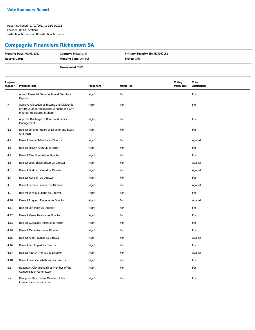# **Compagnie Financiere Richemont SA**

| <b>Meeting Date: 09/08/2021</b> | <b>Country: Switzerland</b> | <b>Primary Security ID: H25662182</b> |
|---------------------------------|-----------------------------|---------------------------------------|
| Record Date:                    | <b>Meeting Type: Annual</b> | <b>Ticker:</b> CFR                    |
|                                 | <b>Shares Voted: 7,000</b>  |                                       |

| Proposal<br><b>Number</b> | <b>Proposal Text</b>                                                                                                    | Proponent | <b>Mgmt Rec</b> | <b>Voting</b><br><b>Policy Rec</b> | Vote<br><b>Instruction</b> |
|---------------------------|-------------------------------------------------------------------------------------------------------------------------|-----------|-----------------|------------------------------------|----------------------------|
| $\mathbf{1}$              | Accept Financial Statements and Statutory<br>Reports                                                                    | Mgmt      | For             |                                    | For                        |
| $\overline{2}$            | Approve Allocation of Income and Dividends<br>of CHF 2.00 per Registered A Share and CHF<br>0.20 per Registered B Share | Mgmt      | For             |                                    | For                        |
| 3                         | Approve Discharge of Board and Senior<br>Management                                                                     | Mgmt      | For             |                                    | For                        |
| 4.1                       | Reelect Johann Rupert as Director and Board<br>Chairman                                                                 | Mgmt      | For             |                                    | For                        |
| 4.2                       | Reelect Josua Malherbe as Director                                                                                      | Mgmt      | For             |                                    | Against                    |
| 4.3                       | Reelect Nikesh Arora as Director                                                                                        | Mgmt      | For             |                                    | For                        |
| 4.4                       | Reelect Clay Brendish as Director                                                                                       | Mgmt      | For             |                                    | For                        |
| 4.5                       | Reelect Jean-Blaise Eckert as Director                                                                                  | Mgmt      | For             |                                    | Against                    |
| 4.6                       | Reelect Burkhart Grund as Director                                                                                      | Mgmt      | For             |                                    | Against                    |
| 4.7                       | Reelect Keyu Jin as Director                                                                                            | Mgmt      | For             |                                    | For                        |
| 4.8                       | Reelect Jerome Lambert as Director                                                                                      | Mgmt      | For             |                                    | Against                    |
| 4.9                       | Reelect Wendy Luhabe as Director                                                                                        | Mgmt      | For             |                                    | For                        |
| 4.10                      | Reelect Ruggero Magnoni as Director                                                                                     | Mgmt      | For             |                                    | Against                    |
| 4.11                      | Reelect Jeff Moss as Director                                                                                           | Mgmt      | For             |                                    | For                        |
| 4.12                      | Reelect Vesna Nevistic as Director                                                                                      | Mgmt      | For             |                                    | For                        |
| 4.13                      | Reelect Guillaume Pictet as Director                                                                                    | Mgmt      | For             |                                    | For                        |
| 4.14                      | Reelect Maria Ramos as Director                                                                                         | Mgmt      | For             |                                    | For                        |
| 4.15                      | Reelect Anton Rupert as Director                                                                                        | Mgmt      | For             |                                    | Against                    |
| 4.16                      | Reelect Jan Rupert as Director                                                                                          | Mgmt      | For             |                                    | For                        |
| 4.17                      | Reelect Patrick Thomas as Director                                                                                      | Mgmt      | For             |                                    | Against                    |
| 4.18                      | Reelect Jasmine Whitbread as Director                                                                                   | Mgmt      | For             |                                    | For                        |
| 5.1                       | Reappoint Clay Brendish as Member of the<br><b>Compensation Committee</b>                                               | Mgmt      | For             |                                    | For                        |
| 5.2                       | Reappoint Keyu Jin as Member of the<br><b>Compensation Committee</b>                                                    | Mgmt      | For             |                                    | For                        |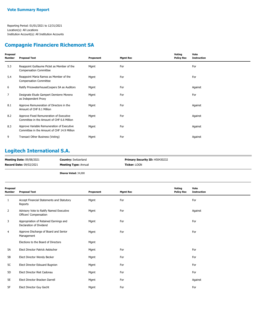#### **Compagnie Financiere Richemont SA**

| Proposal<br>Number | <b>Proposal Text</b>                                                                      | Proponent | <b>Mgmt Rec</b> | Voting<br><b>Policy Rec</b> | Vote<br><b>Instruction</b> |
|--------------------|-------------------------------------------------------------------------------------------|-----------|-----------------|-----------------------------|----------------------------|
| 5.3                | Reappoint Guillaume Pictet as Member of the<br><b>Compensation Committee</b>              | Mgmt      | For             |                             | For                        |
| 5.4                | Reappoint Maria Ramos as Member of the<br><b>Compensation Committee</b>                   | Mgmt      | For             |                             | For                        |
| 6                  | Ratify PricewaterhouseCoopers SA as Auditors                                              | Mgmt      | For             |                             | Against                    |
| $\overline{7}$     | Designate Etude Gampert Demierre Moreno<br>as Independent Proxy                           | Mgmt      | For             |                             | For                        |
| 8.1                | Approve Remuneration of Directors in the<br>Amount of CHF 8.1 Million                     | Mgmt      | For             |                             | Against                    |
| 8.2                | Approve Fixed Remuneration of Executive<br>Committee in the Amount of CHF 6.6 Million     | Mgmt      | For             |                             | Against                    |
| 8.3                | Approve Variable Remuneration of Executive<br>Committee in the Amount of CHF 14.9 Million | Mgmt      | For             |                             | Against                    |
| 9                  | Transact Other Business (Voting)                                                          | Mgmt      | For             |                             | Against                    |

## **Logitech International S.A.**

| <b>Meeting Date: 09/08/2021</b> | <b>Country: Switzerland</b> | <b>Primary Security ID: H50430232</b> |
|---------------------------------|-----------------------------|---------------------------------------|
| <b>Record Date: 09/02/2021</b>  | <b>Meeting Type: Annual</b> | <b>Ticker:</b> LOGN                   |

**Shares Voted:** 34,000

| Proposal<br>Number | <b>Proposal Text</b>                                              | Proponent | <b>Mgmt Rec</b> | Voting<br><b>Policy Rec</b> | Vote<br><b>Instruction</b> |
|--------------------|-------------------------------------------------------------------|-----------|-----------------|-----------------------------|----------------------------|
| 1                  | Accept Financial Statements and Statutory<br>Reports              | Mgmt      | For             |                             | For                        |
| $\overline{2}$     | Advisory Vote to Ratify Named Executive<br>Officers' Compensation | Mgmt      | For             |                             | Against                    |
| 3                  | Appropriation of Retained Earnings and<br>Declaration of Dividend | Mgmt      | For             |                             | For                        |
| $\overline{4}$     | Approve Discharge of Board and Senior<br>Management               | Mgmt      | For             |                             | For                        |
|                    | Elections to the Board of Directors                               | Mgmt      |                 |                             |                            |
| 5A                 | Elect Director Patrick Aebischer                                  | Mgmt      | For             |                             | For                        |
| 5B                 | Elect Director Wendy Becker                                       | Mgmt      | For             |                             | For                        |
| 5C                 | Elect Director Edouard Bugnion                                    | Mgmt      | For             |                             | For                        |
| 5D                 | Elect Director Riet Cadonau                                       | Mgmt      | For             |                             | For                        |
| 5E                 | Elect Director Bracken Darrell                                    | Mgmt      | For             |                             | Against                    |
| 5F                 | Elect Director Guy Gecht                                          | Mgmt      | For             |                             | For                        |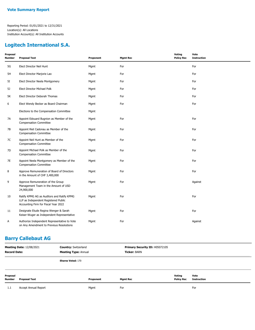## **Logitech International S.A.**

| Proposal<br><b>Number</b> | <b>Proposal Text</b>                                                                                                       | Proponent | <b>Mgmt Rec</b> | <b>Voting</b><br><b>Policy Rec</b> | Vote<br><b>Instruction</b> |
|---------------------------|----------------------------------------------------------------------------------------------------------------------------|-----------|-----------------|------------------------------------|----------------------------|
| 5G                        | Elect Director Neil Hunt                                                                                                   | Mgmt      | For             |                                    | For                        |
| 5H                        | Elect Director Marjorie Lao                                                                                                | Mgmt      | For             |                                    | For                        |
| 5I                        | Elect Director Neela Montgomery                                                                                            | Mgmt      | For             |                                    | For                        |
| 5J                        | Elect Director Michael Polk                                                                                                | Mgmt      | For             |                                    | For                        |
| 5K                        | Elect Director Deborah Thomas                                                                                              | Mgmt      | For             |                                    | For                        |
| 6                         | Elect Wendy Becker as Board Chairman                                                                                       | Mgmt      | For             |                                    | For                        |
|                           | Elections to the Compensation Committee                                                                                    | Mgmt      |                 |                                    |                            |
| 7A                        | Appoint Edouard Bugnion as Member of the<br><b>Compensation Committee</b>                                                  | Mgmt      | For             |                                    | For                        |
| 7В                        | Appoint Riet Cadonau as Member of the<br><b>Compensation Committee</b>                                                     | Mgmt      | For             |                                    | For                        |
| 7C                        | Appoint Neil Hunt as Member of the<br><b>Compensation Committee</b>                                                        | Mgmt      | For             |                                    | For                        |
| 7D                        | Appoint Michael Polk as Member of the<br><b>Compensation Committee</b>                                                     | Mgmt      | For             |                                    | For                        |
| 7E                        | Appoint Neela Montgomery as Member of the<br><b>Compensation Committee</b>                                                 | Mgmt      | For             |                                    | For                        |
| 8                         | Approve Remuneration of Board of Directors<br>in the Amount of CHF 3,400,000                                               | Mgmt      | For             |                                    | For                        |
| 9                         | Approve Remuneration of the Group<br>Management Team in the Amount of USD<br>24,900,000                                    | Mgmt      | For             |                                    | Against                    |
| 10                        | Ratify KPMG AG as Auditors and Ratify KPMG<br>LLP as Independent Registered Public<br>Accounting Firm for Fiscal Year 2022 | Mgmt      | For             |                                    | For                        |
| 11                        | Designate Etude Regina Wenger & Sarah<br>Keiser-Wuger as Independent Representative                                        | Mgmt      | For             |                                    | For                        |
| Α                         | Authorize Independent Representative to Vote<br>on Any Amendment to Previous Resolutions                                   | Mgmt      | For             |                                    | Against                    |

# **Barry Callebaut AG**

| <b>Meeting Date: 12/08/2021</b><br><b>Record Date:</b> |                             | <b>Country: Switzerland</b><br><b>Meeting Type: Annual</b> |           | Primary Security ID: H05072105<br><b>Ticker: BARN</b> |                             |                            |
|--------------------------------------------------------|-----------------------------|------------------------------------------------------------|-----------|-------------------------------------------------------|-----------------------------|----------------------------|
|                                                        |                             | <b>Shares Voted: 170</b>                                   |           |                                                       |                             |                            |
| Proposal<br><b>Number</b>                              | <b>Proposal Text</b>        |                                                            | Proponent | <b>Mgmt Rec</b>                                       | Voting<br><b>Policy Rec</b> | Vote<br><b>Instruction</b> |
| 1.1                                                    | <b>Accept Annual Report</b> |                                                            | Mgmt      | For                                                   |                             | For                        |